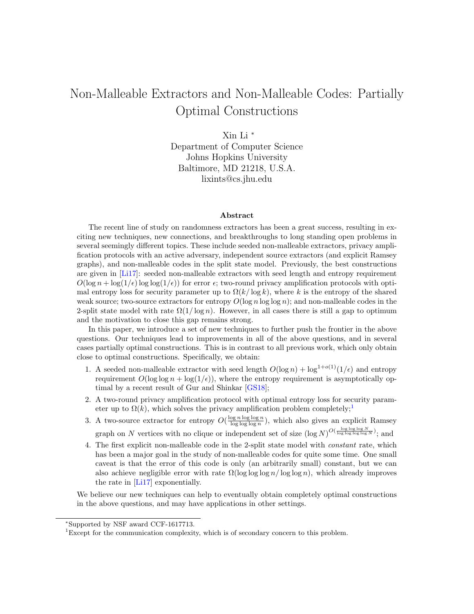# Non-Malleable Extractors and Non-Malleable Codes: Partially Optimal Constructions

Xin Li <sup>∗</sup> Department of Computer Science Johns Hopkins University Baltimore, MD 21218, U.S.A. lixints@cs.jhu.edu

#### Abstract

The recent line of study on randomness extractors has been a great success, resulting in exciting new techniques, new connections, and breakthroughs to long standing open problems in several seemingly different topics. These include seeded non-malleable extractors, privacy amplification protocols with an active adversary, independent source extractors (and explicit Ramsey graphs), and non-malleable codes in the split state model. Previously, the best constructions are given in [\[Li17\]](#page-51-0): seeded non-malleable extractors with seed length and entropy requirement  $O(\log n + \log(1/\epsilon)) \log \log(1/\epsilon)$  for error  $\epsilon$ ; two-round privacy amplification protocols with optimal entropy loss for security parameter up to  $\Omega(k/\log k)$ , where k is the entropy of the shared weak source; two-source extractors for entropy  $O(\log n \log \log n)$ ; and non-malleable codes in the 2-split state model with rate  $\Omega(1/\log n)$ . However, in all cases there is still a gap to optimum and the motivation to close this gap remains strong.

In this paper, we introduce a set of new techniques to further push the frontier in the above questions. Our techniques lead to improvements in all of the above questions, and in several cases partially optimal constructions. This is in contrast to all previous work, which only obtain close to optimal constructions. Specifically, we obtain:

- 1. A seeded non-malleable extractor with seed length  $O(\log n) + \log^{1+o(1)}(1/\epsilon)$  and entropy requirement  $O(\log \log n + \log(1/\epsilon))$ , where the entropy requirement is asymptotically optimal by a recent result of Gur and Shinkar [\[GS18\]](#page-50-0);
- 2. A two-round privacy amplification protocol with optimal entropy loss for security parameter up to  $\Omega(k)$ , which solves the privacy amplification problem completely;<sup>[1](#page-0-0)</sup>
- 3. A two-source extractor for entropy  $O(\frac{\log n \log \log n}{\log \log \log n})$ , which also gives an explicit Ramsey graph on N vertices with no clique or independent set of size  $(\log N)^{O(\frac{\log \log \log N}{\log \log \log \log N})}$ ; and
- 4. The first explicit non-malleable code in the 2-split state model with constant rate, which has been a major goal in the study of non-malleable codes for quite some time. One small caveat is that the error of this code is only (an arbitrarily small) constant, but we can also achieve negligible error with rate  $\Omega(\log \log \log n / \log \log n)$ , which already improves the rate in [\[Li17\]](#page-51-0) exponentially.

We believe our new techniques can help to eventually obtain completely optimal constructions in the above questions, and may have applications in other settings.

<sup>∗</sup>Supported by NSF award CCF-1617713.

<span id="page-0-0"></span><sup>1</sup>Except for the communication complexity, which is of secondary concern to this problem.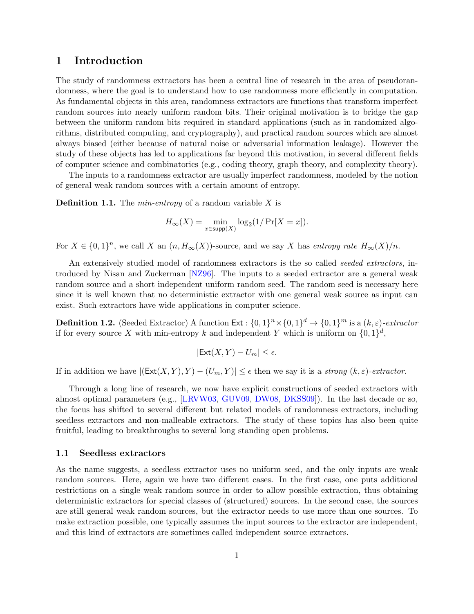# 1 Introduction

The study of randomness extractors has been a central line of research in the area of pseudorandomness, where the goal is to understand how to use randomness more efficiently in computation. As fundamental objects in this area, randomness extractors are functions that transform imperfect random sources into nearly uniform random bits. Their original motivation is to bridge the gap between the uniform random bits required in standard applications (such as in randomized algorithms, distributed computing, and cryptography), and practical random sources which are almost always biased (either because of natural noise or adversarial information leakage). However the study of these objects has led to applications far beyond this motivation, in several different fields of computer science and combinatorics (e.g., coding theory, graph theory, and complexity theory).

The inputs to a randomness extractor are usually imperfect randomness, modeled by the notion of general weak random sources with a certain amount of entropy.

**Definition 1.1.** The *min-entropy* of a random variable  $X$  is

$$
H_\infty(X)=\min_{x\in \text{supp}(X)}\log_2(1/\Pr[X=x]).
$$

For  $X \in \{0,1\}^n$ , we call X an  $(n, H_{\infty}(X))$ -source, and we say X has entropy rate  $H_{\infty}(X)/n$ .

An extensively studied model of randomness extractors is the so called *seeded extractors*, introduced by Nisan and Zuckerman [\[NZ96\]](#page-52-0). The inputs to a seeded extractor are a general weak random source and a short independent uniform random seed. The random seed is necessary here since it is well known that no deterministic extractor with one general weak source as input can exist. Such extractors have wide applications in computer science.

**Definition 1.2.** (Seeded Extractor) A function  $Ext: \{0,1\}^n \times \{0,1\}^d \rightarrow \{0,1\}^m$  is a  $(k,\varepsilon)$ -extractor if for every source X with min-entropy k and independent Y which is uniform on  $\{0,1\}^d$ ,

$$
|\mathsf{Ext}(X,Y) - U_m| \le \epsilon.
$$

If in addition we have  $|(\text{Ext}(X, Y), Y) - (U_m, Y)| \leq \epsilon$  then we say it is a strong  $(k, \epsilon)$ -extractor.

Through a long line of research, we now have explicit constructions of seeded extractors with almost optimal parameters (e.g., [\[LRVW03,](#page-52-1) [GUV09,](#page-50-1) [DW08,](#page-50-2) [DKSS09\]](#page-50-3)). In the last decade or so, the focus has shifted to several different but related models of randomness extractors, including seedless extractors and non-malleable extractors. The study of these topics has also been quite fruitful, leading to breakthroughs to several long standing open problems.

#### 1.1 Seedless extractors

As the name suggests, a seedless extractor uses no uniform seed, and the only inputs are weak random sources. Here, again we have two different cases. In the first case, one puts additional restrictions on a single weak random source in order to allow possible extraction, thus obtaining deterministic extractors for special classes of (structured) sources. In the second case, the sources are still general weak random sources, but the extractor needs to use more than one sources. To make extraction possible, one typically assumes the input sources to the extractor are independent, and this kind of extractors are sometimes called independent source extractors.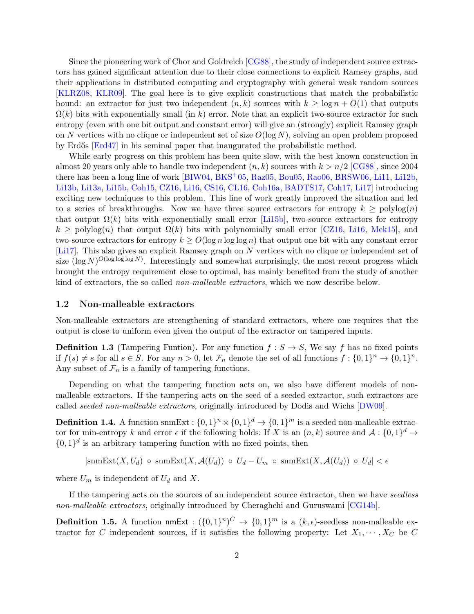Since the pioneering work of Chor and Goldreich [\[CG88\]](#page-48-0), the study of independent source extractors has gained significant attention due to their close connections to explicit Ramsey graphs, and their applications in distributed computing and cryptography with general weak random sources [\[KLRZ08,](#page-51-1) [KLR09\]](#page-51-2). The goal here is to give explicit constructions that match the probabilistic bound: an extractor for just two independent  $(n, k)$  sources with  $k > \log n + O(1)$  that outputs  $\Omega(k)$  bits with exponentially small (in k) error. Note that an explicit two-source extractor for such entropy (even with one bit output and constant error) will give an (strongly) explicit Ramsey graph on N vertices with no clique or independent set of size  $O(\log N)$ , solving an open problem proposed by Erdős [\[Erd47\]](#page-50-4) in his seminal paper that inaugurated the probabilistic method.

While early progress on this problem has been quite slow, with the best known construction in almost 20 years only able to handle two independent  $(n, k)$  sources with  $k > n/2$  [\[CG88\]](#page-48-0), since 2004 there has been a long line of work [\[BIW04,](#page-48-1) [BKS](#page-48-2)<sup>+</sup>05, [Raz05,](#page-52-2) [Bou05,](#page-48-3) [Rao06,](#page-52-3) [BRSW06,](#page-48-4) [Li11,](#page-51-3) [Li12b,](#page-51-4) [Li13b,](#page-51-5) [Li13a,](#page-51-6) [Li15b,](#page-51-7) [Coh15,](#page-49-0) [CZ16,](#page-50-5) [Li16,](#page-51-8) [CS16,](#page-49-1) [CL16,](#page-49-2) [Coh16a,](#page-49-3) [BADTS17,](#page-48-5) [Coh17,](#page-49-4) [Li17\]](#page-51-0) introducing exciting new techniques to this problem. This line of work greatly improved the situation and led to a series of breakthroughs. Now we have three source extractors for entropy  $k \geq \text{polylog}(n)$ that output  $\Omega(k)$  bits with exponentially small error [\[Li15b\]](#page-51-7), two-source extractors for entropy  $k \geq \text{polylog}(n)$  that output  $\Omega(k)$  bits with polynomially small error [\[CZ16,](#page-50-5) [Li16,](#page-51-8) [Mek15\]](#page-52-4), and two-source extractors for entropy  $k \ge O(\log n \log \log n)$  that output one bit with any constant error [\[Li17\]](#page-51-0). This also gives an explicit Ramsey graph on N vertices with no clique or independent set of size  $(\log N)^{O(\log \log \log N)}$ . Interestingly and somewhat surprisingly, the most recent progress which brought the entropy requirement close to optimal, has mainly benefited from the study of another kind of extractors, the so called non-malleable extractors, which we now describe below.

#### 1.2 Non-malleable extractors

Non-malleable extractors are strengthening of standard extractors, where one requires that the output is close to uniform even given the output of the extractor on tampered inputs.

**Definition 1.3** (Tampering Funtion). For any function  $f : S \to S$ , We say f has no fixed points if  $f(s) \neq s$  for all  $s \in S$ . For any  $n > 0$ , let  $\mathcal{F}_n$  denote the set of all functions  $f: \{0,1\}^n \to \{0,1\}^n$ . Any subset of  $\mathcal{F}_n$  is a family of tampering functions.

Depending on what the tampering function acts on, we also have different models of nonmalleable extractors. If the tampering acts on the seed of a seeded extractor, such extractors are called seeded non-malleable extractors, originally introduced by Dodis and Wichs [\[DW09\]](#page-50-6).

**Definition 1.4.** A function snmExt :  $\{0,1\}^n \times \{0,1\}^d \to \{0,1\}^m$  is a seeded non-malleable extractor for min-entropy k and error  $\epsilon$  if the following holds: If X is an  $(n, k)$  source and  $\mathcal{A}: \{0, 1\}^d \to$  $\{0,1\}^d$  is an arbitrary tampering function with no fixed points, then

 $|\text{snmExt}(X, U_d)| \circ \text{snmExt}(X, \mathcal{A}(U_d)) \circ U_d - U_m \circ \text{snmExt}(X, \mathcal{A}(U_d)) \circ U_d| < \epsilon$ 

where  $U_m$  is independent of  $U_d$  and X.

If the tampering acts on the sources of an independent source extractor, then we have seedless non-malleable extractors, originally introduced by Cheraghchi and Guruswami [\[CG14b\]](#page-49-5).

<span id="page-2-0"></span>**Definition 1.5.** A function  $\mathsf{nmExt} : (\{0,1\}^n)^C \to \{0,1\}^m$  is a  $(k,\epsilon)$ -seedless non-malleable extractor for C independent sources, if it satisfies the following property: Let  $X_1, \dots, X_C$  be C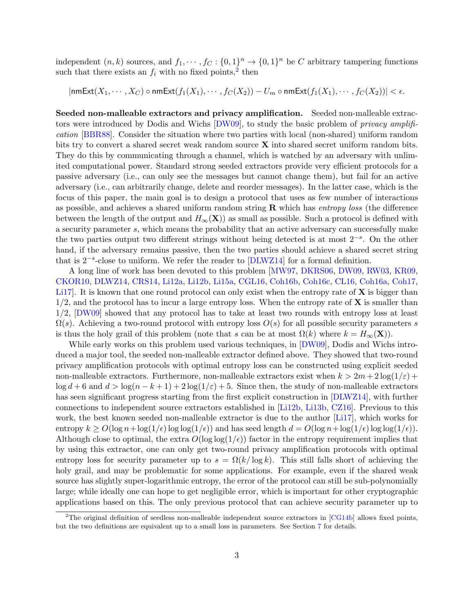independent  $(n, k)$  sources, and  $f_1, \dots, f_C: \{0, 1\}^n \to \{0, 1\}^n$  be C arbitrary tampering functions such that there exists an  $f_i$  with no fixed points,<sup>[2](#page-3-0)</sup> then

$$
|\mathsf{nmExt}(X_1,\cdots,X_C)\circ\mathsf{nmExt}(f_1(X_1),\cdots,f_C(X_2))-U_m\circ\mathsf{nmExt}(f_1(X_1),\cdots,f_C(X_2))|<\epsilon.
$$

Seeded non-malleable extractors and privacy amplification. Seeded non-malleable extrac-tors were introduced by Dodis and Wichs [\[DW09\]](#page-50-6), to study the basic problem of *privacy amplifi*cation [\[BBR88\]](#page-48-6). Consider the situation where two parties with local (non-shared) uniform random bits try to convert a shared secret weak random source  $X$  into shared secret uniform random bits. They do this by communicating through a channel, which is watched by an adversary with unlimited computational power. Standard strong seeded extractors provide very efficient protocols for a passive adversary (i.e., can only see the messages but cannot change them), but fail for an active adversary (i.e., can arbitrarily change, delete and reorder messages). In the latter case, which is the focus of this paper, the main goal is to design a protocol that uses as few number of interactions as possible, and achieves a shared uniform random string  $\bf{R}$  which has entropy loss (the difference between the length of the output and  $H_{\infty}(\mathbf{X})$  as small as possible. Such a protocol is defined with a security parameter s, which means the probability that an active adversary can successfully make the two parties output two different strings without being detected is at most 2<sup>-s</sup>. On the other hand, if the adversary remains passive, then the two parties should achieve a shared secret string that is  $2^{-s}$ -close to uniform. We refer the reader to [\[DLWZ14\]](#page-50-7) for a formal definition.

A long line of work has been devoted to this problem [\[MW97,](#page-52-5) [DKRS06,](#page-50-8) [DW09,](#page-50-6) [RW03,](#page-52-6) [KR09,](#page-51-9) [CKOR10,](#page-49-6) [DLWZ14,](#page-50-7) [CRS14,](#page-49-7) [Li12a,](#page-51-10) [Li12b,](#page-51-4) [Li15a,](#page-51-11) [CGL16,](#page-49-8) [Coh16b,](#page-49-9) [Coh16c,](#page-49-10) [CL16,](#page-49-2) [Coh16a,](#page-49-3) [Coh17,](#page-49-4) Li17. It is known that one round protocol can only exist when the entropy rate of  $X$  is bigger than  $1/2$ , and the protocol has to incur a large entropy loss. When the entropy rate of **X** is smaller than 1/2, [\[DW09\]](#page-50-6) showed that any protocol has to take at least two rounds with entropy loss at least  $\Omega(s)$ . Achieving a two-round protocol with entropy loss  $O(s)$  for all possible security parameters s is thus the holy grail of this problem (note that s can be at most  $\Omega(k)$  where  $k = H_{\infty}(\mathbf{X})$ ).

While early works on this problem used various techniques, in [\[DW09\]](#page-50-6), Dodis and Wichs introduced a major tool, the seeded non-malleable extractor defined above. They showed that two-round privacy amplification protocols with optimal entropy loss can be constructed using explicit seeded non-malleable extractors. Furthermore, non-malleable extractors exist when  $k > 2m + 2\log(1/\varepsilon)$  +  $\log d + 6$  and  $d > \log(n - k + 1) + 2 \log(1/\varepsilon) + 5$ . Since then, the study of non-malleable extractors has seen significant progress starting from the first explicit construction in [\[DLWZ14\]](#page-50-7), with further connections to independent source extractors established in [\[Li12b,](#page-51-4) [Li13b,](#page-51-5) [CZ16\]](#page-50-5). Previous to this work, the best known seeded non-malleable extractor is due to the author [\[Li17\]](#page-51-0), which works for entropy  $k \ge O(\log n + \log(1/\epsilon) \log \log(1/\epsilon))$  and has seed length  $d = O(\log n + \log(1/\epsilon) \log \log(1/\epsilon))$ . Although close to optimal, the extra  $O(\log \log(1/\epsilon))$  factor in the entropy requirement implies that by using this extractor, one can only get two-round privacy amplification protocols with optimal entropy loss for security parameter up to  $s = \Omega(k/\log k)$ . This still falls short of achieving the holy grail, and may be problematic for some applications. For example, even if the shared weak source has slightly super-logarithmic entropy, the error of the protocol can still be sub-polynomially large; while ideally one can hope to get negligible error, which is important for other cryptographic applications based on this. The only previous protocol that can achieve security parameter up to

<span id="page-3-0"></span><sup>&</sup>lt;sup>2</sup>The original definition of seedless non-malleable independent source extractors in  $[CG14b]$  allows fixed points, but the two definitions are equivalent up to a small loss in parameters. See Section [7](#page-36-0) for details.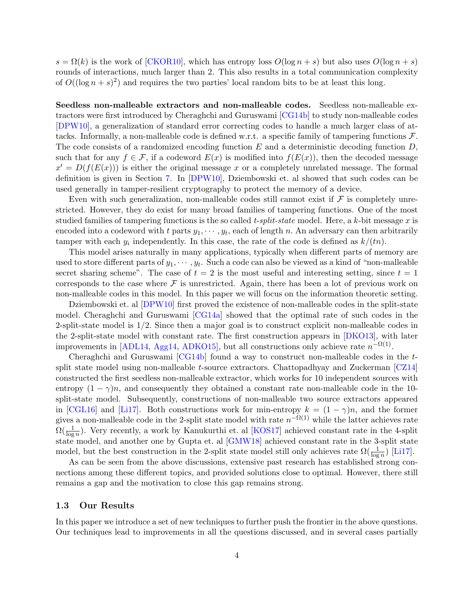$s = \Omega(k)$  is the work of [\[CKOR10\]](#page-49-6), which has entropy loss  $O(\log n + s)$  but also uses  $O(\log n + s)$ rounds of interactions, much larger than 2. This also results in a total communication complexity of  $O((\log n + s)^2)$  and requires the two parties' local random bits to be at least this long.

Seedless non-malleable extractors and non-malleable codes. Seedless non-malleable extractors were first introduced by Cheraghchi and Guruswami [\[CG14b\]](#page-49-5) to study non-malleable codes [\[DPW10\]](#page-50-9), a generalization of standard error correcting codes to handle a much larger class of attacks. Informally, a non-malleable code is defined w.r.t. a specific family of tampering functions  $\mathcal{F}$ . The code consists of a randomized encoding function  $E$  and a deterministic decoding function  $D$ , such that for any  $f \in \mathcal{F}$ , if a codeword  $E(x)$  is modified into  $f(E(x))$ , then the decoded message  $x' = D(f(E(x)))$  is either the original message x or a completely unrelated message. The formal definition is given in Section [7.](#page-36-0) In [\[DPW10\]](#page-50-9), Dziembowski et. al showed that such codes can be used generally in tamper-resilient cryptography to protect the memory of a device.

Even with such generalization, non-malleable codes still cannot exist if  $\mathcal F$  is completely unrestricted. However, they do exist for many broad families of tampering functions. One of the most studied families of tampering functions is the so called t-split-state model. Here, a k-bit message x is encoded into a codeword with t parts  $y_1, \dots, y_t$ , each of length n. An adversary can then arbitrarily tamper with each  $y_i$  independently. In this case, the rate of the code is defined as  $k/(tn)$ .

This model arises naturally in many applications, typically when different parts of memory are used to store different parts of  $y_1, \dots, y_t$ . Such a code can also be viewed as a kind of "non-malleable" secret sharing scheme". The case of  $t = 2$  is the most useful and interesting setting, since  $t = 1$ corresponds to the case where  $\mathcal F$  is unrestricted. Again, there has been a lot of previous work on non-malleable codes in this model. In this paper we will focus on the information theoretic setting.

Dziembowski et. al [\[DPW10\]](#page-50-9) first proved the existence of non-malleable codes in the split-state model. Cheraghchi and Guruswami [\[CG14a\]](#page-48-7) showed that the optimal rate of such codes in the 2-split-state model is 1/2. Since then a major goal is to construct explicit non-malleable codes in the 2-split-state model with constant rate. The first construction appears in [\[DKO13\]](#page-50-10), with later improvements in [\[ADL14,](#page-48-8) [Agg14,](#page-48-9) [ADKO15\]](#page-48-10), but all constructions only achieve rate  $n^{-\Omega(1)}$ .

Cheraghchi and Guruswami  $\left[CG14b\right]$  found a way to construct non-malleable codes in the tsplit state model using non-malleable t-source extractors. Chattopadhyay and Zuckerman  $\left[{\rm CZ14}\right]$ constructed the first seedless non-malleable extractor, which works for 10 independent sources with entropy  $(1 - \gamma)n$ , and consequently they obtained a constant rate non-malleable code in the 10split-state model. Subsequently, constructions of non-malleable two source extractors appeared in [\[CGL16\]](#page-49-8) and [\[Li17\]](#page-51-0). Both constructions work for min-entropy  $k = (1 - \gamma)n$ , and the former gives a non-malleable code in the 2-split state model with rate  $n^{-\Omega(1)}$  while the latter achieves rate  $\Omega(\frac{1}{\log n})$ . Very recently, a work by Kanukurthi et. al [\[KOS17\]](#page-51-12) achieved constant rate in the 4-split state model, and another one by Gupta et. al [\[GMW18\]](#page-50-11) achieved constant rate in the 3-split state model, but the best construction in the 2-split state model still only achieves rate  $\Omega(\frac{1}{\log n})$  [\[Li17\]](#page-51-0).

As can be seen from the above discussions, extensive past research has established strong connections among these different topics, and provided solutions close to optimal. However, there still remains a gap and the motivation to close this gap remains strong.

#### 1.3 Our Results

In this paper we introduce a set of new techniques to further push the frontier in the above questions. Our techniques lead to improvements in all the questions discussed, and in several cases partially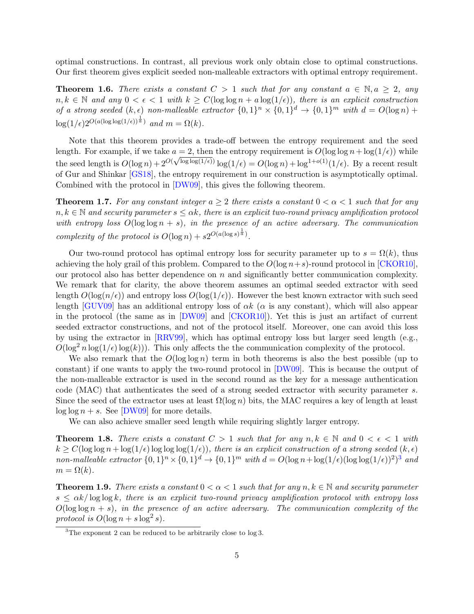optimal constructions. In contrast, all previous work only obtain close to optimal constructions. Our first theorem gives explicit seeded non-malleable extractors with optimal entropy requirement.

<span id="page-5-1"></span>**Theorem 1.6.** There exists a constant  $C > 1$  such that for any constant  $a \in \mathbb{N}, a \geq 2$ , any  $n, k \in \mathbb{N}$  and any  $0 < \epsilon < 1$  with  $k \ge C(\log \log n + a \log(1/\epsilon))$ , there is an explicit construction of a strong seeded  $(k, \epsilon)$  non-malleable extractor  $\{0, 1\}^n \times \{0, 1\}^d \to \{0, 1\}^m$  with  $d = O(\log n) +$  $\log(1/\epsilon)2^{O(a(\log\log(1/\epsilon))^{\frac{1}{a}})}$  and  $m = \Omega(k)$ .

Note that this theorem provides a trade-off between the entropy requirement and the seed length. For example, if we take  $a = 2$ , then the entropy requirement is  $O(\log \log n + \log(1/\epsilon))$  while the seed length is  $O(\log n) + 2^{O(\sqrt{\log \log(1/\epsilon)})} \log(1/\epsilon) = O(\log n) + \log^{1+o(1)}(1/\epsilon)$ . By a recent result of Gur and Shinkar [\[GS18\]](#page-50-0), the entropy requirement in our construction is asymptotically optimal. Combined with the protocol in [\[DW09\]](#page-50-6), this gives the following theorem.

**Theorem 1.7.** For any constant integer  $a > 2$  there exists a constant  $0 < \alpha < 1$  such that for any  $n, k \in \mathbb{N}$  and security parameter  $s \leq \alpha k$ , there is an explicit two-round privacy amplification protocol with entropy loss  $O(\log \log n + s)$ , in the presence of an active adversary. The communication complexity of the protocol is  $O(\log n) + s2^{O(a(\log s)^{\frac{1}{a}})}$ .

Our two-round protocol has optimal entropy loss for security parameter up to  $s = \Omega(k)$ , thus achieving the holy grail of this problem. Compared to the  $O(\log n + s)$ -round protocol in [\[CKOR10\]](#page-49-6), our protocol also has better dependence on n and significantly better communication complexity. We remark that for clarity, the above theorem assumes an optimal seeded extractor with seed length  $O(\log(n/\epsilon))$  and entropy loss  $O(\log(1/\epsilon))$ . However the best known extractor with such seed length [\[GUV09\]](#page-50-1) has an additional entropy loss of  $\alpha k$  ( $\alpha$  is any constant), which will also appear in the protocol (the same as in [\[DW09\]](#page-50-6) and [\[CKOR10\]](#page-49-6)). Yet this is just an artifact of current seeded extractor constructions, and not of the protocol itself. Moreover, one can avoid this loss by using the extractor in [\[RRV99\]](#page-52-7), which has optimal entropy loss but larger seed length (e.g.,  $O(\log^2 n \log(1/\epsilon) \log(k))$ . This only affects the the communication complexity of the protocol.

We also remark that the  $O(\log \log n)$  term in both theorems is also the best possible (up to constant) if one wants to apply the two-round protocol in [\[DW09\]](#page-50-6). This is because the output of the non-malleable extractor is used in the second round as the key for a message authentication code (MAC) that authenticates the seed of a strong seeded extractor with security parameter s. Since the seed of the extractor uses at least  $\Omega(\log n)$  bits, the MAC requires a key of length at least  $\log \log n + s$ . See [\[DW09\]](#page-50-6) for more details.

We can also achieve smaller seed length while requiring slightly larger entropy.

<span id="page-5-2"></span>**Theorem 1.8.** There exists a constant  $C > 1$  such that for any  $n, k \in \mathbb{N}$  and  $0 < \epsilon < 1$  with  $k \geq C(\log \log n + \log(1/\epsilon)) \log \log(1/\epsilon))$ , there is an explicit construction of a strong seeded  $(k, \epsilon)$ non-malleable extractor  $\{0,1\}^n \times \{0,1\}^d \to \{0,1\}^m$  with  $d = O(\log n + \log(1/\epsilon)(\log \log(1/\epsilon))^2)^3$  $d = O(\log n + \log(1/\epsilon)(\log \log(1/\epsilon))^2)^3$  and  $m = \Omega(k)$ .

**Theorem 1.9.** There exists a constant  $0 < \alpha < 1$  such that for any  $n, k \in \mathbb{N}$  and security parameter  $s \leq \alpha k / \log \log k$ , there is an explicit two-round privacy amplification protocol with entropy loss  $O(\log \log n + s)$ , in the presence of an active adversary. The communication complexity of the protocol is  $O(\log n + s \log^2 s)$ .

<span id="page-5-0"></span> $3$ The exponent 2 can be reduced to be arbitrarily close to  $log 3$ .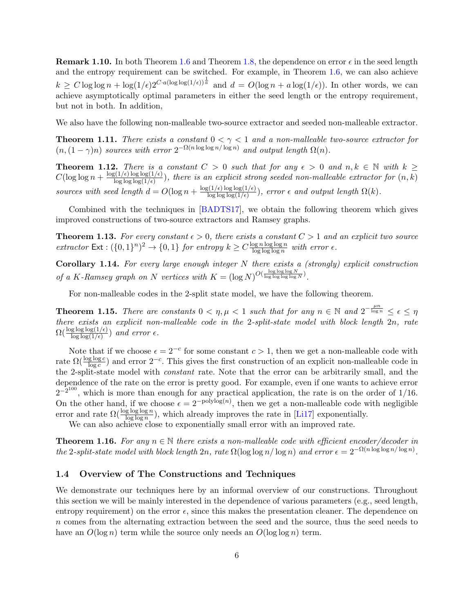**Remark 1.10.** In both Theorem [1.6](#page-5-1) and Theorem [1.8,](#page-5-2) the dependence on error  $\epsilon$  in the seed length and the entropy requirement can be switched. For example, in Theorem [1.6,](#page-5-1) we can also achieve  $k \geq C \log \log n + \log(1/\epsilon) 2^{C \cdot a (\log \log(1/\epsilon))^{\frac{1}{a}}}$  and  $d = O(\log n + a \log(1/\epsilon))$ . In other words, we can achieve asymptotically optimal parameters in either the seed length or the entropy requirement, but not in both. In addition,

We also have the following non-malleable two-source extractor and seeded non-malleable extractor.

<span id="page-6-0"></span>**Theorem 1.11.** There exists a constant  $0 < \gamma < 1$  and a non-malleable two-source extractor for  $(n,(1-\gamma)n)$  sources with error  $2^{-\Omega(n\log\log n/\log n)}$  and output length  $\Omega(n)$ .

<span id="page-6-1"></span>**Theorem 1.12.** There is a constant  $C > 0$  such that for any  $\epsilon > 0$  and  $n, k \in \mathbb{N}$  with  $k \geq$  $C(\log \log n + \frac{\log(1/\epsilon) \log \log(1/\epsilon)}{\log \log \log(1/\epsilon)})$  $\frac{\log \log \log (1/\epsilon)}{\log \log (1/\epsilon)}$ , there is an explicit strong seeded non-malleable extractor for  $(n, k)$ sources with seed length  $d = O(\log n + \frac{\log(1/\epsilon) \log \log(1/\epsilon)}{\log \log \log(1/\epsilon)})$  $\frac{\log \log \log(1/\epsilon)}{\log \log \log(1/\epsilon)}$ , error  $\epsilon$  and output length  $\Omega(k)$ .

Combined with the techniques in [\[BADTS17\]](#page-48-5), we obtain the following theorem which gives improved constructions of two-source extractors and Ramsey graphs.

<span id="page-6-2"></span>**Theorem 1.13.** For every constant  $\epsilon > 0$ , there exists a constant  $C > 1$  and an explicit two source extractor  $\text{Ext}: (\{0,1\}^n)^2 \to \{0,1\}$  for entropy  $k \geq C \frac{\log n \log \log n}{\log \log \log n}$  $\frac{\log n \log \log n}{\log \log \log n}$  with error  $\epsilon$ .

Corollary 1.14. For every large enough integer N there exists a (strongly) explicit construction of a K-Ramsey graph on N vertices with  $K = (\log N)^{O(\frac{\log \log \log N}{\log \log \log \log N})}$ .

For non-malleable codes in the 2-split state model, we have the following theorem.

**Theorem 1.15.** There are constants  $0 < \eta, \mu < 1$  such that for any  $n \in \mathbb{N}$  and  $2^{-\frac{\mu n}{\log n}} \leq \epsilon \leq \eta$ there exists an explicit non-malleable code in the 2-split-state model with block length 2n, rate  $\Omega(\frac{\log \log \log(1/\epsilon)}{\log \log(1/\epsilon)})$  and error  $\epsilon$ .

Note that if we choose  $\epsilon = 2^{-c}$  for some constant  $c > 1$ , then we get a non-malleable code with rate  $\Omega(\frac{\log \log c}{\log c})$  and error  $2^{-c}$ . This gives the first construction of an explicit non-malleable code in the 2-split-state model with constant rate. Note that the error can be arbitrarily small, and the dependence of the rate on the error is pretty good. For example, even if one wants to achieve error  $2^{-2^{100}}$ , which is more than enough for any practical application, the rate is on the order of 1/16. On the other hand, if we choose  $\epsilon = 2^{-\text{polylog}(n)}$ , then we get a non-malleable code with negligible error and rate  $\Omega(\frac{\log \log \log n}{\log \log n})$ , which already improves the rate in [\[Li17\]](#page-51-0) exponentially.

We can also achieve close to exponentially small error with an improved rate.

<span id="page-6-3"></span>**Theorem 1.16.** For any  $n \in \mathbb{N}$  there exists a non-malleable code with efficient encoder/decoder in the 2-split-state model with block length  $2n$ , rate  $\Omega(\log \log n / \log n)$  and error  $\epsilon = 2^{-\Omega(n \log \log n / \log n)}$ .

#### 1.4 Overview of The Constructions and Techniques

We demonstrate our techniques here by an informal overview of our constructions. Throughout this section we will be mainly interested in the dependence of various parameters (e.g., seed length, entropy requirement) on the error  $\epsilon$ , since this makes the presentation cleaner. The dependence on n comes from the alternating extraction between the seed and the source, thus the seed needs to have an  $O(\log n)$  term while the source only needs an  $O(\log \log n)$  term.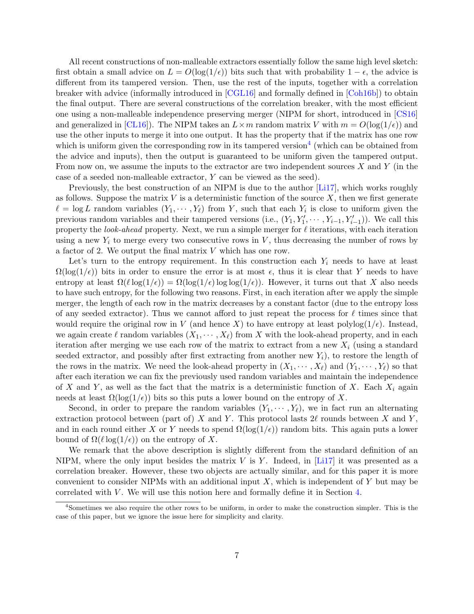All recent constructions of non-malleable extractors essentially follow the same high level sketch: first obtain a small advice on  $L = O(\log(1/\epsilon))$  bits such that with probability  $1 - \epsilon$ , the advice is different from its tampered version. Then, use the rest of the inputs, together with a correlation breaker with advice (informally introduced in [\[CGL16\]](#page-49-8) and formally defined in [\[Coh16b\]](#page-49-9)) to obtain the final output. There are several constructions of the correlation breaker, with the most efficient one using a non-malleable independence preserving merger (NIPM for short, introduced in [\[CS16\]](#page-49-1) and generalized in [\[CL16\]](#page-49-2)). The NIPM takes an  $L \times m$  random matrix V with  $m = O(\log(1/\epsilon))$  and use the other inputs to merge it into one output. It has the property that if the matrix has one row which is uniform given the corresponding row in its tampered version<sup>[4](#page-7-0)</sup> (which can be obtained from the advice and inputs), then the output is guaranteed to be uniform given the tampered output. From now on, we assume the inputs to the extractor are two independent sources  $X$  and  $Y$  (in the case of a seeded non-malleable extractor, Y can be viewed as the seed).

Previously, the best construction of an NIPM is due to the author [\[Li17\]](#page-51-0), which works roughly as follows. Suppose the matrix  $V$  is a deterministic function of the source  $X$ , then we first generate  $\ell = \log L$  random variables  $(Y_1, \dots, Y_\ell)$  from Y, such that each  $Y_i$  is close to uniform given the previous random variables and their tampered versions (i.e.,  $(Y_1, Y'_1, \cdots, Y_{i-1}, Y'_{i-1})$ ). We call this property the look-ahead property. Next, we run a simple merger for  $\ell$  iterations, with each iteration using a new  $Y_i$  to merge every two consecutive rows in V, thus decreasing the number of rows by a factor of 2. We output the final matrix  $V$  which has one row.

Let's turn to the entropy requirement. In this construction each  $Y_i$  needs to have at least  $\Omega(\log(1/\epsilon))$  bits in order to ensure the error is at most  $\epsilon$ , thus it is clear that Y needs to have entropy at least  $\Omega(\ell \log(1/\epsilon)) = \Omega(\log(1/\epsilon) \log \log(1/\epsilon))$ . However, it turns out that X also needs to have such entropy, for the following two reasons. First, in each iteration after we apply the simple merger, the length of each row in the matrix decreases by a constant factor (due to the entropy loss of any seeded extractor). Thus we cannot afford to just repeat the process for  $\ell$  times since that would require the original row in V (and hence X) to have entropy at least polylog $(1/\epsilon)$ . Instead, we again create  $\ell$  random variables  $(X_1, \dots, X_\ell)$  from X with the look-ahead property, and in each iteration after merging we use each row of the matrix to extract from a new  $X_i$  (using a standard seeded extractor, and possibly after first extracting from another new  $Y_i$ , to restore the length of the rows in the matrix. We need the look-ahead property in  $(X_1, \dots, X_\ell)$  and  $(Y_1, \dots, Y_\ell)$  so that after each iteration we can fix the previously used random variables and maintain the independence of X and Y, as well as the fact that the matrix is a deterministic function of X. Each  $X_i$  again needs at least  $\Omega(\log(1/\epsilon))$  bits so this puts a lower bound on the entropy of X.

Second, in order to prepare the random variables  $(Y_1, \dots, Y_\ell)$ , we in fact run an alternating extraction protocol between (part of) X and Y. This protocol lasts  $2\ell$  rounds between X and Y, and in each round either X or Y needs to spend  $\Omega(\log(1/\epsilon))$  random bits. This again puts a lower bound of  $\Omega(\ell \log(1/\epsilon))$  on the entropy of X.

We remark that the above description is slightly different from the standard definition of an NIPM, where the only input besides the matrix  $V$  is  $Y$ . Indeed, in [\[Li17\]](#page-51-0) it was presented as a correlation breaker. However, these two objects are actually similar, and for this paper it is more convenient to consider NIPMs with an additional input  $X$ , which is independent of Y but may be correlated with  $V$ . We will use this notion here and formally define it in Section [4.](#page-14-0)

<span id="page-7-0"></span><sup>4</sup>Sometimes we also require the other rows to be uniform, in order to make the construction simpler. This is the case of this paper, but we ignore the issue here for simplicity and clarity.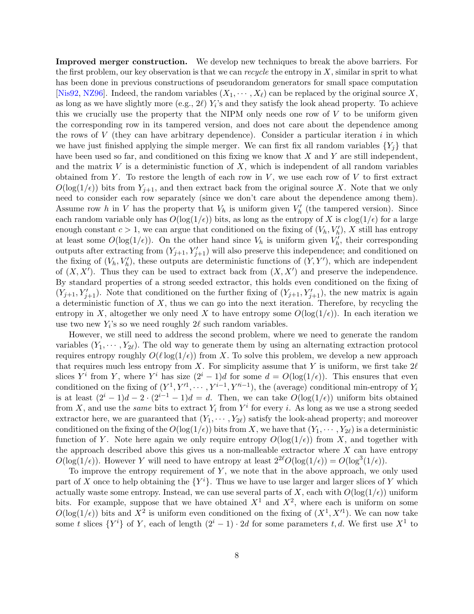Improved merger construction. We develop new techniques to break the above barriers. For the first problem, our key observation is that we can *recycle* the entropy in  $X$ , similar in sprit to what has been done in previous constructions of pseudorandom generators for small space computation [\[Nis92,](#page-52-8) [NZ96\]](#page-52-0). Indeed, the random variables  $(X_1, \dots, X_\ell)$  can be replaced by the original source X, as long as we have slightly more (e.g.,  $2\ell$ )  $Y_i$ 's and they satisfy the look ahead property. To achieve this we crucially use the property that the NIPM only needs one row of V to be uniform given the corresponding row in its tampered version, and does not care about the dependence among the rows of V (they can have arbitrary dependence). Consider a particular iteration i in which we have just finished applying the simple merger. We can first fix all random variables  $\{Y_i\}$  that have been used so far, and conditioned on this fixing we know that  $X$  and  $Y$  are still independent, and the matrix  $V$  is a deterministic function of  $X$ , which is independent of all random variables obtained from Y. To restore the length of each row in  $V$ , we use each row of  $V$  to first extract  $O(\log(1/\epsilon))$  bits from  $Y_{j+1}$ , and then extract back from the original source X. Note that we only need to consider each row separately (since we don't care about the dependence among them). Assume row h in V has the property that  $V_h$  is uniform given  $V_h'$  (the tampered version). Since each random variable only has  $O(\log(1/\epsilon))$  bits, as long as the entropy of X is  $c \log(1/\epsilon)$  for a large enough constant  $c > 1$ , we can argue that conditioned on the fixing of  $(V_h, V_h')$ , X still has entropy at least some  $O(\log(1/\epsilon))$ . On the other hand since  $V_h$  is uniform given  $V'_h$ , their corresponding outputs after extracting from  $(Y_{j+1}, Y'_{j+1})$  will also preserve this independence; and conditioned on the fixing of  $(V_h, V'_h)$ , these outputs are deterministic functions of  $(Y, Y')$ , which are independent of  $(X, X')$ . Thus they can be used to extract back from  $(X, X')$  and preserve the independence. By standard properties of a strong seeded extractor, this holds even conditioned on the fixing of  $(Y_{j+1}, Y'_{j+1})$ . Note that conditioned on the further fixing of  $(Y_{j+1}, Y'_{j+1})$ , the new matrix is again a deterministic function of  $X$ , thus we can go into the next iteration. Therefore, by recycling the entropy in X, altogether we only need X to have entropy some  $O(\log(1/\epsilon))$ . In each iteration we use two new  $Y_i$ 's so we need roughly  $2\ell$  such random variables.

However, we still need to address the second problem, where we need to generate the random variables  $(Y_1, \dots, Y_{2\ell})$ . The old way to generate them by using an alternating extraction protocol requires entropy roughly  $O(\ell \log(1/\epsilon))$  from X. To solve this problem, we develop a new approach that requires much less entropy from X. For simplicity assume that Y is uniform, we first take  $2\ell$ slices  $Y^i$  from Y, where  $Y^i$  has size  $(2^i - 1)d$  for some  $d = O(\log(1/\epsilon))$ . This ensures that even conditioned on the fixing of  $(Y^1, Y'^1, \dots, Y^{i-1}, Y'^{i-1})$ , the (average) conditional min-entropy of  $Y_i$ is at least  $(2^{i} - 1)d - 2 \cdot (2^{i-1} - 1)d = d$ . Then, we can take  $O(log(1/\epsilon))$  uniform bits obtained from X, and use the *same* bits to extract  $Y_i$  from  $Y^i$  for every i. As long as we use a strong seeded extractor here, we are guaranteed that  $(Y_1, \dots, Y_{2\ell})$  satisfy the look-ahead property; and moreover conditioned on the fixing of the  $O(\log(1/\epsilon))$  bits from X, we have that  $(Y_1, \dots, Y_{2\ell})$  is a deterministic function of Y. Note here again we only require entropy  $O(\log(1/\epsilon))$  from X, and together with the approach described above this gives us a non-malleable extractor where  $X$  can have entropy  $O(\log(1/\epsilon))$ . However Y will need to have entropy at least  $2^{2\ell}O(\log(1/\epsilon)) = O(\log^3(1/\epsilon))$ .

To improve the entropy requirement of  $Y$ , we note that in the above approach, we only used part of X once to help obtaining the  ${Y^i}$ . Thus we have to use larger and larger slices of Y which actually waste some entropy. Instead, we can use several parts of X, each with  $O(\log(1/\epsilon))$  uniform bits. For example, suppose that we have obtained  $X^1$  and  $X^2$ , where each is uniform on some  $O(\log(1/\epsilon))$  bits and  $X^2$  is uniform even conditioned on the fixing of  $(X^1, X'^1)$ . We can now take some t slices  $\{Y^i\}$  of Y, each of length  $(2^i - 1) \cdot 2d$  for some parameters t, d. We first use  $X^1$  to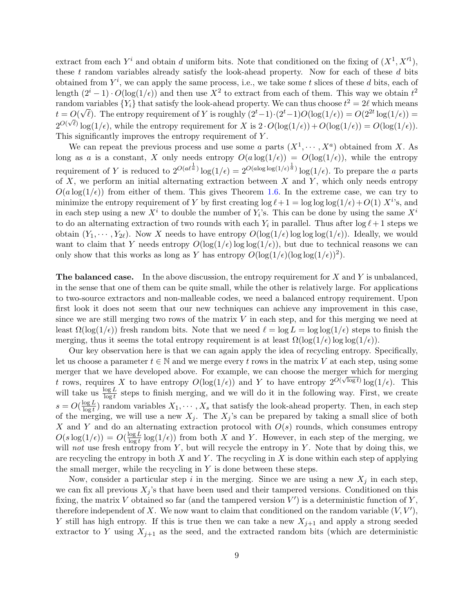extract from each  $Y^i$  and obtain d uniform bits. Note that conditioned on the fixing of  $(X^1, X'^1)$ , these  $t$  random variables already satisfy the look-ahead property. Now for each of these  $d$  bits obtained from  $Y^i$ , we can apply the same process, i.e., we take some t slices of these d bits, each of length  $(2^i - 1) \cdot O(\log(1/\epsilon))$  and then use  $X^2$  to extract from each of them. This way we obtain  $t^2$ random variables  $\{Y_i\}$  that satisfy the look-ahead property. We can thus choose  $t^2 = 2\ell$  which means  $t = O(\sqrt{\ell})$ . The entropy requirement of Y is roughly  $(2^t-1)\cdot(2^t-1)O(\log(1/\epsilon)) = O(2^{2t}\log(1/\epsilon)) =$  $2^{O(\sqrt{\ell})}\log(1/\epsilon)$ , while the entropy requirement for X is  $2 \cdot O(\log(1/\epsilon)) + O(\log(1/\epsilon)) = O(\log(1/\epsilon)).$ This significantly improves the entropy requirement of Y.

We can repeat the previous process and use some a parts  $(X^1, \dots, X^a)$  obtained from X. As long as a is a constant, X only needs entropy  $O(a \log(1/\epsilon)) = O(\log(1/\epsilon))$ , while the entropy requirement of Y is reduced to  $2^{O(a\ell^{\frac{1}{a}})}\log(1/\epsilon) = 2^{O(a\log\log(1/\epsilon)^{\frac{1}{a}})}\log(1/\epsilon)$ . To prepare the a parts of  $X$ , we perform an initial alternating extraction between  $X$  and  $Y$ , which only needs entropy  $O(a \log(1/\epsilon))$  from either of them. This gives Theorem [1.6.](#page-5-1) In the extreme case, we can try to minimize the entropy requirement of Y by first creating  $\log \ell + 1 = \log \log \log(1/\epsilon) + O(1) X^{i}$ 's, and in each step using a new  $X^i$  to double the number of  $Y_i$ 's. This can be done by using the same  $X^i$ to do an alternating extraction of two rounds with each  $Y_i$  in parallel. Thus after  $\log \ell + 1$  steps we obtain  $(Y_1, \dots, Y_{2\ell})$ . Now X needs to have entropy  $O(\log(1/\epsilon))$  log log( $1/\epsilon$ )). Ideally, we would want to claim that Y needs entropy  $O(\log(1/\epsilon))$  log  $\log(1/\epsilon)$ , but due to technical reasons we can only show that this works as long as Y has entropy  $O(\log(1/\epsilon)(\log \log(1/\epsilon))^2)$ .

**The balanced case.** In the above discussion, the entropy requirement for  $X$  and  $Y$  is unbalanced, in the sense that one of them can be quite small, while the other is relatively large. For applications to two-source extractors and non-malleable codes, we need a balanced entropy requirement. Upon first look it does not seem that our new techniques can achieve any improvement in this case, since we are still merging two rows of the matrix  $V$  in each step, and for this merging we need at least  $\Omega(\log(1/\epsilon))$  fresh random bits. Note that we need  $\ell = \log L = \log \log(1/\epsilon)$  steps to finish the merging, thus it seems the total entropy requirement is at least  $\Omega(\log(1/\epsilon))\log(\log(1/\epsilon))$ .

Our key observation here is that we can again apply the idea of recycling entropy. Specifically, let us choose a parameter  $t \in \mathbb{N}$  and we merge every t rows in the matrix V at each step, using some merger that we have developed above. For example, we can choose the merger which for merging theight that we have developed above. For example, we can choose the merger which for merging t rows, requires X to have entropy  $O(\log(1/\epsilon))$  and Y to have entropy  $2^{O(\sqrt{\log t})} \log(1/\epsilon)$ . This will take us  $\frac{\log L}{\log t}$  steps to finish merging, and we will do it in the following way. First, we create  $s = O(\frac{\log L}{\log t})$  $\frac{\log L}{\log t}$ ) random variables  $X_1, \cdots, X_s$  that satisfy the look-ahead property. Then, in each step of the merging, we will use a new  $X_j$ . The  $X_j$ 's can be prepared by taking a small slice of both X and Y and do an alternating extraction protocol with  $O(s)$  rounds, which consumes entropy  $O(s \log(1/\epsilon)) = O(\frac{\log L}{\log t})$  $\frac{\log L}{\log t}$  log(1/ $\epsilon$ )) from both X and Y. However, in each step of the merging, we will not use fresh entropy from Y, but will recycle the entropy in Y. Note that by doing this, we are recycling the entropy in both  $X$  and  $Y$ . The recycling in  $X$  is done within each step of applying the small merger, while the recycling in  $Y$  is done between these steps.

Now, consider a particular step i in the merging. Since we are using a new  $X_i$  in each step, we can fix all previous  $X_j$ 's that have been used and their tampered versions. Conditioned on this fixing, the matrix V obtained so far (and the tampered version  $V'$ ) is a deterministic function of Y, therefore independent of X. We now want to claim that conditioned on the random variable  $(V, V')$ , Y still has high entropy. If this is true then we can take a new  $X_{j+1}$  and apply a strong seeded extractor to Y using  $X_{j+1}$  as the seed, and the extracted random bits (which are deterministic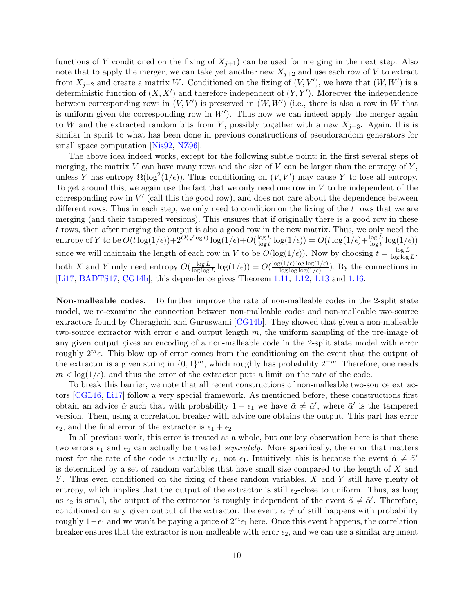functions of Y conditioned on the fixing of  $X_{j+1}$  can be used for merging in the next step. Also note that to apply the merger, we can take yet another new  $X_{j+2}$  and use each row of V to extract from  $X_{j+2}$  and create a matrix W. Conditioned on the fixing of  $(V, V')$ , we have that  $(W, W')$  is a deterministic function of  $(X, X')$  and therefore independent of  $(Y, Y')$ . Moreover the independence between corresponding rows in  $(V, V')$  is preserved in  $(W, W')$  (i.e., there is also a row in W that is uniform given the corresponding row in  $W'$ ). Thus now we can indeed apply the merger again to W and the extracted random bits from Y, possibly together with a new  $X_{i+3}$ . Again, this is similar in spirit to what has been done in previous constructions of pseudorandom generators for small space computation [\[Nis92,](#page-52-8) [NZ96\]](#page-52-0).

The above idea indeed works, except for the following subtle point: in the first several steps of merging, the matrix  $V$  can have many rows and the size of  $V$  can be larger than the entropy of  $Y$ , unless Y has entropy  $\Omega(\log^2(1/\epsilon))$ . Thus conditioning on  $(V, V')$  may cause Y to lose all entropy. To get around this, we again use the fact that we only need one row in  $V$  to be independent of the corresponding row in  $V'$  (call this the good row), and does not care about the dependence between different rows. Thus in each step, we only need to condition on the fixing of the t rows that we are merging (and their tampered versions). This ensures that if originally there is a good row in these t rows, then after merging the output is also a good row in the new matrix. Thus, we only need the t lows, then after merging the output is also a good fow in<br>entropy of Y to be  $O(t \log(1/\epsilon)) + 2^{O(\sqrt{\log t})} \log(1/\epsilon) + O(\frac{\log L}{\log t})$  $\frac{\log L}{\log t} \log(1/\epsilon)$  =  $O(t \log(1/\epsilon) + \frac{\log L}{\log t} \log(1/\epsilon))$ since we will maintain the length of each row in V to be  $O(\log(1/\epsilon))$ . Now by choosing  $t = \frac{\log L}{\log \log \epsilon}$  $\frac{\log L}{\log \log L}$ both X and Y only need entropy  $O(\frac{\log L}{\log \log L})$  $\frac{\log L}{\log\log L}\log(1/\epsilon)) = O(\frac{\log(1/\epsilon)\log\log(1/\epsilon)}{\log\log\log(1/\epsilon)})$  $\frac{\log\log\log(1/\epsilon)}{\log\log\log(1/\epsilon)}$ . By the connections in [\[Li17,](#page-51-0) [BADTS17,](#page-48-5) [CG14b\]](#page-49-5), this dependence gives Theorem [1.11,](#page-6-0) [1.12,](#page-6-1) [1.13](#page-6-2) and [1.16.](#page-6-3)

Non-malleable codes. To further improve the rate of non-malleable codes in the 2-split state model, we re-examine the connection between non-malleable codes and non-malleable two-source extractors found by Cheraghchi and Guruswami [\[CG14b\]](#page-49-5). They showed that given a non-malleable two-source extractor with error  $\epsilon$  and output length m, the uniform sampling of the pre-image of any given output gives an encoding of a non-malleable code in the 2-split state model with error roughly  $2^m \epsilon$ . This blow up of error comes from the conditioning on the event that the output of the extractor is a given string in  $\{0,1\}^m$ , which roughly has probability  $2^{-m}$ . Therefore, one needs  $m < \log(1/\epsilon)$ , and thus the error of the extractor puts a limit on the rate of the code.

To break this barrier, we note that all recent constructions of non-malleable two-source extractors [\[CGL16,](#page-49-8) [Li17\]](#page-51-0) follow a very special framework. As mentioned before, these constructions first obtain an advice  $\tilde{\alpha}$  such that with probability  $1 - \epsilon_1$  we have  $\tilde{\alpha} \neq \tilde{\alpha}'$ , where  $\tilde{\alpha}'$  is the tampered version. Then, using a correlation breaker with advice one obtains the output. This part has error  $\epsilon_2$ , and the final error of the extractor is  $\epsilon_1 + \epsilon_2$ .

In all previous work, this error is treated as a whole, but our key observation here is that these two errors  $\epsilon_1$  and  $\epsilon_2$  can actually be treated separately. More specifically, the error that matters most for the rate of the code is actually  $\epsilon_2$ , not  $\epsilon_1$ . Intuitively, this is because the event  $\tilde{\alpha} \neq \tilde{\alpha}'$ is determined by a set of random variables that have small size compared to the length of X and Y . Thus even conditioned on the fixing of these random variables, X and Y still have plenty of entropy, which implies that the output of the extractor is still  $\epsilon_2$ -close to uniform. Thus, as long as  $\epsilon_2$  is small, the output of the extractor is roughly independent of the event  $\tilde{\alpha} \neq \tilde{\alpha}'$ . Therefore, conditioned on any given output of the extractor, the event  $\tilde{\alpha} \neq \tilde{\alpha}'$  still happens with probability roughly 1– $\epsilon_1$  and we won't be paying a price of  $2^m\epsilon_1$  here. Once this event happens, the correlation breaker ensures that the extractor is non-malleable with error  $\epsilon_2$ , and we can use a similar argument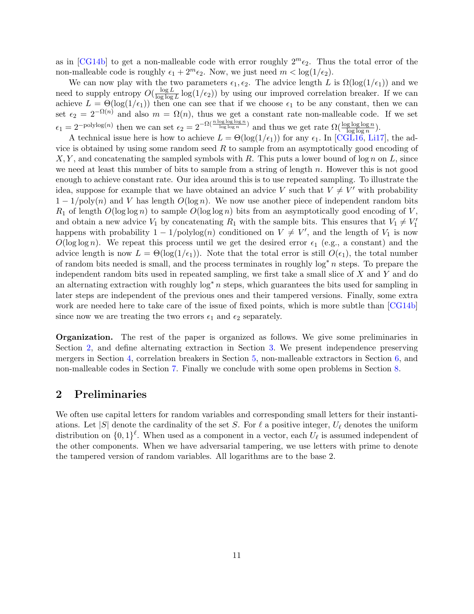as in [\[CG14b\]](#page-49-5) to get a non-malleable code with error roughly  $2^m\epsilon_2$ . Thus the total error of the non-malleable code is roughly  $\epsilon_1 + 2^m \epsilon_2$ . Now, we just need  $m < \log(1/\epsilon_2)$ .

We can now play with the two parameters  $\epsilon_1, \epsilon_2$ . The advice length L is  $\Omega(\log(1/\epsilon_1))$  and we need to supply entropy  $O(\frac{\log L}{\log \log L})$  $\frac{\log L}{\log \log L} \log(1/\epsilon_2)$  by using our improved correlation breaker. If we can achieve  $L = \Theta(\log(1/\epsilon_1))$  then one can see that if we choose  $\epsilon_1$  to be any constant, then we can set  $\epsilon_2 = 2^{-\Omega(n)}$  and also  $m = \Omega(n)$ , thus we get a constant rate non-malleable code. If we set  $\epsilon_1 = 2^{-\text{polylog}(n)}$  then we can set  $\epsilon_2 = 2^{-\Omega(\frac{n \log \log \log n}{\log \log n})}$  and thus we get rate  $\Omega(\frac{\log \log \log n}{\log \log n})$ .

A technical issue here is how to achieve  $L = \Theta(\log(1/\epsilon_1))$  for any  $\epsilon_1$ . In [\[CGL16,](#page-49-8) [Li17\]](#page-51-0), the advice is obtained by using some random seed  $R$  to sample from an asymptotically good encoding of  $X, Y$ , and concatenating the sampled symbols with R. This puts a lower bound of log n on L, since we need at least this number of bits to sample from a string of length  $n$ . However this is not good enough to achieve constant rate. Our idea around this is to use repeated sampling. To illustrate the idea, suppose for example that we have obtained an advice V such that  $V \neq V'$  with probability  $1 - 1/\text{poly}(n)$  and V has length  $O(\log n)$ . We now use another piece of independent random bits  $R_1$  of length  $O(\log \log n)$  to sample  $O(\log \log n)$  bits from an asymptotically good encoding of V, and obtain a new advice  $V_1$  by concatenating  $R_1$  with the sample bits. This ensures that  $V_1 \neq V_1'$ happens with probability  $1 - 1/\text{polylog}(n)$  conditioned on  $V \neq V'$ , and the length of  $V_1$  is now  $O(\log \log n)$ . We repeat this process until we get the desired error  $\epsilon_1$  (e.g., a constant) and the advice length is now  $L = \Theta(\log(1/\epsilon_1))$ . Note that the total error is still  $O(\epsilon_1)$ , the total number of random bits needed is small, and the process terminates in roughly  $\log^* n$  steps. To prepare the independent random bits used in repeated sampling, we first take a small slice of  $X$  and  $Y$  and do an alternating extraction with roughly  $\log^* n$  steps, which guarantees the bits used for sampling in later steps are independent of the previous ones and their tampered versions. Finally, some extra work are needed here to take care of the issue of fixed points, which is more subtle than [\[CG14b\]](#page-49-5) since now we are treating the two errors  $\epsilon_1$  and  $\epsilon_2$  separately.

Organization. The rest of the paper is organized as follows. We give some preliminaries in Section [2,](#page-11-0) and define alternating extraction in Section [3.](#page-13-0) We present independence preserving mergers in Section [4,](#page-14-0) correlation breakers in Section [5,](#page-24-0) non-malleable extractors in Section [6,](#page-31-0) and non-malleable codes in Section [7.](#page-36-0) Finally we conclude with some open problems in Section [8.](#page-47-0)

## <span id="page-11-0"></span>2 Preliminaries

We often use capital letters for random variables and corresponding small letters for their instantiations. Let |S| denote the cardinality of the set S. For  $\ell$  a positive integer,  $U_{\ell}$  denotes the uniform distribution on  $\{0,1\}^{\ell}$ . When used as a component in a vector, each  $U_{\ell}$  is assumed independent of the other components. When we have adversarial tampering, we use letters with prime to denote the tampered version of random variables. All logarithms are to the base 2.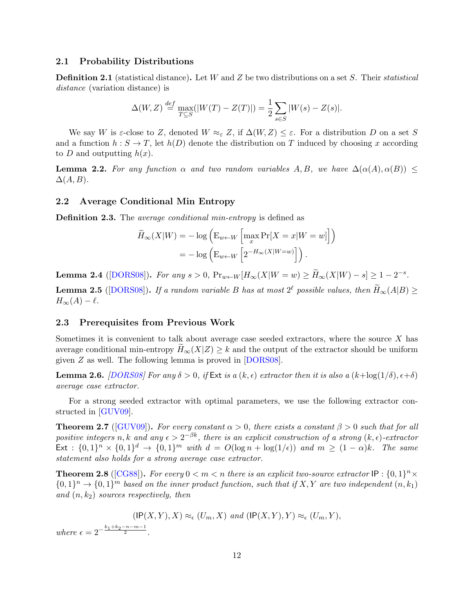#### 2.1 Probability Distributions

**Definition 2.1** (statistical distance). Let W and Z be two distributions on a set S. Their statistical distance (variation distance) is

$$
\Delta(W, Z) \stackrel{def}{=} \max_{T \subseteq S} (|W(T) - Z(T)|) = \frac{1}{2} \sum_{s \in S} |W(s) - Z(s)|.
$$

We say W is  $\varepsilon$ -close to Z, denoted  $W \approx_{\varepsilon} Z$ , if  $\Delta(W, Z) \leq \varepsilon$ . For a distribution D on a set S and a function  $h : S \to T$ , let  $h(D)$  denote the distribution on T induced by choosing x according to D and outputting  $h(x)$ .

**Lemma 2.2.** For any function  $\alpha$  and two random variables A, B, we have  $\Delta(\alpha(A), \alpha(B)) \leq$  $\Delta(A, B)$ .

#### 2.2 Average Conditional Min Entropy

**Definition 2.3.** The *average conditional min-entropy* is defined as

$$
\widetilde{H}_{\infty}(X|W) = -\log\left(\mathbf{E}_{w \leftarrow W}\left[\max_{x} \Pr[X=x|W=w]\right]\right)
$$

$$
= -\log\left(\mathbf{E}_{w \leftarrow W}\left[2^{-H_{\infty}(X|W=w)}\right]\right).
$$

Lemma 2.4 ([\[DORS08\]](#page-50-12)). For any  $s > 0$ ,  $Pr_{w \leftarrow W} [H_\infty(X|W=w) \ge \widetilde{H}_\infty(X|W) - s] \ge 1 - 2^{-s}$ .

**Lemma 2.5** ([\[DORS08\]](#page-50-12)). If a random variable B has at most  $2^{\ell}$  possible values, then  $\widetilde{H}_{\infty}(A|B) \ge$  $H_{\infty}(A) - \ell$ .

#### 2.3 Prerequisites from Previous Work

Sometimes it is convenient to talk about average case seeded extractors, where the source  $X$  has average conditional min-entropy  $H_{\infty}(X|Z) \geq k$  and the output of the extractor should be uniform given Z as well. The following lemma is proved in [\[DORS08\]](#page-50-12).

**Lemma 2.6.** [\[DORS08\]](#page-50-12) For any  $\delta > 0$ , if Ext is a  $(k, \epsilon)$  extractor then it is also a  $(k + \log(1/\delta), \epsilon + \delta)$ average case extractor.

For a strong seeded extractor with optimal parameters, we use the following extractor constructed in [\[GUV09\]](#page-50-1).

<span id="page-12-0"></span>**Theorem 2.7** ([\[GUV09\]](#page-50-1)). For every constant  $\alpha > 0$ , there exists a constant  $\beta > 0$  such that for all positive integers n, k and any  $\epsilon > 2^{-\beta k}$ , there is an explicit construction of a strong  $(k, \epsilon)$ -extractor  $\text{Ext}: \{0,1\}^n \times \{0,1\}^d \to \{0,1\}^m \text{ with } d = O(\log n + \log(1/\epsilon)) \text{ and } m \geq (1-\alpha)k.$  The same statement also holds for a strong average case extractor.

<span id="page-12-1"></span>**Theorem 2.8** ([\[CG88\]](#page-48-0)). For every  $0 < m < n$  there is an explicit two-source extractor IP :  $\{0,1\}^n \times$  ${0,1}^n \rightarrow {0,1}^m$  based on the inner product function, such that if X, Y are two independent  $(n, k_1)$ and  $(n, k_2)$  sources respectively, then

 $(\mathsf{IP}(X, Y), X) \approx_{\epsilon} (U_m, X) \text{ and } (\mathsf{IP}(X, Y), Y) \approx_{\epsilon} (U_m, Y),$ 

where  $\epsilon = 2^{-\frac{k_1 + k_2 - n - m - 1}{2}}$ .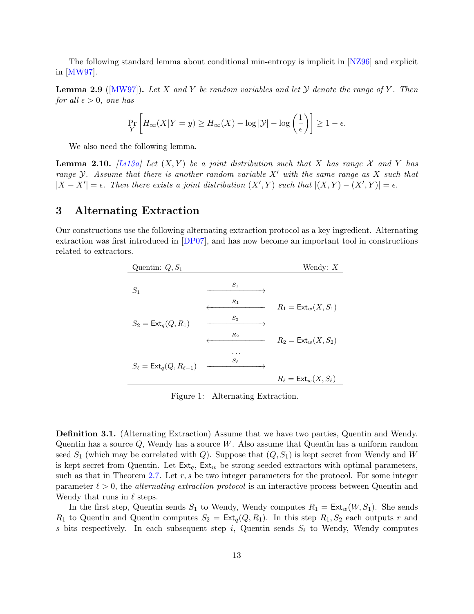The following standard lemma about conditional min-entropy is implicit in [\[NZ96\]](#page-52-0) and explicit in [\[MW97\]](#page-52-5).

**Lemma 2.9** ( $[MW97]$ ). Let X and Y be random variables and let Y denote the range of Y. Then for all  $\epsilon > 0$ , one has

$$
\Pr_{Y} \left[ H_{\infty}(X|Y=y) \ge H_{\infty}(X) - \log |\mathcal{Y}| - \log \left( \frac{1}{\epsilon} \right) \right] \ge 1 - \epsilon.
$$

We also need the following lemma.

**Lemma 2.10.** [\[Li13a\]](#page-51-6) Let  $(X, Y)$  be a joint distribution such that X has range X and Y has range Y. Assume that there is another random variable  $X'$  with the same range as X such that  $|X - X'| = \epsilon$ . Then there exists a joint distribution  $(X', Y)$  such that  $|(X, Y) - (X', Y)| = \epsilon$ .

# <span id="page-13-0"></span>3 Alternating Extraction

Our constructions use the following alternating extraction protocol as a key ingredient. Alternating extraction was first introduced in [\[DP07\]](#page-50-13), and has now become an important tool in constructions related to extractors.

| Quentin: $Q, S_1$                          |            | Wendy: $X$                               |
|--------------------------------------------|------------|------------------------------------------|
| $S_1$                                      | $S_1$      |                                          |
|                                            | $R_1$      | $R_1 = \text{Ext}_w(X, S_1)$             |
| $S_2 = \text{Ext}_q(Q, R_1)$               | $S_2$      |                                          |
|                                            | $R_2$      | $R_2 = \text{Ext}_w(X, S_2)$             |
| $S_{\ell} = \mathsf{Ext}_q(Q, R_{\ell-1})$ |            |                                          |
|                                            | $S_{\ell}$ |                                          |
|                                            |            | $R_{\ell} = \text{Ext}_{w}(X, S_{\ell})$ |

Figure 1: Alternating Extraction.

Definition 3.1. (Alternating Extraction) Assume that we have two parties, Quentin and Wendy. Quentin has a source  $Q$ , Wendy has a source W. Also assume that Quentin has a uniform random seed  $S_1$  (which may be correlated with Q). Suppose that  $(Q, S_1)$  is kept secret from Wendy and W is kept secret from Quentin. Let  $Ext_q$ ,  $Ext_w$  be strong seeded extractors with optimal parameters, such as that in Theorem [2.7.](#page-12-0) Let  $r, s$  be two integer parameters for the protocol. For some integer parameter  $\ell > 0$ , the *alternating extraction protocol* is an interactive process between Quentin and Wendy that runs in  $\ell$  steps.

In the first step, Quentin sends  $S_1$  to Wendy, Wendy computes  $R_1 = \text{Ext}_w(W, S_1)$ . She sends  $R_1$  to Quentin and Quentin computes  $S_2 = \text{Ext}_q(Q, R_1)$ . In this step  $R_1, S_2$  each outputs r and s bits respectively. In each subsequent step i, Quentin sends  $S_i$  to Wendy, Wendy computes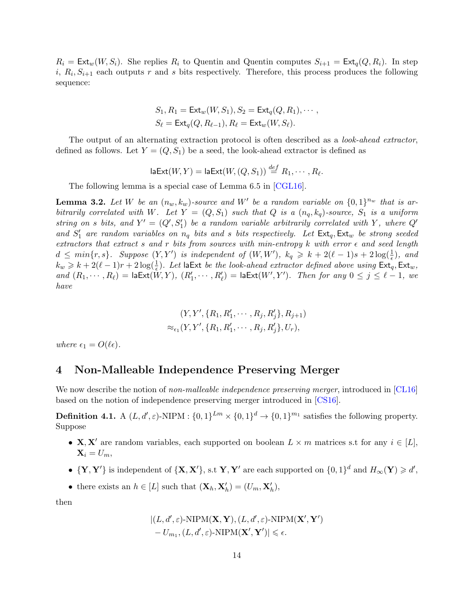$R_i = \text{Ext}_w(W, S_i)$ . She replies  $R_i$  to Quentin and Quentin computes  $S_{i+1} = \text{Ext}_q(Q, R_i)$ . In step  $i, R_i, S_{i+1}$  each outputs r and s bits respectively. Therefore, this process produces the following sequence:

$$
S_1, R_1 = \text{Ext}_w(W, S_1), S_2 = \text{Ext}_q(Q, R_1), \cdots,
$$
  
\n
$$
S_\ell = \text{Ext}_q(Q, R_{\ell-1}), R_\ell = \text{Ext}_w(W, S_\ell).
$$

The output of an alternating extraction protocol is often described as a *look-ahead extractor*, defined as follows. Let  $Y = (Q, S_1)$  be a seed, the look-ahead extractor is defined as

$$
\mathsf{laExt}(W,Y) = \mathsf{laExt}(W, (Q, S_1)) \stackrel{\text{def}}{=} R_1, \cdots, R_\ell.
$$

The following lemma is a special case of Lemma 6.5 in [\[CGL16\]](#page-49-8).

<span id="page-14-1"></span>**Lemma 3.2.** Let W be an  $(n_w, k_w)$ -source and W' be a random variable on  $\{0, 1\}^{n_w}$  that is arbitrarily correlated with W. Let  $Y = (Q, S_1)$  such that Q is a  $(n_q, k_q)$ -source,  $S_1$  is a uniform string on s bits, and  $Y' = (Q', S_1')$  be a random variable arbitrarily correlated with Y, where  $Q'$ and  $S'_1$  are random variables on  $n_q$  bits and s bits respectively. Let  $\textsf{Ext}_q$ ,  $\textsf{Ext}_w$  be strong seeded extractors that extract s and r bits from sources with min-entropy k with error  $\epsilon$  and seed length  $d \leq min\{r,s\}$ . Suppose  $(Y,Y')$  is independent of  $(W,W')$ ,  $k_q \geq k + 2(\ell-1)s + 2\log(\frac{1}{\epsilon})$ , and  $k_w \geq k + 2(\ell - 1)r + 2\log(\frac{1}{\epsilon})$ . Let la Ext be the look-ahead extractor defined above using  $\textsf{Ext}_q, \textsf{Ext}_w,$ and  $(R_1, \dots, R_\ell) = \textsf{laExt}(W, Y), (R'_1, \dots, R'_\ell) = \textsf{laExt}(W', Y').$  Then for any  $0 \leq j \leq \ell - 1$ , we have

$$
(Y, Y', \{R_1, R'_1, \cdots, R_j, R'_j\}, R_{j+1})
$$
  

$$
\approx_{\epsilon_1} (Y, Y', \{R_1, R'_1, \cdots, R_j, R'_j\}, U_r),
$$

where  $\epsilon_1 = O(\ell \epsilon)$ .

### <span id="page-14-0"></span>4 Non-Malleable Independence Preserving Merger

We now describe the notion of non-malleable independence preserving merger, introduced in [\[CL16\]](#page-49-2) based on the notion of independence preserving merger introduced in [\[CS16\]](#page-49-1).

**Definition 4.1.** A  $(L, d', \varepsilon)$ -NIPM :  $\{0, 1\}^{Lm} \times \{0, 1\}^{d} \to \{0, 1\}^{m_1}$  satisfies the following property. Suppose

- **X**, **X'** are random variables, each supported on boolean  $L \times m$  matrices s.t for any  $i \in [L]$ ,  $\mathbf{X}_i = U_m$
- $\{Y, Y'\}$  is independent of  $\{X, X'\}$ , s.t  $Y, Y'$  are each supported on  $\{0, 1\}^d$  and  $H_\infty(Y) \geq d'$ ,
- there exists an  $h \in [L]$  such that  $(\mathbf{X}_h, \mathbf{X}'_h) = (U_m, \mathbf{X}'_h)$ ,

then

$$
|(L, d', \varepsilon) \text{-}\text{NIPM}(\mathbf{X}, \mathbf{Y}), (L, d', \varepsilon) \text{-}\text{NIPM}(\mathbf{X}', \mathbf{Y}')- U_{m_1}, (L, d', \varepsilon) \text{-}\text{NIPM}(\mathbf{X}', \mathbf{Y}')| \leqslant \epsilon.
$$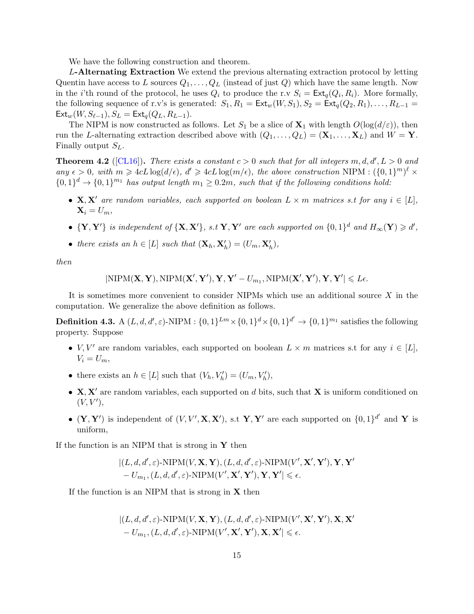We have the following construction and theorem.

L-Alternating Extraction We extend the previous alternating extraction protocol by letting Quentin have access to L sources  $Q_1, \ldots, Q_L$  (instead of just Q) which have the same length. Now in the *i*'th round of the protocol, he uses  $Q_i$  to produce the r.v  $S_i = \text{Ext}_q(Q_i, R_i)$ . More formally, the following sequence of r.v's is generated:  $S_1, R_1 = \text{Ext}_w(W, S_1), S_2 = \text{Ext}_q(Q_2, R_1), \ldots, R_{L-1} =$  $Ext_w(W, S_{\ell-1}), S_L = Ext_q(Q_L, R_{L-1}).$ 

The NIPM is now constructed as follows. Let  $S_1$  be a slice of  $\mathbf{X}_1$  with length  $O(\log(d/\varepsilon))$ , then run the L-alternating extraction described above with  $(Q_1, \ldots, Q_L) = (\mathbf{X}_1, \ldots, \mathbf{X}_L)$  and  $W = \mathbf{Y}$ . Finally output  $S_L$ .

<span id="page-15-0"></span>**Theorem 4.2** ([\[CL16\]](#page-49-2)). There exists a constant  $c > 0$  such that for all integers  $m, d, d', L > 0$  and any  $\epsilon > 0$ , with  $m \geqslant 4cL \log(d/\epsilon)$ ,  $d' \geqslant 4cL \log(m/\epsilon)$ , the above construction NIPM :  $({0, 1})^m)^{\ell} \times$  $\{0,1\}^d \to \{0,1\}^{m_1}$  has output length  $m_1 \geq 0.2m$ , such that if the following conditions hold:

- $X, X'$  are random variables, each supported on boolean  $L \times m$  matrices s.t for any  $i \in [L]$ ,  $\mathbf{X}_i = U_m$
- $\{Y, Y'\}$  is independent of  $\{X, X'\}$ , s.t  $Y, Y'$  are each supported on  $\{0, 1\}^d$  and  $H_\infty(Y) \geq d'$ ,
- there exists an  $h \in [L]$  such that  $(\mathbf{X}_h, \mathbf{X}'_h) = (U_m, \mathbf{X}'_h)$ ,

then

$$
|\textnormal{NIPM}(\mathbf{X},\mathbf{Y}),\textnormal{NIPM}(\mathbf{X}',\mathbf{Y}'),\mathbf{Y},\mathbf{Y}'-U_{m_1},\textnormal{NIPM}(\mathbf{X}',\mathbf{Y}'),\mathbf{Y},\mathbf{Y}'|\leqslant L\epsilon.
$$

It is sometimes more convenient to consider NIPMs which use an additional source  $X$  in the computation. We generalize the above definition as follows.

**Definition 4.3.** A  $(L, d, d', \varepsilon)$ -NIPM :  $\{0, 1\}^{Lm} \times \{0, 1\}^{d} \times \{0, 1\}^{d'} \to \{0, 1\}^{m_1}$  satisfies the following property. Suppose

- $V, V'$  are random variables, each supported on boolean  $L \times m$  matrices s.t for any  $i \in [L]$ ,  $V_i = U_m$ ,
- there exists an  $h \in [L]$  such that  $(V_h, V'_h) = (U_m, V'_h)$ ,
- $X, X'$  are random variables, each supported on d bits, such that X is uniform conditioned on  $(V, V'),$
- $(Y, Y')$  is independent of  $(V, V', X, X')$ , s.t Y, Y' are each supported on  $\{0, 1\}^{d'}$  and Y is uniform,

If the function is an NIPM that is strong in  $Y$  then

$$
\label{eq:3} \begin{split} &|(L,d,d',\varepsilon)\text{-}\textnormal{NIPM}(V,\mathbf{X},\mathbf{Y}),(L,d,d',\varepsilon)\text{-}\textnormal{NIPM}(V',\mathbf{X}',\mathbf{Y}'),\mathbf{Y},\mathbf{Y}'\\ &-U_{m_1},(L,d,d',\varepsilon)\text{-}\textnormal{NIPM}(V',\mathbf{X}',\mathbf{Y}'),\mathbf{Y},\mathbf{Y}'| \leqslant \epsilon. \end{split}
$$

If the function is an NIPM that is strong in  $X$  then

$$
|(L, d, d', \varepsilon) \text{-NIPM}(V, \mathbf{X}, \mathbf{Y}), (L, d, d', \varepsilon) \text{-NIPM}(V', \mathbf{X}', \mathbf{Y}'), \mathbf{X}, \mathbf{X}' - U_{m_1}, (L, d, d', \varepsilon) \text{-NIPM}(V', \mathbf{X}', \mathbf{Y}'), \mathbf{X}, \mathbf{X}' | \le \epsilon.
$$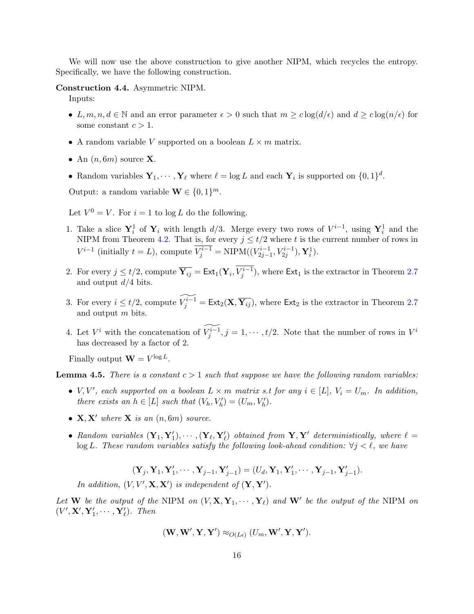We will now use the above construction to give another NIPM, which recycles the entropy. Specifically, we have the following construction.

#### <span id="page-16-0"></span>Construction 4.4. Asymmetric NIPM.

Inputs:

- L, m, n, d e  $\mathbb N$  and an error parameter  $\epsilon > 0$  such that  $m \geq c \log(d/\epsilon)$  and  $d \geq c \log(n/\epsilon)$  for some constant  $c > 1$ .
- A random variable V supported on a boolean  $L \times m$  matrix.
- An  $(n, 6m)$  source **X**.
- Random variables  $Y_1, \dots, Y_\ell$  where  $\ell = \log L$  and each  $Y_i$  is supported on  $\{0, 1\}^d$ .

Output: a random variable  $\mathbf{W} \in \{0,1\}^m$ .

Let  $V^0 = V$ . For  $i = 1$  to log L do the following.

- 1. Take a slice  $Y_i^1$  of  $Y_i$  with length  $d/3$ . Merge every two rows of  $V^{i-1}$ , using  $Y_i^1$  and the NIPM from Theorem [4.2.](#page-15-0) That is, for every  $j \le t/2$  where t is the current number of rows in  $V^{i-1}$  (initially  $t = L$ ), compute  $V_j^{i-1} = \text{NIPM}((V_{2j-1}^{i-1}, V_{2j}^{i-1}), \mathbf{Y}_i^1)$ .
- 2. For every  $j \le t/2$ , compute  $\overline{\mathbf{Y}_{ij}} = \textsf{Ext}_1(\mathbf{Y}_i, V_j^{i-1})$ , where  $\textsf{Ext}_1$  is the extractor in Theorem [2.7](#page-12-0) and output  $d/4$  bits.
- 3. For every  $i \le t/2$ , compute  $\widetilde{V_j^{i-1}} = \text{Ext}_2(\mathbf{X}, \overline{\mathbf{Y}_{ij}})$ , where  $\text{Ext}_2$  is the extractor in Theorem [2.7](#page-12-0) and output m bits.
- 4. Let  $V^i$  with the concatenation of  $\widetilde{V_j^{i-1}}$ ,  $j = 1, \cdots, t/2$ . Note that the number of rows in  $V^i$ has decreased by a factor of 2.

Finally output  $\mathbf{W} = V^{\log L}$ .

<span id="page-16-1"></span>**Lemma 4.5.** There is a constant  $c > 1$  such that suppose we have the following random variables:

- V, V', each supported on a boolean  $L \times m$  matrix s.t for any  $i \in [L]$ ,  $V_i = U_m$ . In addition, there exists an  $h \in [L]$  such that  $(V_h, V'_h) = (U_m, V'_h)$ .
- $X, X'$  where  $X$  is an  $(n, 6m)$  source.
- Random variables  $(Y_1, Y'_1), \cdots, (Y_\ell, Y'_\ell)$  obtained from  $Y, Y'$  deterministically, where  $\ell =$ log L. These random variables satisfy the following look-ahead condition:  $\forall j \leq \ell$ , we have

$$
(\mathbf{Y}_j,\mathbf{Y}_1,\mathbf{Y}_1',\cdots,\mathbf{Y}_{j-1},\mathbf{Y}_{j-1}')=(U_d,\mathbf{Y}_1,\mathbf{Y}_1',\cdots,\mathbf{Y}_{j-1},\mathbf{Y}_{j-1}').
$$

In addition,  $(V, V', \mathbf{X}, \mathbf{X}')$  is independent of  $(\mathbf{Y}, \mathbf{Y}')$ .

Let **W** be the output of the NIPM on  $(V, \mathbf{X}, \mathbf{Y}_1, \cdots, \mathbf{Y}_\ell)$  and  $\mathbf{W}'$  be the output of the NIPM on  $(V', \mathbf{X}', \mathbf{Y}'_1, \cdots, \mathbf{Y}'_{\ell}).$  Then

$$
(\mathbf{W},\mathbf{W}',\mathbf{Y},\mathbf{Y}') \approx_{O(L\epsilon)} (U_m,\mathbf{W}',\mathbf{Y},\mathbf{Y}').
$$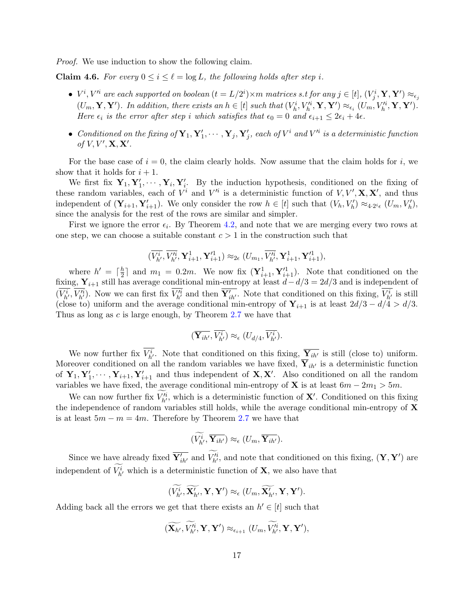Proof. We use induction to show the following claim.

**Claim 4.6.** For every  $0 \le i \le \ell = \log L$ , the following holds after step i.

- $\bullet$   $V^i, V'^i$  are each supported on boolean  $(t = L/2^i) \times m$  matrices s.t for any  $j \in [t]$ ,  $(V^i_j, \mathbf{Y}, \mathbf{Y}') \approx_{\epsilon_j}$  $(U_m, \mathbf{Y}, \mathbf{Y}')$ . In addition, there exists an  $h \in [t]$  such that  $(V_h^i, V_h'^i, \mathbf{Y}, \mathbf{Y}') \approx_{\epsilon_i} (U_m, V_h'^i, \mathbf{Y}, \mathbf{Y}')$ . Here  $\epsilon_i$  is the error after step i which satisfies that  $\epsilon_0 = 0$  and  $\epsilon_{i+1} \leq 2\epsilon_i + 4\epsilon$ .
- Conditioned on the fixing of  $\mathbf{Y}_1, \mathbf{Y}_1', \cdots, \mathbf{Y}_j, \mathbf{Y}_j'$ , each of  $V^i$  and  $V'^i$  is a deterministic function of  $V, V', \mathbf{X}, \mathbf{X}'$ .

For the base case of  $i = 0$ , the claim clearly holds. Now assume that the claim holds for i, we show that it holds for  $i + 1$ .

We first fix  $Y_1, Y'_1, \cdots, Y_i, Y'_i$ . By the induction hypothesis, conditioned on the fixing of these random variables, each of  $V^i$  and  $V'^i$  is a deterministic function of  $V, V', \mathbf{X}, \mathbf{X}'$ , and thus independent of  $(\mathbf{Y}_{i+1}, \mathbf{Y}'_{i+1})$ . We only consider the row  $h \in [t]$  such that  $(V_h, V'_h) \approx_{4 \cdot 2^i \epsilon} (U_m, V'_h)$ , since the analysis for the rest of the rows are similar and simpler.

First we ignore the error  $\epsilon_i$ . By Theorem [4.2,](#page-15-0) and note that we are merging every two rows at one step, we can choose a suitable constant  $c > 1$  in the construction such that

$$
(\overline{V_{h'}^i},\overline{V_{h'}'^i},\mathbf{Y}_{i+1}^1,\mathbf{Y}_{i+1}'^1)\approx_{2\epsilon} (U_{m_1},\overline{V_{h'}'^i},\mathbf{Y}_{i+1}^1,\mathbf{Y}_{i+1}'^1),
$$

where  $h' = \lceil \frac{h}{2} \rceil$  $\frac{h}{2}$  and  $m_1 = 0.2m$ . We now fix  $(\mathbf{Y}_{i+1}^1, \mathbf{Y}_{i+1}'^1)$ . Note that conditioned on the fixing,  $\mathbf{Y}_{i+1}$  still has average conditional min-entropy at least  $d-d/3 = 2d/3$  and is independent of  $(V^i_{h'}, V'^i_{h'})$ . Now we can first fix  $\overline{V'^i_{h'}}$  and then  $\overline{Y'_{ih'}}$ . Note that conditioned on this fixing,  $V^i_{h'}$  is still (close to) uniform and the average conditional min-entropy of  $Y_{i+1}$  is at least  $2d/3 - d/4 > d/3$ . Thus as long as c is large enough, by Theorem [2.7](#page-12-0) we have that

$$
(\overline{\mathbf{Y}_{ih'}}, \overline{V^i_{h'}}) \approx_{\epsilon} (U_{d/4}, \overline{V^i_{h'}}).
$$

We now further fix  $V^i_{h'}$ . Note that conditioned on this fixing,  $\overline{Y}_{ih'}$  is still (close to) uniform. Moreover conditioned on all the random variables we have fixed,  $\overline{Y}_{ih}$  is a deterministic function of  $Y_1, Y'_1, \cdots, Y_{i+1}, Y'_{i+1}$  and thus independent of  $X, X'$ . Also conditioned on all the random variables we have fixed, the average conditional min-entropy of **X** is at least  $6m - 2m$ <sub>1</sub> > 5m.

We can now further fix  $V_{h'}^{i}$ , which is a deterministic function of **X'**. Conditioned on this fixing the independence of random variables still holds, while the average conditional min-entropy of  $\bf{X}$ is at least  $5m - m = 4m$ . Therefore by Theorem [2.7](#page-12-0) we have that

$$
(\widetilde{V_{h'}^{i}}, \overline{\mathbf{Y}_{ih'}}) \approx_{\epsilon} (U_m, \overline{\mathbf{Y}_{ih'}}).
$$

Since we have already fixed  $\overline{Y'_{ih'}}$  and  $V'^i_{h'}$ , and note that conditioned on this fixing,  $(Y, Y')$  are independent of  $V_{h'}^i$  which is a deterministic function of **X**, we also have that

$$
(\widetilde{V_{h'}^i}, \widetilde{\mathbf{X}_{h'}^i}, \mathbf{Y}, \mathbf{Y}') \approx_{\epsilon} (U_m, \widetilde{\mathbf{X}_{h'}^i}, \mathbf{Y}, \mathbf{Y}').
$$

Adding back all the errors we get that there exists an  $h' \in [t]$  such that

$$
(\widetilde{\mathbf{X}_{h'}},\widetilde{V}_{h'}^{i};\mathbf{Y},\mathbf{Y}')\approx_{\epsilon_{i+1}}(U_m,\widetilde{V}_{h'}^{i};\mathbf{Y},\mathbf{Y}'),
$$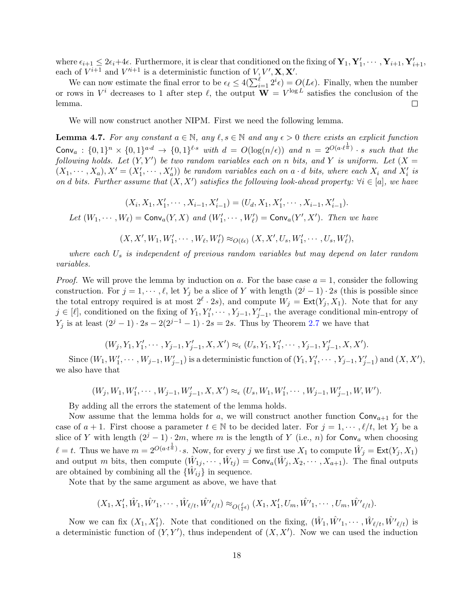where  $\epsilon_{i+1} \leq 2\epsilon_i + 4\epsilon$ . Furthermore, it is clear that conditioned on the fixing of  $\mathbf{Y}_1, \mathbf{Y}'_1, \cdots, \mathbf{Y}_{i+1}, \mathbf{Y}'_{i+1}$ , each of  $V^{i+1}$  and  $V'^{i+1}$  is a deterministic function of  $V, V', \mathbf{X}, \mathbf{X}'$ .

We can now estimate the final error to be  $\epsilon_{\ell} \leq 4(\sum_{i=1}^{\ell} 2^{i} \epsilon) = O(L\epsilon)$ . Finally, when the number or rows in  $V^i$  decreases to 1 after step  $\ell$ , the output  $\mathbf{W} = V^{\log L}$  satisfies the conclusion of the lemma.  $\Box$ 

We will now construct another NIPM. First we need the following lemma.

<span id="page-18-0"></span>**Lemma 4.7.** For any constant  $a \in \mathbb{N}$ , any  $\ell, s \in \mathbb{N}$  and any  $\epsilon > 0$  there exists an explicit function  $\textsf{Conv}_a: \{0,1\}^n \times \{0,1\}^{a \cdot d} \rightarrow \{0,1\}^{\ell \cdot s}$  with  $d = O(\log(n/\epsilon))$  and  $n = 2^{O(a \cdot \ell^{\frac{1}{a}})} \cdot s$  such that the following holds. Let  $(Y, Y')$  be two random variables each on n bits, and Y is uniform. Let  $(X =$  $(X_1, \dots, X_a), X' = (X'_1, \dots, X'_a)$  be random variables each on a · d bits, where each  $X_i$  and  $X'_i$  is on d bits. Further assume that  $(X, X')$  satisfies the following look-ahead property:  $\forall i \in [a]$ , we have

 $(X_i, X_1, X'_1, \cdots, X_{i-1}, X'_{i-1}) = (U_d, X_1, X'_1, \cdots, X_{i-1}, X'_{i-1}).$ 

Let  $(W_1, \dots, W_\ell) = \text{Conv}_a(Y, X)$  and  $(W'_1, \dots, W'_\ell) = \text{Conv}_a(Y', X')$ . Then we have

 $(X, X', W_1, W'_1, \cdots, W_{\ell}, W'_{\ell}) \approx_{O(\ell\epsilon)} (X, X', U_s, W'_1, \cdots, U_s, W'_{\ell}),$ 

where each  $U_s$  is independent of previous random variables but may depend on later random variables.

*Proof.* We will prove the lemma by induction on a. For the base case  $a = 1$ , consider the following construction. For  $j = 1, \dots, \ell$ , let Y<sub>j</sub> be a slice of Y with length  $(2^{j} - 1) \cdot 2s$  (this is possible since the total entropy required is at most  $2^{\ell} \cdot 2s$ , and compute  $W_j = \text{Ext}(Y_j, X_1)$ . Note that for any  $j \in [\ell],$  conditioned on the fixing of  $Y_1, Y'_1, \cdots, Y_{j-1}, Y'_{j-1}$ , the average conditional min-entropy of  $Y_j$  is at least  $(2^{j} - 1) \cdot 2s - 2(2^{j-1} - 1) \cdot 2s = 2s$ . Thus by Theorem [2.7](#page-12-0) we have that

$$
(W_j, Y_1, Y'_1, \cdots, Y_{j-1}, Y'_{j-1}, X, X') \approx_{\epsilon} (U_s, Y_1, Y'_1, \cdots, Y_{j-1}, Y'_{j-1}, X, X').
$$

Since  $(W_1, W'_1, \cdots, W_{j-1}, W'_{j-1})$  is a deterministic function of  $(Y_1, Y'_1, \cdots, Y_{j-1}, Y'_{j-1})$  and  $(X, X'),$ we also have that

$$
(W_j, W_1, W'_1, \cdots, W_{j-1}, W'_{j-1}, X, X') \approx_{\epsilon} (U_s, W_1, W'_1, \cdots, W_{j-1}, W'_{j-1}, W, W').
$$

By adding all the errors the statement of the lemma holds.

Now assume that the lemma holds for a, we will construct another function  $Conv_{a+1}$  for the case of  $a + 1$ . First choose a parameter  $t \in \mathbb{N}$  to be decided later. For  $j = 1, \dots, \ell/t$ , let  $Y_j$  be a slice of Y with length  $(2^{j} - 1) \cdot 2m$ , where m is the length of Y (i.e., n) for Conv<sub>a</sub> when choosing  $\ell = t$ . Thus we have  $m = 2^{O(a \cdot t^{\frac{1}{a}})} \cdot s$ . Now, for every j we first use  $X_1$  to compute  $\hat{W}_j = \text{Ext}(Y_j, X_1)$ and output m bits, then compute  $(\hat{W}_{1j}, \dots, \hat{W}_{tj}) = \text{Conv}_a(\hat{W}_j, X_2, \dots, X_{a+1})$ . The final outputs are obtained by combining all the  $\{\hat{W}_{ij}\}\$ in sequence.

Note that by the same argument as above, we have that

 $(X_1, X'_1, \hat{W}_1, \hat{W'}_1, \cdots, \hat{W}_{\ell/t}, \hat{W'}_{\ell/t}) \approx_{O(\frac{\ell}{\tau} \epsilon)} (X_1, X'_1, U_m, \hat{W'}_1, \cdots, U_m, \hat{W'}_{\ell/t}).$ t

Now we can fix  $(X_1, X'_1)$ . Note that conditioned on the fixing,  $(\hat{W}_1, \hat{W'}_1, \cdots, \hat{W}_{\ell/t}, \hat{W'}_{\ell/t})$  is a deterministic function of  $(Y, Y')$ , thus independent of  $(X, X')$ . Now we can used the induction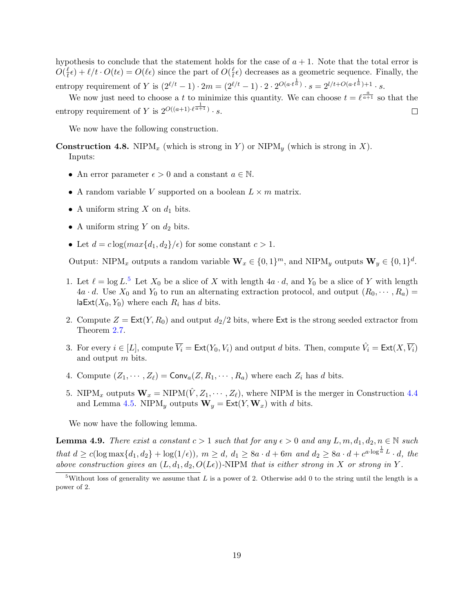hypothesis to conclude that the statement holds for the case of  $a + 1$ . Note that the total error is  $O(\frac{\ell}{t})$  $\frac{\ell}{t} \epsilon$ ) +  $\ell/t \cdot O(t\epsilon) = O(\ell\epsilon)$  since the part of  $O(\frac{\ell}{t})$  $(\frac{\ell}{t} \epsilon)$  decreases as a geometric sequence. Finally, the entropy requirement of Y is  $(2^{\ell/t} - 1) \cdot 2m = (2^{\ell/t} - 1) \cdot 2 \cdot 2^{O(a \cdot t^{\frac{1}{a}})} \cdot s = 2^{l/t + O(a \cdot t^{\frac{1}{a}}) + 1} \cdot s$ .

We now just need to choose a t to minimize this quantity. We can choose  $t = \ell^{\frac{a}{a+1}}$  so that the entropy requirement of Y is  $2^{O((a+1)\cdot \ell^{\frac{1}{a+1}})} \cdot s$ .  $\Box$ 

We now have the following construction.

**Construction 4.8.** NIPM<sub>x</sub> (which is strong in Y) or NIPM<sub>y</sub> (which is strong in X). Inputs:

- An error parameter  $\epsilon > 0$  and a constant  $a \in \mathbb{N}$ .
- A random variable V supported on a boolean  $L \times m$  matrix.
- A uniform string  $X$  on  $d_1$  bits.
- A uniform string Y on  $d_2$  bits.
- Let  $d = c \log(max\{d_1, d_2\}/\epsilon)$  for some constant  $c > 1$ .

Output: NIPM<sub>x</sub> outputs a random variable  $\mathbf{W}_x \in \{0,1\}^m$ , and NIPM<sub>y</sub> outputs  $\mathbf{W}_y \in \{0,1\}^d$ .

- 1. Let  $\ell = \log L$ <sup>[5](#page-19-0)</sup> Let  $X_0$  be a slice of X with length  $4a \cdot d$ , and  $Y_0$  be a slice of Y with length  $4a \cdot d$ . Use  $X_0$  and  $Y_0$  to run an alternating extraction protocol, and output  $(R_0, \dots, R_a)$  = laExt( $X_0, Y_0$ ) where each  $R_i$  has d bits.
- 2. Compute  $Z = \text{Ext}(Y, R_0)$  and output  $d_2/2$  bits, where Ext is the strong seeded extractor from Theorem [2.7.](#page-12-0)
- 3. For every  $i \in [L]$ , compute  $\overline{V_i} = \text{Ext}(Y_0, V_i)$  and output d bits. Then, compute  $\hat{V_i} = \text{Ext}(X, \overline{V_i})$ and output m bits.
- 4. Compute  $(Z_1, \dots, Z_\ell) = \text{Conv}_a(Z, R_1, \dots, R_a)$  where each  $Z_i$  has d bits.
- 5. NIPM<sub>x</sub> outputs  $\mathbf{W}_x = \text{NIPM}(\hat{V}, Z_1, \dots, Z_\ell)$ , where NIPM is the merger in Construction [4.4](#page-16-0) and Lemma [4.5.](#page-16-1) NIPM<sub>y</sub> outputs  $\mathbf{W}_y = \text{Ext}(Y, \mathbf{W}_x)$  with d bits.

We now have the following lemma.

<span id="page-19-1"></span>**Lemma 4.9.** There exist a constant  $c > 1$  such that for any  $\epsilon > 0$  and any  $L, m, d_1, d_2, n \in \mathbb{N}$  such that  $d \geq c(\log \max\{d_1, d_2\} + \log(1/\epsilon)), m \geq d, d_1 \geq 8a \cdot d + 6m \text{ and } d_2 \geq 8a \cdot d + c^{a \cdot \log^{\frac{1}{a}} L} \cdot d, \text{ the}$ above construction gives an  $(L, d_1, d_2, O(L\epsilon))$ -NIPM that is either strong in X or strong in Y.

<span id="page-19-0"></span> $5$ Without loss of generality we assume that L is a power of 2. Otherwise add 0 to the string until the length is a power of 2.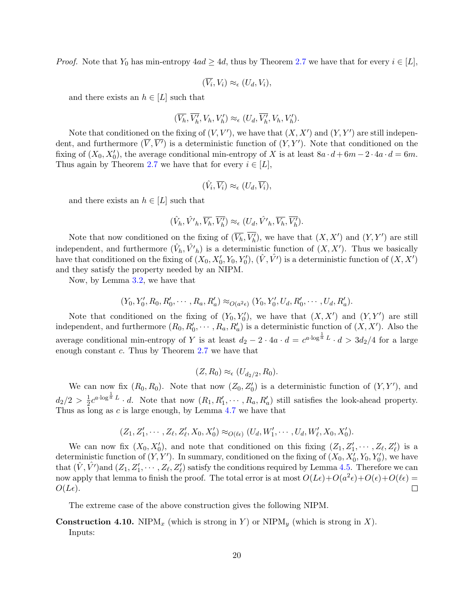*Proof.* Note that  $Y_0$  has min-entropy  $4ad \geq 4d$ , thus by Theorem [2.7](#page-12-0) we have that for every  $i \in [L]$ ,

$$
(\overline{V_i}, V_i) \approx_{\epsilon} (U_d, V_i),
$$

and there exists an  $h \in [L]$  such that

$$
(\overline{V_h}, \overline{V_h'}, V_h, V_h') \approx_{\epsilon} (U_d, \overline{V_h'}, V_h, V_h').
$$

Note that conditioned on the fixing of  $(V, V')$ , we have that  $(X, X')$  and  $(Y, Y')$  are still independent, and furthermore  $(\overline{V}, \overline{V'})$  is a deterministic function of  $(Y, Y')$ . Note that conditioned on the fixing of  $(X_0, X'_0)$ , the average conditional min-entropy of X is at least  $8a \cdot d + 6m - 2 \cdot 4a \cdot d = 6m$ . Thus again by Theorem [2.7](#page-12-0) we have that for every  $i \in [L]$ ,

$$
(\hat{V}_i, \overline{V_i}) \approx_{\epsilon} (U_d, \overline{V_i}),
$$

and there exists an  $h \in [L]$  such that

$$
(\hat{V}_h, \hat{V'}_h, \overline{V_h}, \overline{V'_h}) \approx_{\epsilon} (U_d, \hat{V'}_h, \overline{V_h}, \overline{V'_h}).
$$

Note that now conditioned on the fixing of  $(\overline{V_h}, \overline{V'_h})$ , we have that  $(X, X')$  and  $(Y, Y')$  are still independent, and furthermore  $(\hat{V}_h, \hat{V'}_h)$  is a deterministic function of  $(X, X')$ . Thus we basically have that conditioned on the fixing of  $(X_0, X'_0, Y_0, Y'_0)$ ,  $(\hat{V}, \hat{V}')$  is a deterministic function of  $(X, X')$ and they satisfy the property needed by an NIPM.

Now, by Lemma [3.2,](#page-14-1) we have that

$$
(Y_0, Y'_0, R_0, R'_0, \cdots, R_a, R'_a) \approx_{O(a^2\epsilon)} (Y_0, Y'_0, U_d, R'_0, \cdots, U_d, R'_a).
$$

Note that conditioned on the fixing of  $(Y_0, Y'_0)$ , we have that  $(X, X')$  and  $(Y, Y')$  are still independent, and furthermore  $(R_0, R'_0, \cdots, R_a, R'_a)$  is a deterministic function of  $(X, X')$ . Also the average conditional min-entropy of Y is at least  $d_2 - 2 \cdot 4a \cdot d = c^{a \cdot \log^{\frac{1}{a}}L} \cdot d > 3d_2/4$  for a large enough constant  $c$ . Thus by Theorem [2.7](#page-12-0) we have that

$$
(Z,R_0) \approx_{\epsilon} (U_{d_2/2},R_0).
$$

We can now fix  $(R_0, R_0)$ . Note that now  $(Z_0, Z'_0)$  is a deterministic function of  $(Y, Y')$ , and  $d_2/2 > \frac{1}{2}$  $\frac{1}{2}c^{a\cdot \log^{\frac{1}{a}}L} \cdot d$ . Note that now  $(R_1, R'_1, \cdots, R_a, R'_a)$  still satisfies the look-ahead property. Thus as long as  $c$  is large enough, by Lemma [4.7](#page-18-0) we have that

$$
(Z_1, Z'_1, \cdots, Z_\ell, Z'_\ell, X_0, X'_0) \approx_{O(\ell\epsilon)} (U_d, W'_1, \cdots, U_d, W'_\ell, X_0, X'_0).
$$

We can now fix  $(X_0, X'_0)$ , and note that conditioned on this fixing  $(Z_1, Z'_1, \cdots, Z_\ell, Z'_\ell)$  is a deterministic function of  $(Y, Y')$ . In summary, conditioned on the fixing of  $(X_0, X'_0, Y_0, Y'_0)$ , we have that  $(\hat{V}, \hat{V'})$  and  $(Z_1, Z'_1, \dots, Z_\ell, Z'_\ell)$  satisfy the conditions required by Lemma [4.5.](#page-16-1) Therefore we can now apply that lemma to finish the proof. The total error is at most  $O(L\epsilon) + O(a^2\epsilon) + O(\epsilon) + O(\ell\epsilon) =$  $\Box$  $O(L\epsilon)$ .

The extreme case of the above construction gives the following NIPM.

# **Construction 4.10.** NIPM<sub>x</sub> (which is strong in Y) or NIPM<sub>y</sub> (which is strong in X).

Inputs: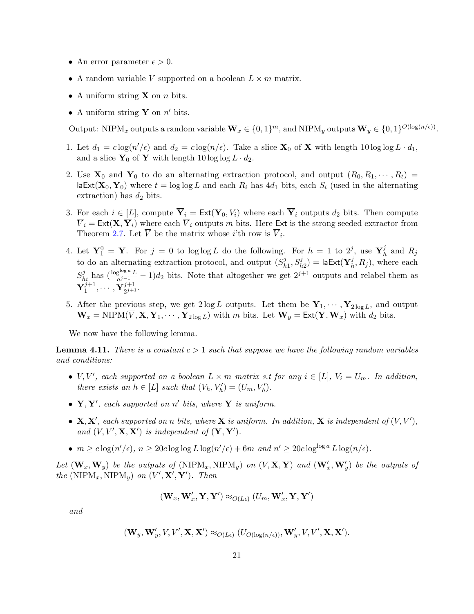- An error parameter  $\epsilon > 0$ .
- A random variable V supported on a boolean  $L \times m$  matrix.
- A uniform string **X** on *n* bits.
- A uniform string **Y** on  $n'$  bits.

Output: NIPM<sub>x</sub> outputs a random variable  $\mathbf{W}_x \in \{0,1\}^m$ , and NIPM<sub>y</sub> outputs  $\mathbf{W}_y \in \{0,1\}^{O(\log(n/\epsilon))}$ .

- 1. Let  $d_1 = c \log(n'/\epsilon)$  and  $d_2 = c \log(n/\epsilon)$ . Take a slice  $\mathbf{X}_0$  of  $\mathbf{X}$  with length 10 log log  $L \cdot d_1$ , and a slice  $\mathbf{Y}_0$  of  $\mathbf{Y}$  with length 10 log log  $L \cdot d_2$ .
- 2. Use  $X_0$  and  $Y_0$  to do an alternating extraction protocol, and output  $(R_0, R_1, \dots, R_t)$ laExt( $X_0$ ,  $Y_0$ ) where  $t = \log \log L$  and each  $R_i$  has 4d<sub>1</sub> bits, each  $S_i$  (used in the alternating extraction) has  $d_2$  bits.
- 3. For each  $i \in [L]$ , compute  $\overline{Y}_i = \text{Ext}(Y_0, V_i)$  where each  $\overline{Y}_i$  outputs  $d_2$  bits. Then compute  $\overline{V}_i = \text{Ext}(\mathbf{X}, \overline{\mathbf{Y}}_i)$  where each  $\overline{V}_i$  outputs m bits. Here Ext is the strong seeded extractor from Theorem [2.7.](#page-12-0) Let  $\overline{V}$  be the matrix whose *i*'th row is  $\overline{V}_i$ .
- 4. Let  $\mathbf{Y}_1^0 = \mathbf{Y}$ . For  $j = 0$  to log log L do the following. For  $h = 1$  to  $2^j$ , use  $\mathbf{Y}_h^j$  $\frac{j}{h}$  and  $R_j$ to do an alternating extraction protocol, and output  $(S_h^j)$  $\delta_{h1}^{j},S_{h2}^{j})=$  la $\mathsf{Ext}(\mathbf{Y}_{h}^{j})$  $h_i^j$ ,  $R_j$ ), where each  $S_{hi}^j$  has  $(\frac{\log^{\log a} L}{a^{j-1}} - 1)d_2$  bits. Note that altogether we get  $2^{j+1}$  outputs and relabel them as  $\mathbf{Y}_{1}^{j+1}$  $\tilde{\mathbf{Y}}^{j+1}_{1}, \cdots, \tilde{\mathbf{Y}}^{j+1}_{2^{j+1}}$  $\frac{j+1}{2^{j+1}}$ .
- 5. After the previous step, we get  $2 \log L$  outputs. Let them be  $\mathbf{Y}_1, \cdots, \mathbf{Y}_{2 \log L}$ , and output  $\mathbf{W}_x = \text{NIPM}(\overline{V}, \mathbf{X}, \mathbf{Y}_1, \cdots, \mathbf{Y}_{2 \log L})$  with m bits. Let  $\mathbf{W}_y = \text{Ext}(\mathbf{Y}, \mathbf{W}_x)$  with  $d_2$  bits.

We now have the following lemma.

<span id="page-21-0"></span>**Lemma 4.11.** There is a constant  $c > 1$  such that suppose we have the following random variables and conditions:

- V, V', each supported on a boolean  $L \times m$  matrix s.t for any  $i \in [L]$ ,  $V_i = U_m$ . In addition, there exists an  $h \in [L]$  such that  $(V_h, V'_h) = (U_m, V'_h)$ .
- $Y, Y'$ , each supported on n' bits, where Y is uniform.
- $X, X'$ , each supported on n bits, where X is uniform. In addition, X is independent of  $(V, V')$ , and  $(V, V', \mathbf{X}, \mathbf{X}')$  is independent of  $(\mathbf{Y}, \mathbf{Y}')$ .
- $m \geq c \log(n'/\epsilon)$ ,  $n \geq 20c \log \log L \log(n'/\epsilon) + 6m$  and  $n' \geq 20c \log^{\log a} L \log(n/\epsilon)$ .

Let  $(\mathbf{W}_x, \mathbf{W}_y)$  be the outputs of  $(NIPM_x, NIPM_y)$  on  $(V, \mathbf{X}, \mathbf{Y})$  and  $(\mathbf{W}'_x, \mathbf{W}'_y)$  be the outputs of the (NIP $M_x$ , NIP $M_y$ ) on  $(V', X', Y')$ . Then

$$
(\mathbf{W}_x,\mathbf{W}'_x,\mathbf{Y},\mathbf{Y}') \approx_{O(L\epsilon)} (U_m,\mathbf{W}'_x,\mathbf{Y},\mathbf{Y}')
$$

and

$$
(\mathbf{W}_y, \mathbf{W}'_y, V, V', \mathbf{X}, \mathbf{X}') \approx_{O(L\epsilon)} (U_{O(\log(n/\epsilon))}, \mathbf{W}'_y, V, V', \mathbf{X}, \mathbf{X}').
$$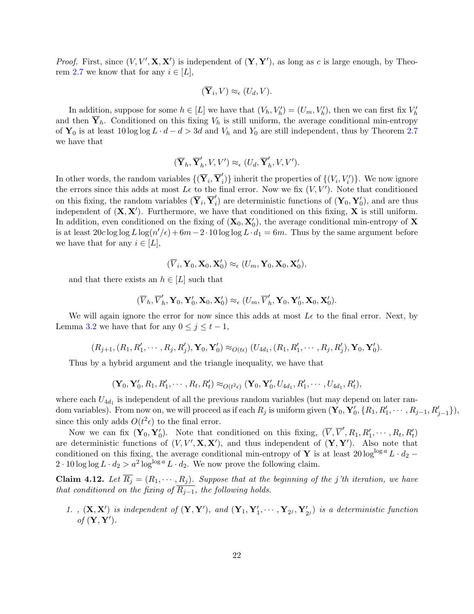*Proof.* First, since  $(V, V', \mathbf{X}, \mathbf{X}')$  is independent of  $(\mathbf{Y}, \mathbf{Y}')$ , as long as c is large enough, by Theo-rem [2.7](#page-12-0) we know that for any  $i \in [L]$ ,

$$
(\overline{\mathbf{Y}}_i, V) \approx_{\epsilon} (U_d, V).
$$

In addition, suppose for some  $h \in [L]$  we have that  $(V_h, V_h') = (U_m, V_h')$ , then we can first fix  $V_h'$ and then  $\overline{Y}_h$ . Conditioned on this fixing  $V_h$  is still uniform, the average conditional min-entropy of  $Y_0$  is at least 10 log log  $L \cdot d - d > 3d$  and  $V_h$  and  $Y_0$  are still independent, thus by Theorem [2.7](#page-12-0) we have that

$$
(\overline{\mathbf{Y}}_h, \overline{\mathbf{Y}}_h', V, V') \approx_{\epsilon} (U_d, \overline{\mathbf{Y}}_h', V, V').
$$

In other words, the random variables  $\{(\overline{\mathbf{Y}}_i, \overline{\mathbf{Y}}'_i$  $\{V_i, V'_i\}$  inherit the properties of  $\{(V_i, V'_i)\}$ . We now ignore the errors since this adds at most  $L\epsilon$  to the final error. Now we fix  $(V, V')$ . Note that conditioned on this fixing, the random variables  $(\overline{\mathbf{Y}}_i, \overline{\mathbf{Y}}'_i)$  $i<sub>i</sub>$ ) are deterministic functions of  $(Y_0, Y'_0)$ , and are thus independent of  $(X, X')$ . Furthermore, we have that conditioned on this fixing, X is still uniform. In addition, even conditioned on the fixing of  $(\mathbf{X}_0, \mathbf{X}'_0)$ , the average conditional min-entropy of  $\mathbf{X}$ is at least  $20c \log \log L \log(n'/\epsilon) + 6m - 2 \cdot 10 \log \log L \cdot d_1 = 6m$ . Thus by the same argument before we have that for any  $i \in [L]$ ,

$$
(\overline{V}_i,\mathbf{Y}_0,\mathbf{X}_0,\mathbf{X}_0')\approx_{\epsilon} (U_m,\mathbf{Y}_0,\mathbf{X}_0,\mathbf{X}_0'),
$$

and that there exists an  $h \in [L]$  such that

$$
(\overline{V}_h, \overline{V}'_h, \mathbf{Y}_0, \mathbf{Y}'_0, \mathbf{X}_0, \mathbf{X}'_0) \approx_{\epsilon} (U_m, \overline{V}'_h, \mathbf{Y}_0, \mathbf{Y}'_0, \mathbf{X}_0, \mathbf{X}'_0).
$$

We will again ignore the error for now since this adds at most  $L\epsilon$  to the final error. Next, by Lemma [3.2](#page-14-1) we have that for any  $0 \leq j \leq t-1$ ,

$$
(R_{j+1}, (R_1, R'_1, \cdots, R_j, R'_j), \mathbf{Y}_0, \mathbf{Y}'_0) \approx_{O(t\epsilon)} (U_{4d_1}, (R_1, R'_1, \cdots, R_j, R'_j), \mathbf{Y}_0, \mathbf{Y}'_0).
$$

Thus by a hybrid argument and the triangle inequality, we have that

$$
(\mathbf{Y}_0, \mathbf{Y}'_0, R_1, R'_1, \cdots, R_t, R'_t) \approx_{O(t^2 \epsilon)} (\mathbf{Y}_0, \mathbf{Y}'_0, U_{4d_1}, R'_1, \cdots, U_{4d_1}, R'_t),
$$

where each  $U_{4d_1}$  is independent of all the previous random variables (but may depend on later random variables). From now on, we will proceed as if each  $R_j$  is uniform given  $(\mathbf{Y}_0, \mathbf{Y}'_0, \{R_1, R'_1, \cdots, R_{j-1}, R'_{j-1}\}),$ since this only adds  $O(t^2 \epsilon)$  to the final error.

Now we can fix  $(\mathbf{Y}_0, \mathbf{Y}'_0)$ . Note that conditioned on this fixing,  $(\overline{V}, \overline{V}', R_1, R'_1, \cdots, R_t, R'_t)$ are deterministic functions of  $(V, V', \mathbf{X}, \mathbf{X}')$ , and thus independent of  $(\mathbf{Y}, \mathbf{Y}')$ . Also note that conditioned on this fixing, the average conditional min-entropy of Y is at least 20 log<sup>log a</sup> L ·  $d_2$  −  $2 \cdot 10 \log \log L \cdot d_2 > a^2 \log^{\log a} L \cdot d_2$ . We now prove the following claim.

**Claim 4.12.** Let  $\overline{R_j} = (R_1, \dots, R_j)$ . Suppose that at the beginning of the j'th iteration, we have that conditioned on the fixing of  $\overline{R_{j-1}}$ , the following holds.

1.,  $(\mathbf{X}, \mathbf{X}')$  is independent of  $(\mathbf{Y}, \mathbf{Y}')$ , and  $(\mathbf{Y}_1, \mathbf{Y}'_1, \cdots, \mathbf{Y}_{2^j}, \mathbf{Y}'_{2^j})$  is a deterministic function of  $(\mathbf{Y}, \mathbf{Y}')$ .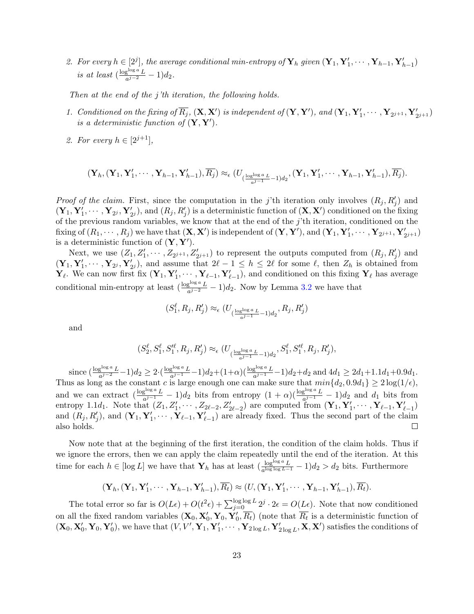2. For every  $h \in [2^j]$ , the average conditional min-entropy of  $\mathbf{Y}_h$  given  $(\mathbf{Y}_1, \mathbf{Y}'_1, \cdots, \mathbf{Y}_{h-1}, \mathbf{Y}'_{h-1})$ is at least  $\left(\frac{\log^{\log a} L}{a^{j-2}}\right)$  $rac{g^{1/2}}{a^{j-2}}-1)d_2.$ 

Then at the end of the j'th iteration, the following holds.

- 1. Conditioned on the fixing of  $\overline{R_j}$ ,  $(\mathbf{X}, \mathbf{X}')$  is independent of  $(\mathbf{Y}, \mathbf{Y}')$ , and  $(\mathbf{Y}_1, \mathbf{Y}'_1, \cdots, \mathbf{Y}_{2^{j+1}}, \mathbf{Y}'_{2^{j+1}})$ is a deterministic function of  $({\bf Y},{\bf Y}')$ .
- 2. For every  $h \in [2^{j+1}]$ ,

$$
(\mathbf{Y}_h, (\mathbf{Y}_1, \mathbf{Y}_1', \cdots, \mathbf{Y}_{h-1}, \mathbf{Y}_{h-1}'), \overline{R_j}) \approx_{\epsilon} (U_{(\frac{\log^{\log a} L}{a^{j-1}} - 1)d_2}, (\mathbf{Y}_1, \mathbf{Y}_1', \cdots, \mathbf{Y}_{h-1}, \mathbf{Y}_{h-1}'), \overline{R_j}).
$$

*Proof of the claim.* First, since the computation in the j'th iteration only involves  $(R_j, R'_j)$  and  $(\mathbf{Y}_1, \mathbf{Y}_1', \cdots, \mathbf{Y}_{2^j}, \mathbf{Y}_{2^j}'),$  and  $(R_j, R_j')$  is a deterministic function of  $(\mathbf{X}, \mathbf{X}')$  conditioned on the fixing of the previous random variables, we know that at the end of the j'th iteration, conditioned on the fixing of  $(R_1, \dots, R_j)$  we have that  $(\mathbf{X}, \mathbf{X}')$  is independent of  $(\mathbf{Y}, \mathbf{Y}')$ , and  $(\mathbf{Y}_1, \mathbf{Y}'_1, \dots, \mathbf{Y}_{2^{j+1}}, \mathbf{Y}'_{2^{j+1}})$ is a deterministic function of  $(Y, Y')$ .

Next, we use  $(Z_1, Z'_1, \cdots, Z_{2^{j+1}}, Z'_{2^{j+1}})$  to represent the outputs computed from  $(R_j, R'_j)$  and  $(\mathbf{Y}_1, \mathbf{Y}_1', \cdots, \mathbf{Y}_{2^j}, \mathbf{Y}_{2^j}')$ , and assume that  $2\ell - 1 \leq h \leq 2\ell$  for some  $\ell$ , then  $Z_h$  is obtained from  $\mathbf{Y}_{\ell}$ . We can now first fix  $(\mathbf{Y}_1, \mathbf{Y}'_1, \cdots, \mathbf{Y}_{\ell-1}, \mathbf{Y}'_{\ell-1})$ , and conditioned on this fixing  $\mathbf{Y}_{\ell}$  has average conditional min-entropy at least  $\left(\frac{\log^{\log a} L}{a^{j-2}} - 1\right) d_2$ . Now by Lemma [3.2](#page-14-1) we have that

$$
(S_1^\ell, R_j, R_j') \approx_{\epsilon} (U_{(\frac{\log^{\log a}L}{a^{j-1}}-1)d_2}, R_j, R_j')
$$

and

$$
(S_2^{\ell}, S_1^{\ell}, S_1^{\ell \ell}, R_j, R_j^{\prime}) \approx_{\epsilon} (U_{(\frac{\log \log a_L}{a^{j-1}} - 1)d_2}, S_1^{\ell}, S_1^{\ell \ell}, R_j, R_j^{\prime}),
$$

since  $\left(\frac{\log^{\log a} L}{a^{j-2}} - 1\right) d_2 \geq 2 \cdot \left(\frac{\log^{\log a} L}{a^{j-1}}\right)$  $\frac{g^{\log a} L}{a^{j-1}} - 1)d_2 + (1+\alpha)\left(\frac{\log^{\log a} L}{a^{j-1}} - 1\right)d_2 + d_2$  and  $4d_1 \geq 2d_1 + 1.1d_1 + 0.9d_1$ . Thus as long as the constant c is large enough one can make sure that  $min\{d_2, 0.9d_1\} \geq 2\log(1/\epsilon)$ , and we can extract  $\left(\frac{\log^{\log a} L}{a^{j-1}} - 1\right) d_2$  bits from entropy  $(1 + \alpha) \left(\frac{\log^{\log a} L}{a^{j-1}} - 1\right) d_2$  and  $d_1$  bits from entropy 1.1 $d_1$ . Note that  $(Z_1, Z'_1, \cdots, Z_{2\ell-2}, Z'_{2\ell-2})$  are computed from  $(\mathbf{Y}_1, \mathbf{Y}'_1, \cdots, \mathbf{Y}_{\ell-1}, \mathbf{Y}'_{\ell-1})$ and  $(R_j, R'_j)$ , and  $(\mathbf{Y}_1, \mathbf{Y}'_1, \cdots, \mathbf{Y}_{\ell-1}, \mathbf{Y}'_{\ell-1})$  are already fixed. Thus the second part of the claim also holds.  $\Box$ 

Now note that at the beginning of the first iteration, the condition of the claim holds. Thus if we ignore the errors, then we can apply the claim repeatedly until the end of the iteration. At this time for each  $h \in [\log L]$  we have that  $\mathbf{Y}_h$  has at least  $(\frac{\log^{\log a} L}{a^{\log \log L - 1}} - 1)d_2 > d_2$  bits. Furthermore

$$
(\mathbf{Y}_h, (\mathbf{Y}_1, \mathbf{Y}_1', \cdots, \mathbf{Y}_{h-1}, \mathbf{Y}_{h-1}'), \overline{R_t}) \approx (U, (\mathbf{Y}_1, \mathbf{Y}_1', \cdots, \mathbf{Y}_{h-1}, \mathbf{Y}_{h-1}'), \overline{R_t}).
$$

The total error so far is  $O(L\epsilon) + O(t^2\epsilon) + \sum_{j=0}^{\log \log L} 2^j \cdot 2\epsilon = O(L\epsilon)$ . Note that now conditioned on all the fixed random variables  $(X_0, X'_0, Y_0, Y'_0, \overline{R_t})$  (note that  $\overline{R_t}$  is a deterministic function of  $(\mathbf{X}_0, \mathbf{X}'_0, \mathbf{Y}_0, \mathbf{Y}'_0)$ , we have that  $(V, V', \mathbf{Y}_1, \mathbf{Y}'_1, \cdots, \mathbf{Y}_{2\log L}, \mathbf{Y}'_{2\log L}, \mathbf{X}, \mathbf{X}')$  satisfies the conditions of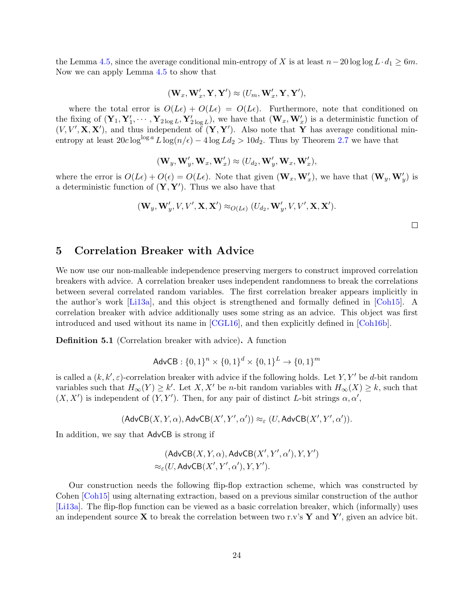the Lemma [4.5,](#page-16-1) since the average conditional min-entropy of X is at least  $n-20 \log \log L \cdot d_1 \geq 6m$ . Now we can apply Lemma [4.5](#page-16-1) to show that

$$
(\mathbf{W}_x, \mathbf{W}_x', \mathbf{Y}, \mathbf{Y}') \approx (U_m, \mathbf{W}_x', \mathbf{Y}, \mathbf{Y}'),
$$

where the total error is  $O(L\epsilon) + O(L\epsilon) = O(L\epsilon)$ . Furthermore, note that conditioned on the fixing of  $(\mathbf{Y}_1, \mathbf{Y}_1', \cdots, \mathbf{Y}_{2\log L}, \mathbf{Y}_{2\log L}')$ , we have that  $(\mathbf{W}_x, \mathbf{W}_x')$  is a deterministic function of  $(V, V', \mathbf{X}, \mathbf{X}')$ , and thus independent of  $(\mathbf{Y}, \mathbf{Y}')$ . Also note that Y has average conditional minentropy at least  $20c \log^{\log a} L \log(n/\epsilon) - 4 \log L d_2 > 10d_2$ . Thus by Theorem [2.7](#page-12-0) we have that

$$
(\mathbf{W}_y, \mathbf{W}'_y, \mathbf{W}_x, \mathbf{W}'_x) \approx (U_{d_2}, \mathbf{W}'_y, \mathbf{W}_x, \mathbf{W}'_x),
$$

where the error is  $O(L\epsilon) + O(\epsilon) = O(L\epsilon)$ . Note that given  $(\mathbf{W}_x, \mathbf{W}'_x)$ , we have that  $(\mathbf{W}_y, \mathbf{W}'_y)$  is a deterministic function of  $(Y, Y')$ . Thus we also have that

$$
(\mathbf{W}_y, \mathbf{W}'_y, V, V', \mathbf{X}, \mathbf{X}') \approx_{O(L\epsilon)} (U_{d_2}, \mathbf{W}'_y, V, V', \mathbf{X}, \mathbf{X}').
$$

 $\Box$ 

# <span id="page-24-0"></span>5 Correlation Breaker with Advice

We now use our non-malleable independence preserving mergers to construct improved correlation breakers with advice. A correlation breaker uses independent randomness to break the correlations between several correlated random variables. The first correlation breaker appears implicitly in the author's work [\[Li13a\]](#page-51-6), and this object is strengthened and formally defined in [\[Coh15\]](#page-49-0). A correlation breaker with advice additionally uses some string as an advice. This object was first introduced and used without its name in [\[CGL16\]](#page-49-8), and then explicitly defined in [\[Coh16b\]](#page-49-9).

Definition 5.1 (Correlation breaker with advice). A function

$$
AdvCB: \{0, 1\}^n \times \{0, 1\}^d \times \{0, 1\}^L \to \{0, 1\}^m
$$

is called a  $(k, k', \varepsilon)$ -correlation breaker with advice if the following holds. Let Y, Y' be d-bit random variables such that  $H_{\infty}(Y) \geq k'$ . Let  $X, X'$  be *n*-bit random variables with  $H_{\infty}(X) \geq k$ , such that  $(X, X')$  is independent of  $(Y, Y')$ . Then, for any pair of distinct L-bit strings  $\alpha, \alpha'$ ,

$$
(\mathsf{AdvCB}(X,Y,\alpha),\mathsf{AdvCB}(X',Y',\alpha')) \approx_{\varepsilon} (U,\mathsf{AdvCB}(X',Y',\alpha')).
$$

In addition, we say that AdvCB is strong if

$$
(\mathsf{AdvCB}(X,Y,\alpha),\mathsf{AdvCB}(X',Y',\alpha'),Y,Y') \\ \approx_\varepsilon (U,\mathsf{AdvCB}(X',Y',\alpha'),Y,Y').
$$

Our construction needs the following flip-flop extraction scheme, which was constructed by Cohen [\[Coh15\]](#page-49-0) using alternating extraction, based on a previous similar construction of the author [\[Li13a\]](#page-51-6). The flip-flop function can be viewed as a basic correlation breaker, which (informally) uses an independent source **X** to break the correlation between two r.v's **Y** and **Y**', given an advice bit.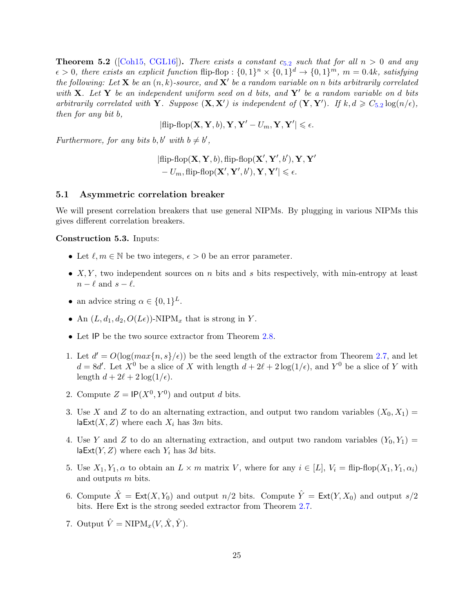<span id="page-25-0"></span>**Theorem [5](#page-25-0).2** ([\[Coh15,](#page-49-0) [CGL16\]](#page-49-8)). There exists a constant  $c_{5.2}$  such that for all  $n > 0$  and any  $\epsilon > 0$ , there exists an explicit function flip-flop :  $\{0,1\}^n \times \{0,1\}^d \rightarrow \{0,1\}^m$ ,  $m = 0.4k$ , satisfying the following: Let **X** be an  $(n, k)$ -source, and **X'** be a random variable on n bits arbitrarily correlated with **X**. Let **Y** be an independent uniform seed on d bits, and **Y**' be a random variable on d bits arbitrarily correlated with **Y**. Suppose  $(\mathbf{X}, \mathbf{X}')$  is independent of  $(\mathbf{Y}, \mathbf{Y}')$ . If  $k, d \geq C_{5.2} \log(n/\epsilon)$  $k, d \geq C_{5.2} \log(n/\epsilon)$  $k, d \geq C_{5.2} \log(n/\epsilon)$ , then for any bit b,

$$
|\text{flip-flop}(\mathbf{X}, \mathbf{Y}, b), \mathbf{Y}, \mathbf{Y}' - U_m, \mathbf{Y}, \mathbf{Y}'| \leqslant \epsilon.
$$

Furthermore, for any bits b, b' with  $b \neq b'$ ,

$$
|\text{flip-flop}(\mathbf{X}, \mathbf{Y}, b), \text{flip-flop}(\mathbf{X}', \mathbf{Y}', b'), \mathbf{Y}, \mathbf{Y}' - U_m, \text{flip-flop}(\mathbf{X}', \mathbf{Y}', b'), \mathbf{Y}, \mathbf{Y}'| \le \epsilon.
$$

#### 5.1 Asymmetric correlation breaker

We will present correlation breakers that use general NIPMs. By plugging in various NIPMs this gives different correlation breakers.

#### Construction 5.3. Inputs:

- Let  $\ell, m \in \mathbb{N}$  be two integers,  $\epsilon > 0$  be an error parameter.
- $X, Y$ , two independent sources on n bits and s bits respectively, with min-entropy at least  $n - \ell$  and  $s - \ell$ .
- an advice string  $\alpha \in \{0,1\}^L$ .
- An  $(L, d_1, d_2, O(L\epsilon))$ -NIPM<sub>x</sub> that is strong in Y.
- Let IP be the two source extractor from Theorem [2.8.](#page-12-1)
- 1. Let  $d' = O(\log(max\{n, s\}/\epsilon))$  be the seed length of the extractor from Theorem [2.7,](#page-12-0) and let  $d = 8d'$ . Let  $X^0$  be a slice of X with length  $d + 2\ell + 2\log(1/\epsilon)$ , and Y<sup>0</sup> be a slice of Y with length  $d + 2\ell + 2 \log(1/\epsilon)$ .
- 2. Compute  $Z = \mathsf{IP}(X^0, Y^0)$  and output d bits.
- 3. Use X and Z to do an alternating extraction, and output two random variables  $(X_0, X_1)$  = laExt(X, Z) where each  $X_i$  has 3m bits.
- 4. Use Y and Z to do an alternating extraction, and output two random variables  $(Y_0, Y_1)$  = laExt $(Y, Z)$  where each  $Y_i$  has 3d bits.
- 5. Use  $X_1, Y_1, \alpha$  to obtain an  $L \times m$  matrix V, where for any  $i \in [L], V_i = \text{flip-flop}(X_1, Y_1, \alpha_i)$ and outputs m bits.
- 6. Compute  $\hat{X} = \text{Ext}(X, Y_0)$  and output  $n/2$  bits. Compute  $\hat{Y} = \text{Ext}(Y, X_0)$  and output  $s/2$ bits. Here Ext is the strong seeded extractor from Theorem [2.7.](#page-12-0)
- 7. Output  $\hat{V} = \text{NIPM}_x(V, \hat{X}, \hat{Y}).$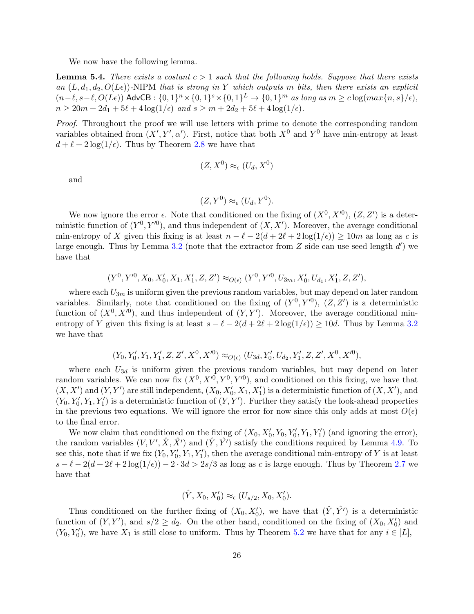We now have the following lemma.

<span id="page-26-0"></span>**Lemma 5.4.** There exists a costant  $c > 1$  such that the following holds. Suppose that there exists an  $(L, d_1, d_2, O(L\epsilon))$ -NIPM that is strong in Y which outputs m bits, then there exists an explicit  $(n-\ell, s-\ell, O(L\epsilon))$  AdvCB :  $\{0, 1\}^n \times \{0, 1\}^s \times \{0, 1\}^L \to \{0, 1\}^m$  as long as  $m \geq c \log(max\{n, s\}/\epsilon)$ ,  $n \geq 20m + 2d_1 + 5\ell + 4\log(1/\epsilon)$  and  $s \geq m + 2d_2 + 5\ell + 4\log(1/\epsilon)$ .

Proof. Throughout the proof we will use letters with prime to denote the corresponding random variables obtained from  $(X', Y', \alpha')$ . First, notice that both  $X^0$  and  $Y^0$  have min-entropy at least  $d + \ell + 2 \log(1/\epsilon)$ . Thus by Theorem [2.8](#page-12-1) we have that

$$
(Z, X^0) \approx_{\epsilon} (U_d, X^0)
$$

and

$$
(Z, Y^0) \approx_{\epsilon} (U_d, Y^0).
$$

We now ignore the error  $\epsilon$ . Note that conditioned on the fixing of  $(X^0, X'^0)$ ,  $(Z, Z')$  is a deterministic function of  $(Y^0, Y'^0)$ , and thus independent of  $(X, X')$ . Moreover, the average conditional min-entropy of X given this fixing is at least  $n - \ell - 2(d + 2\ell + 2\log(1/\epsilon)) \ge 10m$  as long as c is large enough. Thus by Lemma [3.2](#page-14-1) (note that the extractor from  $Z$  side can use seed length  $d'$ ) we have that

$$
(Y0, Y'0, X0, X'0, X1, X'1, Z, Z') \approx_{O(\epsilon)} (Y0, Y'0, U3m, X'0, Ud1, X'1, Z, Z'),
$$

where each  $U_{3m}$  is uniform given the previous random variables, but may depend on later random variables. Similarly, note that conditioned on the fixing of  $(Y^0, Y'^0)$ ,  $(Z, Z')$  is a deterministic function of  $(X^0, X^{\prime 0})$ , and thus independent of  $(Y, Y')$ . Moreover, the average conditional minentropy of Y given this fixing is at least  $s - \ell - 2(d + 2\ell + 2\log(1/\epsilon)) \ge 10d$ . Thus by Lemma [3.2](#page-14-1) we have that

$$
(Y_0, Y'_0, Y_1, Y'_1, Z, Z', X^0, X'^0) \approx_{O(\epsilon)} (U_{3d}, Y'_0, U_{d_2}, Y'_1, Z, Z', X^0, X'^0),
$$

where each  $U_{3d}$  is uniform given the previous random variables, but may depend on later random variables. We can now fix  $(X^0, X'^0, Y'^0, Y'^0)$ , and conditioned on this fixing, we have that  $(X, X')$  and  $(Y, Y')$  are still independent,  $(X_0, X'_0, X_1, X'_1)$  is a deterministic function of  $(X, X')$ , and  $(Y_0, Y'_0, Y_1, Y'_1)$  is a deterministic function of  $(Y, Y')$ . Further they satisfy the look-ahead properties in the previous two equations. We will ignore the error for now since this only adds at most  $O(\epsilon)$ to the final error.

We now claim that conditioned on the fixing of  $(X_0, X'_0, Y_0, Y'_0, Y_1, Y'_1)$  (and ignoring the error), the random variables  $(V, V', \hat{X}, \hat{X}')$  and  $(\hat{Y}, \hat{Y}')$  satisfy the conditions required by Lemma [4.9.](#page-19-1) To see this, note that if we fix  $(Y_0, Y'_0, Y_1, Y'_1)$ , then the average conditional min-entropy of Y is at least  $s - \ell - 2(d + 2\ell + 2\log(1/\epsilon)) - 2 \cdot 3d > 2s/3$  as long as c is large enough. Thus by Theorem [2.7](#page-12-0) we have that

$$
(\hat{Y}, X_0, X_0') \approx_{\epsilon} (U_{s/2}, X_0, X_0').
$$

Thus conditioned on the further fixing of  $(X_0, X'_0)$ , we have that  $(\hat{Y}, \hat{Y}')$  is a deterministic function of  $(Y, Y')$ , and  $s/2 \geq d_2$ . On the other hand, conditioned on the fixing of  $(X_0, X'_0)$  and  $(Y_0, Y'_0)$ , we have  $X_1$  is still close to uniform. Thus by Theorem [5.2](#page-25-0) we have that for any  $i \in [L]$ ,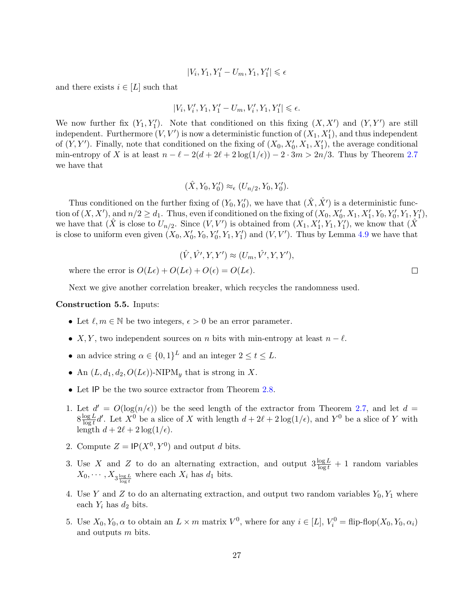$$
|V_i,Y_1,Y_1'-U_m,Y_1,Y_1'|\leqslant \epsilon
$$

and there exists  $i \in [L]$  such that

$$
|V_i,V_i',Y_1,Y_1'-U_m,V_i',Y_1,Y_1'|\leqslant \epsilon.
$$

We now further fix  $(Y_1, Y'_1)$ . Note that conditioned on this fixing  $(X, X')$  and  $(Y, Y')$  are still independent. Furthermore  $(V, V')$  is now a deterministic function of  $(X_1, X'_1)$ , and thus independent of  $(Y, Y')$ . Finally, note that conditioned on the fixing of  $(X_0, X'_0, X_1, X'_1)$ , the average conditional min-entropy of X is at least  $n - \ell - 2(d + 2\ell + 2\log(1/\epsilon)) - 2 \cdot 3m > 2n/3$ . Thus by Theorem [2.7](#page-12-0) we have that

$$
(\hat{X}, Y_0, Y'_0) \approx_{\epsilon} (U_{n/2}, Y_0, Y'_0).
$$

Thus conditioned on the further fixing of  $(Y_0, Y'_0)$ , we have that  $(\hat{X}, \hat{X}')$  is a deterministic function of  $(X, X')$ , and  $n/2 \ge d_1$ . Thus, even if conditioned on the fixing of  $(X_0, X'_0, X_1, X'_1, Y_0, Y'_0, Y_1, Y'_1)$ , we have that  $(X$  is close to  $U_{n/2}$ . Since  $(V, V')$  is obtained from  $(X_1, X'_1, Y_1, Y'_1)$ , we know that  $(X)$ is close to uniform even given  $(X_0, X'_0, Y_0, Y'_0, Y_1, Y'_1)$  and  $(V, V')$ . Thus by Lemma [4.9](#page-19-1) we have that

$$
(\hat{V}, \hat{V'}, Y, Y') \approx (U_m, \hat{V'}, Y, Y'),
$$

where the error is  $O(L\epsilon) + O(L\epsilon) + O(\epsilon) = O(L\epsilon)$ .

Next we give another correlation breaker, which recycles the randomness used.

#### <span id="page-27-0"></span>Construction 5.5. Inputs:

- Let  $\ell, m \in \mathbb{N}$  be two integers,  $\epsilon > 0$  be an error parameter.
- X, Y, two independent sources on n bits with min-entropy at least  $n \ell$ .
- an advice string  $\alpha \in \{0,1\}^L$  and an integer  $2 \le t \le L$ .
- An  $(L, d_1, d_2, O(L\epsilon))$ -NIPM<sub>y</sub> that is strong in X.
- Let IP be the two source extractor from Theorem [2.8.](#page-12-1)
- 1. Let  $d' = O(\log(n/\epsilon))$  be the seed length of the extractor from Theorem [2.7,](#page-12-0) and let  $d =$  $8\frac{\log L}{\log L}$  $\frac{\log L}{\log t}$ d'. Let  $X^0$  be a slice of X with length  $d + 2\ell + 2\log(1/\epsilon)$ , and  $Y^0$  be a slice of Y with length  $d + 2\ell + 2 \log(1/\epsilon)$ .
- 2. Compute  $Z = \mathsf{IP}(X^0, Y^0)$  and output d bits.
- 3. Use X and Z to do an alternating extraction, and output  $3 \frac{\log L}{\log t} + 1$  random variables  $X_0, \cdots, X_{3\frac{\log L}{\log t}}$  where each  $X_i$  has  $d_1$  bits.
- 4. Use Y and Z to do an alternating extraction, and output two random variables  $Y_0, Y_1$  where each  $Y_i$  has  $d_2$  bits.
- 5. Use  $X_0, Y_0, \alpha$  to obtain an  $L \times m$  matrix  $V^0$ , where for any  $i \in [L]$ ,  $V_i^0 = \text{flip-flop}(X_0, Y_0, \alpha_i)$ and outputs m bits.

 $\Box$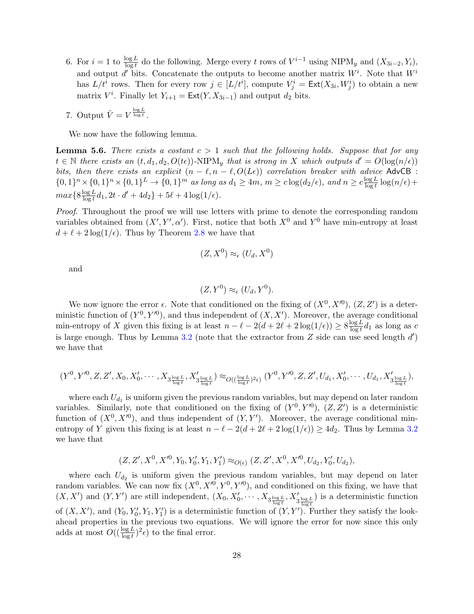- 6. For  $i = 1$  to  $\frac{\log L}{\log t}$  do the following. Merge every t rows of  $V^{i-1}$  using NIPM<sub>y</sub> and  $(X_{3i-2}, Y_i)$ , and output d' bits. Concatenate the outputs to become another matrix  $W^i$ . Note that  $W^i$ has  $L/t^i$  rows. Then for every row  $j \in [L/t^i]$ , compute  $V_j^i = \text{Ext}(X_{3i}, W_j^i)$  to obtain a new matrix  $V^i$ . Finally let  $Y_{i+1} = \text{Ext}(Y, X_{3i-1})$  and output  $d_2$  bits.
- 7. Output  $\hat{V} = V^{\frac{\log L}{\log t}}$ .

We now have the following lemma.

<span id="page-28-0"></span>**Lemma 5.6.** There exists a costant  $c > 1$  such that the following holds. Suppose that for any  $t \in \mathbb{N}$  there exists an  $(t, d_1, d_2, O(t\epsilon))$ -NIPM<sub>y</sub> that is strong in X which outputs  $d' = O(\log(n/\epsilon))$ bits, then there exists an explicit  $(n - \ell, n - \ell, O(L\epsilon))$  correlation breaker with advice AdvCB :  $\{0,1\}^n \times \{0,1\}^n \times \{0,1\}^L \to \{0,1\}^m$  as long as  $d_1 \geq 4m$ ,  $m \geq c \log(d_2/\epsilon)$ , and  $n \geq c \frac{\log L}{\log t}$  $\frac{\log L}{\log t} \log(n/\epsilon) +$  $max\{8\frac{\log L}{\log t}$  $\frac{\log L}{\log t} d_1, 2t \cdot d' + 4d_2 \} + 5\ell + 4\log(1/\epsilon).$ 

Proof. Throughout the proof we will use letters with prime to denote the corresponding random variables obtained from  $(X', Y', \alpha')$ . First, notice that both  $X^0$  and  $Y^0$  have min-entropy at least  $d + \ell + 2 \log(1/\epsilon)$ . Thus by Theorem [2.8](#page-12-1) we have that

$$
(Z, X^0) \approx_{\epsilon} (U_d, X^0)
$$

and

$$
(Z, Y^0) \approx_{\epsilon} (U_d, Y^0).
$$

We now ignore the error  $\epsilon$ . Note that conditioned on the fixing of  $(X^0, X'^0)$ ,  $(Z, Z')$  is a deterministic function of  $(Y^0, Y'^0)$ , and thus independent of  $(X, X')$ . Moreover, the average conditional min-entropy of X given this fixing is at least  $n - \ell - 2(d + 2\ell + 2\log(1/\epsilon)) \geq 8 \frac{\log L}{\log t}$  $\frac{\log L}{\log t}d_1$  as long as c is large enough. Thus by Lemma [3.2](#page-14-1) (note that the extractor from  $Z$  side can use seed length  $d'$ ) we have that

$$
(Y^0, Y'^0, Z, Z', X_0, X'_0, \cdots, X_{3\frac{\log L}{\log t}}, X'_{3\frac{\log L}{\log t}}) \approx_{O((\frac{\log L}{\log t})^2 \epsilon)} (Y^0, Y'^0, Z, Z', U_{d_1}, X'_0, \cdots, U_{d_1}, X'_{3\frac{\log L}{\log t}}),
$$

where each  $U_{d_1}$  is uniform given the previous random variables, but may depend on later random variables. Similarly, note that conditioned on the fixing of  $(Y^0, Y'^0)$ ,  $(Z, Z')$  is a deterministic function of  $(X^0, X^{\prime 0})$ , and thus independent of  $(Y, Y')$ . Moreover, the average conditional minentropy of Y given this fixing is at least  $n - \ell - 2(d + 2\ell + 2\log(1/\epsilon)) \ge 4d_2$ . Thus by Lemma [3.2](#page-14-1) we have that

$$
(Z, Z', X^0, X'^0, Y_0, Y'_0, Y_1, Y'_1) \approx_{O(\epsilon)} (Z, Z', X^0, X'^0, U_{d_2}, Y'_0, U_{d_2}),
$$

where each  $U_{d_2}$  is uniform given the previous random variables, but may depend on later random variables. We can now fix  $(X^0, X'^0, Y'^0, Y'^0)$ , and conditioned on this fixing, we have that  $(X, X')$  and  $(Y, Y')$  are still independent,  $(X_0, X'_0, \dots, X_{3 \frac{\log L}{\log t}}, X'_{3 \frac{\log L}{\log t}})$  is a deterministic function of  $(X, X')$ , and  $(Y_0, Y'_0, Y_1, Y'_1)$  is a deterministic function of  $(Y, Y')$ . Further they satisfy the lookahead properties in the previous two equations. We will ignore the error for now since this only adds at most  $O((\frac{\log L}{\log t})^2 \epsilon)$  to the final error.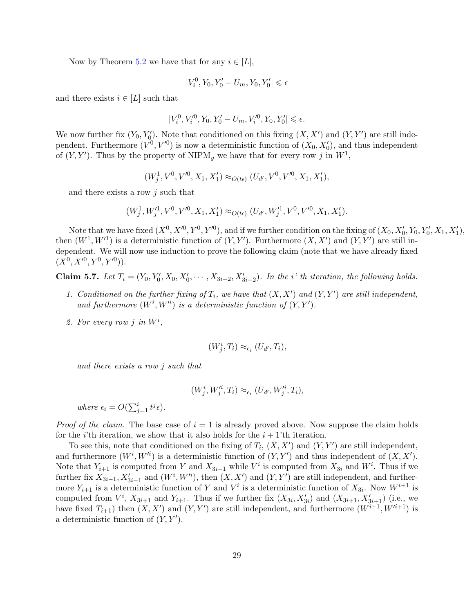Now by Theorem [5.2](#page-25-0) we have that for any  $i \in [L]$ ,

$$
|V^0_i,Y_0,Y'_0-U_m,Y_0,Y'_0|\leqslant \epsilon
$$

and there exists  $i \in [L]$  such that

$$
|V_i^0,V_i'^0,Y_0,Y_0'-U_m,V_i'^0,Y_0,Y_0'|\leqslant\epsilon.
$$

We now further fix  $(Y_0, Y'_0)$ . Note that conditioned on this fixing  $(X, X')$  and  $(Y, Y')$  are still independent. Furthermore  $(V^0, V^{\prime 0})$  is now a deterministic function of  $(X_0, X'_0)$ , and thus independent of  $(Y, Y')$ . Thus by the property of NIPM<sub>y</sub> we have that for every row j in  $W^1$ ,

 $(W_j^1, V^0, V'^0, X_1, X'_1) \approx_{O(t\epsilon)} (U_{d'}, V^0, V'^0, X_1, X'_1),$ 

and there exists a row  $j$  such that

$$
(W_j^1, W_j'^1, V^0, V'^0, X_1, X'_1) \approx_{O(t\epsilon)} (U_{d'}, W_j'^1, V^0, V'^0, X_1, X'_1).
$$

Note that we have fixed  $(X^0, X'^0, Y'^0, Y'^0)$ , and if we further condition on the fixing of  $(X_0, X'_0, Y_0, Y'_0, X_1, X'_1)$ , then  $(W^1, W'^1)$  is a deterministic function of  $(Y, Y')$ . Furthermore  $(X, X')$  and  $(Y, Y')$  are still independent. We will now use induction to prove the following claim (note that we have already fixed  $(X^0, X^{\prime 0}, Y^0, Y^{\prime 0})$ .

Claim 5.7. Let  $T_i = (Y_0, Y'_0, X_0, X'_0, \cdots, X_{3i-2}, X'_{3i-2})$ . In the *i*' th iteration, the following holds.

- 1. Conditioned on the further fixing of  $T_i$ , we have that  $(X, X')$  and  $(Y, Y')$  are still independent, and furthermore  $(W^i, W'^i)$  is a deterministic function of  $(Y, Y')$ .
- 2. For every row j in  $W^i$ ,

$$
(W_j^i, T_i) \approx_{\epsilon_i} (U_{d'}, T_i),
$$

and there exists a row j such that

$$
(W_j^i, W_j^{\prime i}, T_i) \approx_{\epsilon_i} (U_{d'}, W_j^{\prime i}, T_i),
$$

where  $\epsilon_i = O(\sum_{j=1}^i t^j \epsilon)$ .

*Proof of the claim.* The base case of  $i = 1$  is already proved above. Now suppose the claim holds for the *i*'th iteration, we show that it also holds for the  $i + 1$ 'th iteration.

To see this, note that conditioned on the fixing of  $T_i$ ,  $(X, X')$  and  $(Y, Y')$  are still independent, and furthermore  $(W^i, W'^i)$  is a deterministic function of  $(Y, Y')$  and thus independent of  $(X, X')$ . Note that  $Y_{i+1}$  is computed from Y and  $X_{3i-1}$  while  $V^i$  is computed from  $X_{3i}$  and  $W^i$ . Thus if we further fix  $X_{3i-1}$ ,  $X'_{3i-1}$  and  $(W^i, W'^i)$ , then  $(X, X')$  and  $(Y, Y')$  are still independent, and furthermore  $Y_{i+1}$  is a deterministic function of Y and  $V^i$  is a deterministic function of  $X_{3i}$ . Now  $W^{i+1}$  is computed from  $V^i$ ,  $X_{3i+1}$  and  $Y_{i+1}$ . Thus if we further fix  $(X_{3i}, X'_{3i})$  and  $(X_{3i+1}, X'_{3i+1})$  (i.e., we have fixed  $T_{i+1}$ ) then  $(X, X')$  and  $(Y, Y')$  are still independent, and furthermore  $(W^{i+1}, W^{i+1})$  is a deterministic function of  $(Y, Y')$ .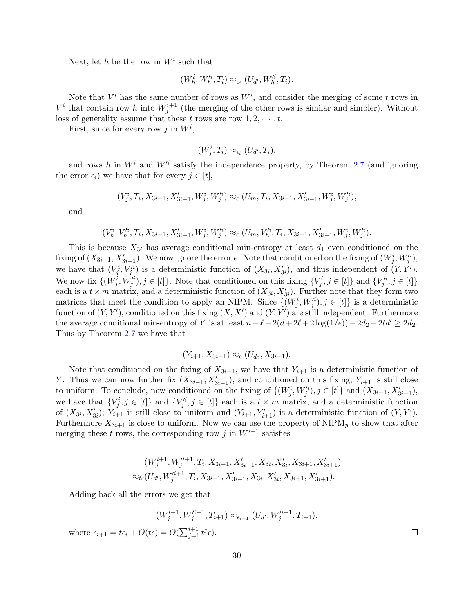Next, let h be the row in  $W^i$  such that

$$
(W_h^i, W_h^{\prime i}, T_i) \approx_{\epsilon_i} (U_{d'}, W_h^{\prime i}, T_i).
$$

Note that  $V^i$  has the same number of rows as  $W^i$ , and consider the merging of some t rows in  $V^i$  that contain row h into  $W_j^{i+1}$  (the merging of the other rows is similar and simpler). Without loss of generality assume that these t rows are row  $1, 2, \dots, t$ .

First, since for every row j in  $W^i$ ,

$$
(W_j^i, T_i) \approx_{\epsilon_i} (U_{d'}, T_i),
$$

and rows h in  $W^i$  and  $W'^i$  satisfy the independence property, by Theorem [2.7](#page-12-0) (and ignoring the error  $\epsilon_i$ ) we have that for every  $j \in [t]$ ,

$$
(V_j^i, T_i, X_{3i-1}, X'_{3i-1}, W_j^i, W_j'^i) \approx_{\epsilon} (U_m, T_i, X_{3i-1}, X'_{3i-1}, W_j^i, W_j'^i),
$$

and

$$
(V_h^i, V_h'^i, T_i, X_{3i-1}, X'_{3i-1}, W_j^i, W_j'^i) \approx_{\epsilon} (U_m, V_h'^i, T_i, X_{3i-1}, X'_{3i-1}, W_j^i, W_j'^i).
$$

This is because  $X_{3i}$  has average conditional min-entropy at least  $d_1$  even conditioned on the fixing of  $(X_{3i-1}, X'_{3i-1})$ . We now ignore the error  $\epsilon$ . Note that conditioned on the fixing of  $(W_j^i, W_j'^i)$ , we have that  $(V_j^i, V_j'^i)$  is a deterministic function of  $(X_{3i}, X'_{3i})$ , and thus independent of  $(Y, Y')$ . We now fix  $\{(W_j^i, W_j'^i), j \in [t]\}$ . Note that conditioned on this fixing  $\{V_j^i, j \in [t]\}$  and  $\{V_j'^i, j \in [t]\}$ each is a  $t \times m$  matrix, and a deterministic function of  $(X_{3i}, X'_{3i})$ . Further note that they form two matrices that meet the condition to apply an NIPM. Since  $\{(W_j^i, W_j'^i), j \in [t]\}$  is a deterministic function of  $(Y, Y')$ , conditioned on this fixing  $(X, X')$  and  $(Y, Y')$  are still independent. Furthermore the average conditional min-entropy of Y is at least  $n-\ell-2(d+2\ell+2\log(1/\epsilon))-2d_2-2td' \geq 2d_2$ . Thus by Theorem [2.7](#page-12-0) we have that

$$
(Y_{i+1}, X_{3i-1}) \approx_{\epsilon} (U_{d_2}, X_{3i-1}).
$$

Note that conditioned on the fixing of  $X_{3i-1}$ , we have that  $Y_{i+1}$  is a deterministic function of Y. Thus we can now further fix  $(X_{3i-1}, X'_{3i-1})$ , and conditioned on this fixing,  $Y_{i+1}$  is still close to uniform. To conclude, now conditioned on the fixing of  $\{(W_j^i, W_j'^i), j \in [t]\}\$ and  $(X_{3i-1}, X'_{3i-1}),$ we have that  $\{V_j^i, j \in [t]\}$  and  $\{V_j'^i, j \in [t]\}$  each is a  $t \times m$  matrix, and a deterministic function of  $(X_{3i}, X'_{3i})$ ;  $Y_{i+1}$  is still close to uniform and  $(Y_{i+1}, Y'_{i+1})$  is a deterministic function of  $(Y, Y')$ . Furthermore  $X_{3i+1}$  is close to uniform. Now we can use the property of NIPM<sub>y</sub> to show that after merging these t rows, the corresponding row j in  $W^{i+1}$  satisfies

$$
(W_j^{i+1}, W_j^{\prime i+1}, T_i, X_{3i-1}, X'_{3i-1}, X_{3i}, X'_{3i}, X_{3i+1}, X'_{3i+1})
$$
  

$$
\approx_{t\epsilon}(U_{d'}, W_j^{\prime i+1}, T_i, X_{3i-1}, X'_{3i-1}, X_{3i}, X'_{3i}, X_{3i+1}, X'_{3i+1}).
$$

Adding back all the errors we get that

$$
(W_j^{i+1}, W_j^{\prime i+1}, T_{i+1}) \approx_{\epsilon_{i+1}} (U_{d'}, W_j^{\prime i+1}, T_{i+1}),
$$

where  $\epsilon_{i+1} = t\epsilon_i + O(t\epsilon) = O(\sum_{j=1}^{i+1} t^j \epsilon).$ 

 $\Box$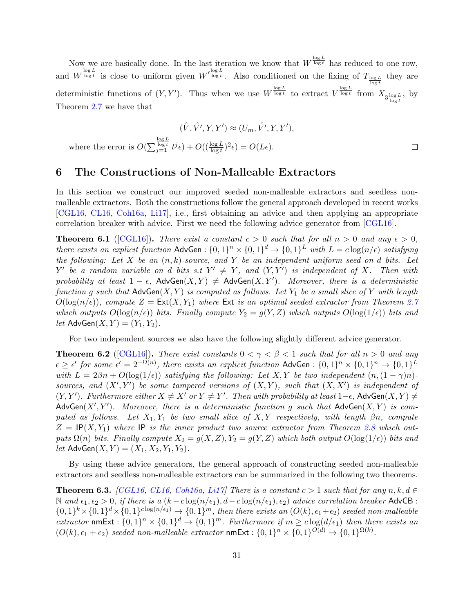Now we are basically done. In the last iteration we know that  $W^{\frac{\log L}{\log t}}$  has reduced to one row, and  $W^{\frac{\log L}{\log t}}$  is close to uniform given  $W^{\frac{\log L}{\log t}}$ . Also conditioned on the fixing of  $T_{\log L}$  they are  $\log t$ deterministic functions of  $(Y, Y')$ . Thus when we use  $W^{\frac{\log L}{\log t}}$  to extract  $V^{\frac{\log L}{\log t}}$  from  $X_{3\frac{\log L}{\log t}}$ , by Theorem [2.7](#page-12-0) we have that

$$
(\hat{V}, \hat{V}', Y, Y') \approx (U_m, \hat{V}', Y, Y'),
$$
  
where the error is  $O(\sum_{j=1}^{\frac{\log L}{\log t}} t^j \epsilon) + O((\frac{\log L}{\log t})^2 \epsilon) = O(L\epsilon).$ 

### <span id="page-31-0"></span>6 The Constructions of Non-Malleable Extractors

In this section we construct our improved seeded non-malleable extractors and seedless nonmalleable extractors. Both the constructions follow the general approach developed in recent works [\[CGL16,](#page-49-8) [CL16,](#page-49-2) [Coh16a,](#page-49-3) [Li17\]](#page-51-0), i.e., first obtaining an advice and then applying an appropriate correlation breaker with advice. First we need the following advice generator from [\[CGL16\]](#page-49-8).

<span id="page-31-1"></span>**Theorem 6.1** ([\[CGL16\]](#page-49-8)). There exist a constant  $c > 0$  such that for all  $n > 0$  and any  $\epsilon > 0$ , there exists an explicit function AdvGen:  $\{0,1\}^n \times \{0,1\}^d \to \{0,1\}^L$  with  $L = c \log(n/\epsilon)$  satisfying the following: Let X be an  $(n, k)$ -source, and Y be an independent uniform seed on d bits. Let Y' be a random variable on d bits s.t  $Y' \neq Y$ , and  $(Y, Y')$  is independent of X. Then with probability at least  $1 - \epsilon$ , AdvGen $(X, Y) \neq$  AdvGen $(X, Y')$ . Moreover, there is a deterministic function g such that  $\mathsf{AdvGen}(X, Y)$  is computed as follows. Let  $Y_1$  be a small slice of Y with length  $O(\log(n/\epsilon))$ , compute  $Z = \text{Ext}(X, Y_1)$  where  $\text{Ext }$  is an optimal seeded extractor from Theorem [2.7](#page-12-0) which outputs  $O(\log(n/\epsilon))$  bits. Finally compute  $Y_2 = g(Y, Z)$  which outputs  $O(\log(1/\epsilon))$  bits and let  $\mathsf{AdvGen}(X, Y) = (Y_1, Y_2).$ 

For two independent sources we also have the following slightly different advice generator.

<span id="page-31-2"></span>**Theorem 6.2** ([\[CGL16\]](#page-49-8)). There exist constants  $0 < \gamma < \beta < 1$  such that for all  $n > 0$  and any  $\epsilon \geq \epsilon'$  for some  $\epsilon' = 2^{-\Omega(n)}$ , there exists an explicit function AdvGen :  $\{0,1\}^n \times \{0,1\}^n \to \{0,1\}^L$ with  $L = 2\beta n + O(\log(1/\epsilon))$  satisfying the following: Let X, Y be two independent  $(n,(1-\gamma)n)$ sources, and  $(X', Y')$  be some tampered versions of  $(X, Y)$ , such that  $(X, X')$  is independent of  $(Y, Y')$ . Furthermore either  $X \neq X'$  or  $Y \neq Y'$ . Then with probability at least 1– $\epsilon$ , AdvGen $(X, Y) \neq Y'$ AdvGen $(X', Y')$ . Moreover, there is a deterministic function g such that AdvGen $(X, Y)$  is computed as follows. Let  $X_1, Y_1$  be two small slice of  $X, Y$  respectively, with length  $\beta n$ , compute  $Z = \text{IP}(X, Y_1)$  where IP is the inner product two source extractor from Theorem [2.8](#page-12-1) which outputs  $\Omega(n)$  bits. Finally compute  $X_2 = g(X, Z), Y_2 = g(Y, Z)$  which both output  $O(\log(1/\epsilon))$  bits and let AdvGen $(X, Y) = (X_1, X_2, Y_1, Y_2)$ .

By using these advice generators, the general approach of constructing seeded non-malleable extractors and seedless non-malleable extractors can be summarized in the following two theorems.

<span id="page-31-3"></span>**Theorem 6.3.** [\[CGL16,](#page-49-8) [CL16,](#page-49-2) [Coh16a,](#page-49-3) [Li17\]](#page-51-0) There is a constant  $c > 1$  such that for any  $n, k, d \in$  $\mathbb N$  and  $\epsilon_1, \epsilon_2 > 0$ , if there is a  $(k - c \log(n/\epsilon_1), d - c \log(n/\epsilon_1), \epsilon_2)$  advice correlation breaker AdvCB :  $\{0,1\}^k\times\{0,1\}^d\times\{0,1\}^{c\log(n/\epsilon_1)}\to\{0,1\}^m$ , then there exists an  $(O(k),\epsilon_1+\epsilon_2)$  seeded non-malleable extractor nmExt :  $\{0,1\}^n \times \{0,1\}^d \to \{0,1\}^m$ . Furthermore if  $m \geq c \log(d/\epsilon_1)$  then there exists an  $(O(k), \epsilon_1 + \epsilon_2)$  seeded non-malleable extractor  $\mathsf{nmExt} : \{0,1\}^n \times \{0,1\}^{O(d)} \to \{0,1\}^{\Omega(k)}$ .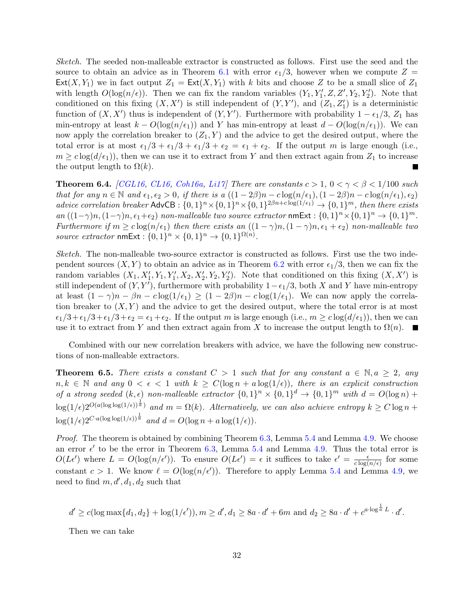Sketch. The seeded non-malleable extractor is constructed as follows. First use the seed and the source to obtain an advice as in Theorem [6.1](#page-31-1) with error  $\epsilon_1/3$ , however when we compute  $Z =$  $Ext(X, Y_1)$  we in fact output  $Z_1 = Ext(X, Y_1)$  with k bits and choose Z to be a small slice of  $Z_1$ with length  $O(\log(n/\epsilon))$ . Then we can fix the random variables  $(Y_1, Y_1', Z, Z', Y_2, Y_2')$ . Note that conditioned on this fixing  $(X, X')$  is still independent of  $(Y, Y')$ , and  $(Z_1, Z'_1)$  is a deterministic function of  $(X, X')$  thus is independent of  $(Y, Y')$ . Furthermore with probability  $1 - \epsilon_1/3$ ,  $Z_1$  has min-entropy at least  $k - O(\log(n/\epsilon_1))$  and Y has min-entropy at least  $d - O(\log(n/\epsilon_1))$ . We can now apply the correlation breaker to  $(Z_1, Y)$  and the advice to get the desired output, where the total error is at most  $\epsilon_1/3 + \epsilon_1/3 + \epsilon_1/3 + \epsilon_2 = \epsilon_1 + \epsilon_2$ . If the output m is large enough (i.e.,  $m \geq c \log(d/\epsilon_1)$ , then we can use it to extract from Y and then extract again from  $Z_1$  to increase the output length to  $\Omega(k)$ . ×

<span id="page-32-1"></span>**Theorem 6.4.** [\[CGL16,](#page-49-8) [CL16,](#page-49-2) [Coh16a,](#page-49-3) [Li17\]](#page-51-0) There are constants  $c > 1$ ,  $0 < \gamma < \beta < 1/100$  such that for any  $n \in \mathbb{N}$  and  $\epsilon_1, \epsilon_2 > 0$ , if there is a  $((1 - 2\beta)n - c \log(n/\epsilon_1), (1 - 2\beta)n - c \log(n/\epsilon_1), \epsilon_2)$ advice correlation breaker AdvCB :  $\{0,1\}^n \times \{0,1\}^n \times \{0,1\}^{2\beta n + c \log(1/\epsilon_1)} \to \{0,1\}^m$ , then there exists an  $((1-\gamma)n,(1-\gamma)n,\epsilon_1+\epsilon_2)$  non-malleable two source extractor nmExt :  $\{0,1\}^n \times \{0,1\}^n \rightarrow \{0,1\}^m$ . Furthermore if  $m \geq c \log(n/\epsilon_1)$  then there exists an  $((1 - \gamma)n, (1 - \gamma)n, \epsilon_1 + \epsilon_2)$  non-malleable two source extractor  $\mathsf{nmExt} : \{0,1\}^n \times \{0,1\}^n \to \{0,1\}^{\Omega(n)}$ .

Sketch. The non-malleable two-source extractor is constructed as follows. First use the two independent sources  $(X, Y)$  to obtain an advice as in Theorem [6.2](#page-31-2) with error  $\epsilon_1/3$ , then we can fix the random variables  $(X_1, X'_1, Y_1, Y'_1, X_2, X'_2, Y_2, Y'_2)$ . Note that conditioned on this fixing  $(X, X')$  is still independent of  $(Y, Y')$ , furthermore with probability  $1-\epsilon_1/3$ , both X and Y have min-entropy at least  $(1 - \gamma)n - \beta n - c \log(1/\epsilon_1) \ge (1 - 2\beta)n - c \log(1/\epsilon_1)$ . We can now apply the correlation breaker to  $(X, Y)$  and the advice to get the desired output, where the total error is at most  $\epsilon_1/3+\epsilon_1/3+\epsilon_1/3+\epsilon_2 = \epsilon_1+\epsilon_2$ . If the output m is large enough (i.e.,  $m \geq c \log(d/\epsilon_1)$ ), then we can use it to extract from Y and then extract again from X to increase the output length to  $\Omega(n)$ .  $\blacksquare$ 

Combined with our new correlation breakers with advice, we have the following new constructions of non-malleable extractors.

<span id="page-32-0"></span>**Theorem 6.5.** There exists a constant  $C > 1$  such that for any constant  $a \in \mathbb{N}, a \geq 2$ , any  $n, k \in \mathbb{N}$  and any  $0 < \epsilon < 1$  with  $k \ge C(\log n + a \log(1/\epsilon))$ , there is an explicit construction of a strong seeded  $(k, \epsilon)$  non-malleable extractor  $\{0, 1\}^n \times \{0, 1\}^d \to \{0, 1\}^m$  with  $d = O(\log n) +$  $\log(1/\epsilon)2^{O(a(\log\log(1/\epsilon))^{\frac{1}{a}})}$  and  $m = \Omega(k)$ . Alternatively, we can also achieve entropy  $k \geq C \log n +$  $\log(1/\epsilon)2^{C \cdot a(\log \log(1/\epsilon))^{\frac{1}{a}}}$  and  $d = O(\log n + a\log(1/\epsilon)).$ 

Proof. The theorem is obtained by combining Theorem [6.3,](#page-31-3) Lemma [5.4](#page-26-0) and Lemma [4.9.](#page-19-1) We choose an error  $\epsilon'$  to be the error in Theorem [6.3,](#page-31-3) Lemma [5.4](#page-26-0) and Lemma [4.9.](#page-19-1) Thus the total error is  $O(L\epsilon')$  where  $L = O(\log(n/\epsilon'))$ . To ensure  $O(L\epsilon') = \epsilon$  it suffices to take  $\epsilon' = \frac{\epsilon}{c \log n}$  $\frac{\epsilon}{c \log(n/\epsilon)}$  for some constant  $c > 1$ . We know  $\ell = O(\log(n/\epsilon'))$ . Therefore to apply Lemma [5.4](#page-26-0) and Lemma [4.9,](#page-19-1) we need to find  $m, d', d_1, d_2$  such that

$$
d' \ge c(\log \max\{d_1, d_2\} + \log(1/\epsilon')), m \ge d', d_1 \ge 8a \cdot d' + 6m \text{ and } d_2 \ge 8a \cdot d' + c^{a \cdot \log^{\frac{1}{a}} L} \cdot d'.
$$

Then we can take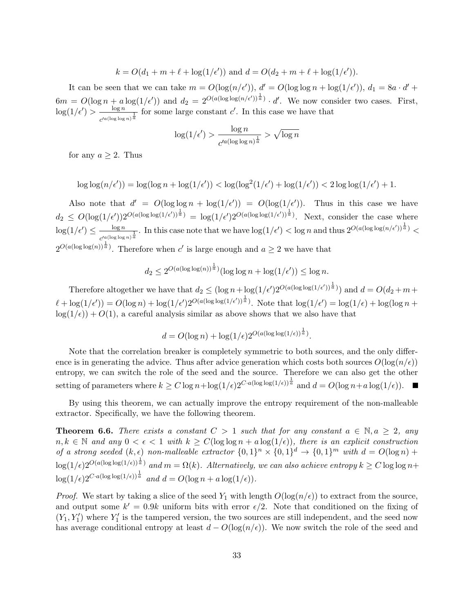$$
k = O(d_1 + m + \ell + \log(1/\epsilon'))
$$
 and  $d = O(d_2 + m + \ell + \log(1/\epsilon'))$ .

It can be seen that we can take  $m = O(\log(n/\epsilon'))$ ,  $d' = O(\log \log n + \log(1/\epsilon'))$ ,  $d_1 = 8a \cdot d' +$  $6m = O(\log n + a\log(1/\epsilon'))$  and  $d_2 = 2^{O(a(\log \log(n/\epsilon'))^{\frac{1}{a}})} \cdot d'$ . We now consider two cases. First,  $\log(1/\epsilon') > \frac{\log n}{\epsilon}$  $\frac{\log n}{c'^{a(\log \log n)^{\frac{1}{a}}}}$  for some large constant  $c'$ . In this case we have that

$$
\log(1/\epsilon') > \frac{\log n}{c'^{a(\log \log n)^{\frac{1}{a}}}} > \sqrt{\log n}
$$

for any  $a \geq 2$ . Thus

$$
\log\log(n/\epsilon'))=\log(\log n+\log(1/\epsilon'))<\log(\log^2(1/\epsilon')+\log(1/\epsilon'))<2\log\log(1/\epsilon')+1.
$$

Also note that  $d' = O(\log \log n + \log(1/\epsilon')) = O(\log(1/\epsilon'))$ . Thus in this case we have  $d_2 \leq O(\log(1/\epsilon'))2^{O(a(\log\log(1/\epsilon'))^{\frac{1}{a}})} = \log(1/\epsilon')2^{O(a(\log\log(1/\epsilon'))^{\frac{1}{a}})}$ . Next, consider the case where  $\log(1/\epsilon') \leq \frac{\log n}{\epsilon}$  $\frac{\log n}{c'^{a(\log \log n)^{\frac{1}{a}}}}$ . In this case note that we have  $\log(1/\epsilon') < \log n$  and thus  $2^{O(a(\log \log(n/\epsilon'))^{\frac{1}{a}})} <$  $2^{O(a(\log \log(n))^{\frac{1}{a}})}$ . Therefore when c' is large enough and  $a \geq 2$  we have that

$$
d_2 \le 2^{O(a(\log \log(n))^{\frac{1}{a}})}(\log \log n + \log(1/\epsilon')) \le \log n.
$$

Therefore altogether we have that  $d_2 \leq (\log n + \log(1/\epsilon') 2^{O(a(\log \log(1/\epsilon'))^{\frac{1}{a}})})$  and  $d = O(d_2 + m +$  $\ell + \log(1/\epsilon') = O(\log n) + \log(1/\epsilon') 2^{O(a(\log \log(1/\epsilon'))^{\frac{1}{a}})}$ . Note that  $\log(1/\epsilon') = \log(1/\epsilon) + \log(\log n + \frac{1}{\epsilon})$  $log(1/\epsilon)$  +  $O(1)$ , a careful analysis similar as above shows that we also have that

$$
d = O(\log n) + \log(1/\epsilon)2^{O(a(\log \log(1/\epsilon))^{\frac{1}{a}})}.
$$

Note that the correlation breaker is completely symmetric to both sources, and the only difference is in generating the advice. Thus after advice generation which costs both sources  $O(\log(n/\epsilon))$ entropy, we can switch the role of the seed and the source. Therefore we can also get the other setting of parameters where  $k \geq C \log n + \log(1/\epsilon) 2^{C \cdot a (\log \log(1/\epsilon))^{\frac{1}{a}}}$  and  $d = O(\log n + a \log(1/\epsilon))$ .

By using this theorem, we can actually improve the entropy requirement of the non-malleable extractor. Specifically, we have the following theorem.

**Theorem 6.6.** There exists a constant  $C > 1$  such that for any constant  $a \in \mathbb{N}, a \geq 2$ , any  $n, k \in \mathbb{N}$  and any  $0 < \epsilon < 1$  with  $k \ge C(\log \log n + a \log(1/\epsilon))$ , there is an explicit construction of a strong seeded  $(k, \epsilon)$  non-malleable extractor  $\{0, 1\}^n \times \{0, 1\}^d \to \{0, 1\}^m$  with  $d = O(\log n) +$  $\log(1/\epsilon)2^{O(a(\log\log(1/\epsilon))^{\frac{1}{a}})}$  and  $m=\Omega(k)$ . Alternatively, we can also achieve entropy  $k\geq C\log\log n+1$  $\log(1/\epsilon)2^{C \cdot a(\log \log(1/\epsilon))^{\frac{1}{a}}}$  and  $d = O(\log n + a\log(1/\epsilon)).$ 

*Proof.* We start by taking a slice of the seed  $Y_1$  with length  $O(\log(n/\epsilon))$  to extract from the source, and output some  $k' = 0.9k$  uniform bits with error  $\epsilon/2$ . Note that conditioned on the fixing of  $(Y_1, Y'_1)$  where  $Y'_1$  is the tampered version, the two sources are still independent, and the seed now has average conditional entropy at least  $d - O(\log(n/\epsilon))$ . We now switch the role of the seed and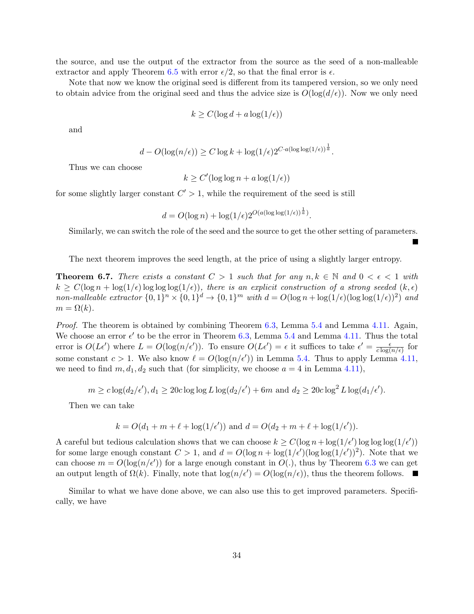the source, and use the output of the extractor from the source as the seed of a non-malleable extractor and apply Theorem [6.5](#page-32-0) with error  $\epsilon/2$ , so that the final error is  $\epsilon$ .

Note that now we know the original seed is different from its tampered version, so we only need to obtain advice from the original seed and thus the advice size is  $O(\log(d/\epsilon))$ . Now we only need

$$
k \ge C(\log d + a \log(1/\epsilon))
$$

and

$$
d - O(\log(n/\epsilon)) \ge C \log k + \log(1/\epsilon) 2^{C \cdot a (\log \log(1/\epsilon))^{\frac{1}{a}}}
$$

.

П

Thus we can choose

$$
k \ge C'(\log \log n + a \log(1/\epsilon))
$$

for some slightly larger constant  $C' > 1$ , while the requirement of the seed is still

$$
d = O(\log n) + \log(1/\epsilon)2^{O(a(\log \log(1/\epsilon))^{\frac{1}{a}})}.
$$

Similarly, we can switch the role of the seed and the source to get the other setting of parameters.

The next theorem improves the seed length, at the price of using a slightly larger entropy.

<span id="page-34-0"></span>**Theorem 6.7.** There exists a constant  $C > 1$  such that for any  $n, k \in \mathbb{N}$  and  $0 < \epsilon < 1$  with  $k \geq C(\log n + \log(1/\epsilon)) \log \log(1/\epsilon))$ , there is an explicit construction of a strong seeded  $(k, \epsilon)$ non-malleable extractor  $\{0,1\}^n \times \{0,1\}^d \to \{0,1\}^m$  with  $d = O(\log n + \log(1/\epsilon)(\log \log(1/\epsilon))^2)$  and  $m = \Omega(k)$ .

Proof. The theorem is obtained by combining Theorem [6.3,](#page-31-3) Lemma [5.4](#page-26-0) and Lemma [4.11.](#page-21-0) Again, We choose an error  $\epsilon'$  to be the error in Theorem [6.3,](#page-31-3) Lemma [5.4](#page-26-0) and Lemma [4.11.](#page-21-0) Thus the total error is  $O(L\epsilon')$  where  $L = O(\log(n/\epsilon'))$ . To ensure  $O(L\epsilon') = \epsilon$  it suffices to take  $\epsilon' = \frac{\epsilon}{c \log(n/\epsilon')}$  $\frac{\epsilon}{c \log(n/\epsilon)}$  for some constant  $c > 1$ . We also know  $\ell = O(\log(n/\epsilon'))$  in Lemma [5.4.](#page-26-0) Thus to apply Lemma [4.11,](#page-21-0) we need to find  $m, d_1, d_2$  such that (for simplicity, we choose  $a = 4$  in Lemma [4.11\)](#page-21-0),

$$
m \geq c \log(d_2/\epsilon'), d_1 \geq 20c \log \log L \log(d_2/\epsilon') + 6m \text{ and } d_2 \geq 20c \log^2 L \log(d_1/\epsilon').
$$

Then we can take

$$
k = O(d_1 + m + \ell + \log(1/\epsilon'))
$$
 and  $d = O(d_2 + m + \ell + \log(1/\epsilon'))$ .

A careful but tedious calculation shows that we can choose  $k \geq C(\log n + \log(1/\epsilon)) \log \log \log(1/\epsilon))$ for some large enough constant  $C > 1$ , and  $d = O(\log n + \log(1/\epsilon')(\log \log(1/\epsilon'))^2)$ . Note that we can choose  $m = O(\log(n/\epsilon))$  for a large enough constant in  $O(.)$ , thus by Theorem [6.3](#page-31-3) we can get an output length of  $\Omega(k)$ . Finally, note that  $\log(n/\epsilon') = O(\log(n/\epsilon))$ , thus the theorem follows.

Similar to what we have done above, we can also use this to get improved parameters. Specifically, we have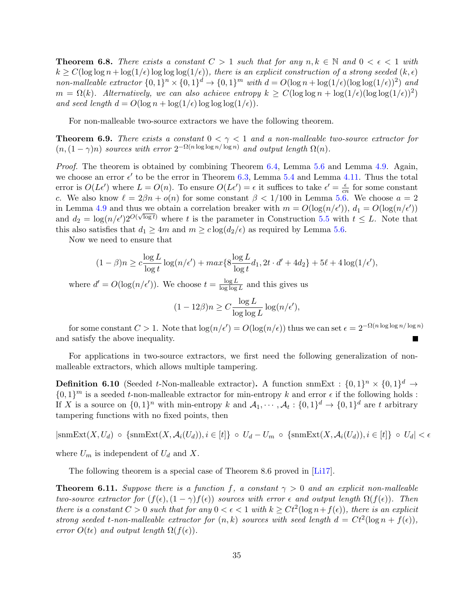**Theorem 6.8.** There exists a constant  $C > 1$  such that for any  $n, k \in \mathbb{N}$  and  $0 < \epsilon < 1$  with  $k \geq C(\log \log n + \log(1/\epsilon)) \log \log(1/\epsilon))$ , there is an explicit construction of a strong seeded  $(k, \epsilon)$ non-malleable extractor  $\{0,1\}^n \times \{0,1\}^d \to \{0,1\}^m$  with  $d = O(\log n + \log(1/\epsilon)(\log \log(1/\epsilon))^2)$  and  $m = \Omega(k)$ . Alternatively, we can also achieve entropy  $k \geq C(\log \log n + \log(1/\epsilon)(\log \log(1/\epsilon))^2)$ and seed length  $d = O(\log n + \log(1/\epsilon)) \log \log \log(1/\epsilon)).$ 

For non-malleable two-source extractors we have the following theorem.

<span id="page-35-0"></span>**Theorem 6.9.** There exists a constant  $0 < \gamma < 1$  and a non-malleable two-source extractor for  $(n,(1-\gamma)n)$  sources with error  $2^{-\Omega(n\log\log n/\log n)}$  and output length  $\Omega(n)$ .

Proof. The theorem is obtained by combining Theorem [6.4,](#page-32-1) Lemma [5.6](#page-28-0) and Lemma [4.9.](#page-19-1) Again, we choose an error  $\epsilon'$  to be the error in Theorem [6.3,](#page-31-3) Lemma [5.4](#page-26-0) and Lemma [4.11.](#page-21-0) Thus the total error is  $O(L\epsilon')$  where  $L = O(n)$ . To ensure  $O(L\epsilon') = \epsilon$  it suffices to take  $\epsilon' = \frac{\epsilon}{c\epsilon'}$  $\frac{\epsilon}{cn}$  for some constant c. We also know  $\ell = 2\beta n + o(n)$  for some constant  $\beta < 1/100$  in Lemma [5.6.](#page-28-0) We choose  $a = 2$ in Lemma [4.9](#page-19-1) and thus we obtain a correlation breaker with  $m = O(\log(n/\epsilon'))$ ,  $d_1 = O(\log(n/\epsilon'))$ and  $d_2 = \log(n/\epsilon') 2^{O(\sqrt{\log t})}$  where t is the parameter in Construction [5.5](#page-27-0) with  $t \leq L$ . Note that this also satisfies that  $d_1 \geq 4m$  and  $m \geq c \log(d_2/\epsilon)$  as required by Lemma [5.6.](#page-28-0)

Now we need to ensure that

$$
(1 - \beta)n \geq c \frac{\log L}{\log t} \log(n/\epsilon') + \max\{8 \frac{\log L}{\log t} d_1, 2t \cdot d' + 4d_2\} + 5\ell + 4\log(1/\epsilon'),
$$

where  $d' = O(\log(n/\epsilon'))$ . We choose  $t = \frac{\log L}{\log \log \epsilon}$  $\frac{\log L}{\log \log L}$  and this gives us

$$
(1 - 12\beta)n \ge C \frac{\log L}{\log \log L} \log (n/\epsilon'),
$$

for some constant  $C > 1$ . Note that  $\log(n/\epsilon') = O(\log(n/\epsilon))$  thus we can set  $\epsilon = 2^{-\Omega(n \log \log n / \log n)}$ and satisfy the above inequality.

For applications in two-source extractors, we first need the following generalization of nonmalleable extractors, which allows multiple tampering.

**Definition 6.10** (Seeded t-Non-malleable extractor). A function snmExt :  $\{0,1\}^n \times \{0,1\}^d$   $\rightarrow$  $\{0,1\}^m$  is a seeded *t*-non-malleable extractor for min-entropy k and error  $\epsilon$  if the following holds : If X is a source on  $\{0,1\}^n$  with min-entropy k and  $\mathcal{A}_1, \cdots, \mathcal{A}_t : \{0,1\}^d \to \{0,1\}^d$  are t arbitrary tampering functions with no fixed points, then

 $|\text{snmExt}(X, U_d) \circ \{\text{snmExt}(X, \mathcal{A}_i(U_d)), i \in [t]\} \circ U_d - U_m \circ \{\text{snmExt}(X, \mathcal{A}_i(U_d)), i \in [t]\} \circ U_d| < \epsilon$ 

where  $U_m$  is independent of  $U_d$  and X.

The following theorem is a special case of Theorem 8.6 proved in [\[Li17\]](#page-51-0).

**Theorem 6.11.** Suppose there is a function f, a constant  $\gamma > 0$  and an explicit non-malleable two-source extractor for  $(f(\epsilon),(1-\gamma)f(\epsilon))$  sources with error  $\epsilon$  and output length  $\Omega(f(\epsilon))$ . Then there is a constant  $C > 0$  such that for any  $0 < \epsilon < 1$  with  $k \geq Ct^2(\log n + f(\epsilon))$ , there is an explicit strong seeded t-non-malleable extractor for  $(n, k)$  sources with seed length  $d = Ct^2(\log n + f(\epsilon)),$ error  $O(t\epsilon)$  and output length  $\Omega(f(\epsilon))$ .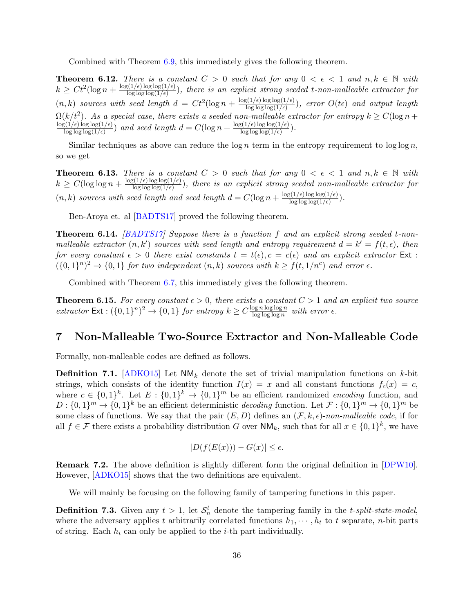Combined with Theorem [6.9,](#page-35-0) this immediately gives the following theorem.

**Theorem 6.12.** There is a constant  $C > 0$  such that for any  $0 < \epsilon < 1$  and  $n, k \in \mathbb{N}$  with  $k \geq Ct^2(\log n + \frac{\log(1/\epsilon)\log\log(1/\epsilon)}{\log\log\log(1/\epsilon)})$  $\frac{\log \log \log (1/\epsilon)}{\log \log (1/\epsilon)}$ , there is an explicit strong seeded t-non-malleable extractor for  $(n, k)$  sources with seed length  $d = Ct^2(\log n + \frac{\log(1/\epsilon) \log \log(1/\epsilon)}{\log \log \log(1/\epsilon)})$  $\frac{\log \log (1/\epsilon)}{\log \log (1/\epsilon)}$ , error  $O(t\epsilon)$  and output length  $\Omega(k/t^2)$ . As a special case, there exists a seeded non-malleable extractor for entropy  $k \ge C(\log n +$  $\log(1/\epsilon) \log \log(1/\epsilon)$  $\frac{\log(1/\epsilon) \log \log(1/\epsilon)}{\log \log \log(1/\epsilon)}$  and seed length  $d = C(\log n + \frac{\log(1/\epsilon) \log \log(1/\epsilon)}{\log \log \log(1/\epsilon)})$  $\frac{\log \log (1/\epsilon)}{\log \log \log (1/\epsilon)}$ .

Similar techniques as above can reduce the  $\log n$  term in the entropy requirement to  $\log \log n$ , so we get

**Theorem 6.13.** There is a constant  $C > 0$  such that for any  $0 < \epsilon < 1$  and  $n, k \in \mathbb{N}$  with  $k \geq C(\log \log n + \frac{\log(1/\epsilon) \log \log(1/\epsilon)}{\log \log \log(1/\epsilon)})$  $\frac{\log \log \log (1/\epsilon)}{\log \log (1/\epsilon)}$ , there is an explicit strong seeded non-malleable extractor for  $(n, k)$  sources with seed length and seed length  $d = C(\log n + \frac{\log(1/\epsilon) \log \log(1/\epsilon)}{\log \log \log(1/\epsilon)})$  $\frac{\lg(1/\epsilon) \log \log(1/\epsilon)}{\log \log \log(1/\epsilon)}$ .

Ben-Aroya et. al [\[BADTS17\]](#page-48-5) proved the following theorem.

**Theorem 6.14.** [\[BADTS17\]](#page-48-5) Suppose there is a function f and an explicit strong seeded t-nonmalleable extractor  $(n, k')$  sources with seed length and entropy requirement  $d = k' = f(t, \epsilon)$ , then for every constant  $\epsilon > 0$  there exist constants  $t = t(\epsilon), c = c(\epsilon)$  and an explicit extractor Ext:  $({0,1}^n)^2 \rightarrow {0,1}$  for two independent  $(n,k)$  sources with  $k \ge f(t,1/n^c)$  and error  $\epsilon$ .

Combined with Theorem [6.7,](#page-34-0) this immediately gives the following theorem.

**Theorem 6.15.** For every constant  $\epsilon > 0$ , there exists a constant  $C > 1$  and an explicit two source extractor  $\text{Ext}: (\{0,1\}^n)^2 \to \{0,1\}$  for entropy  $k \geq C \frac{\log n \log \log n}{\log \log \log n}$  $\frac{\log n \log \log n}{\log \log \log n}$  with error  $\epsilon$ .

## <span id="page-36-0"></span>7 Non-Malleable Two-Source Extractor and Non-Malleable Code

Formally, non-malleable codes are defined as follows.

**Definition 7.1.** [\[ADKO15\]](#page-48-10) Let  $NM_k$  denote the set of trivial manipulation functions on k-bit strings, which consists of the identity function  $I(x) = x$  and all constant functions  $f_c(x) = c$ , where  $c \in \{0,1\}^k$ . Let  $E: \{0,1\}^k \to \{0,1\}^m$  be an efficient randomized *encoding* function, and  $D: \{0,1\}^m \to \{0,1\}^k$  be an efficient deterministic *decoding* function. Let  $\mathcal{F}: \{0,1\}^m \to \{0,1\}^m$  be some class of functions. We say that the pair  $(E, D)$  defines an  $(\mathcal{F}, k, \epsilon)$ -non-malleable code, if for all  $f \in \mathcal{F}$  there exists a probability distribution G over  $\mathsf{NM}_k$ , such that for all  $x \in \{0,1\}^k$ , we have

$$
|D(f(E(x))) - G(x)| \le \epsilon.
$$

Remark 7.2. The above definition is slightly different form the original definition in [\[DPW10\]](#page-50-9). However, [\[ADKO15\]](#page-48-10) shows that the two definitions are equivalent.

We will mainly be focusing on the following family of tampering functions in this paper.

**Definition 7.3.** Given any  $t > 1$ , let  $\mathcal{S}_n^t$  denote the tampering family in the *t*-split-state-model, where the adversary applies t arbitrarily correlated functions  $h_1, \dots, h_t$  to t separate, n-bit parts of string. Each  $h_i$  can only be applied to the *i*-th part individually.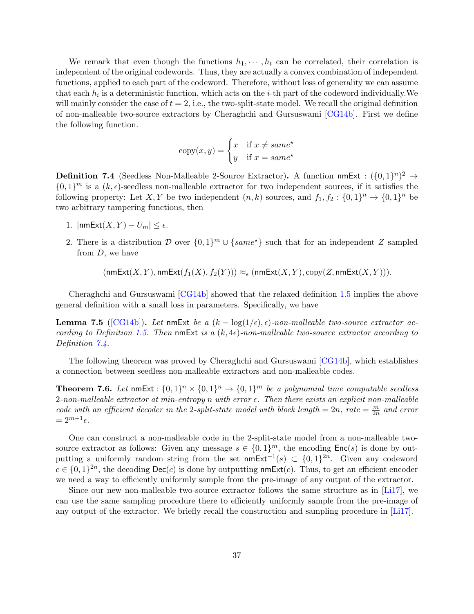We remark that even though the functions  $h_1, \dots, h_t$  can be correlated, their correlation is independent of the original codewords. Thus, they are actually a convex combination of independent functions, applied to each part of the codeword. Therefore, without loss of generality we can assume that each  $h_i$  is a deterministic function, which acts on the *i*-th part of the codeword individually. We will mainly consider the case of  $t = 2$ , i.e., the two-split-state model. We recall the original definition of non-malleable two-source extractors by Cheraghchi and Gursuswami [\[CG14b\]](#page-49-5). First we define the following function.

$$
copy(x, y) = \begin{cases} x & \text{if } x \neq same^* \\ y & \text{if } x = same^* \end{cases}
$$

<span id="page-37-0"></span>**Definition 7.4** (Seedless Non-Malleable 2-Source Extractor). A function nmExt :  $({0,1}^n)^2 \rightarrow$  $\{0,1\}^m$  is a  $(k,\epsilon)$ -seedless non-malleable extractor for two independent sources, if it satisfies the following property: Let X, Y be two independent  $(n, k)$  sources, and  $f_1, f_2 : \{0, 1\}^n \to \{0, 1\}^n$  be two arbitrary tampering functions, then

- 1.  $|\text{nmExt}(X, Y) U_m| \leq \epsilon$ .
- 2. There is a distribution D over  $\{0,1\}^m \cup \{same^*\}$  such that for an independent Z sampled from D, we have

$$
(\mathsf{nmExt}(X,Y), \mathsf{nmExt}(f_1(X), f_2(Y))) \approx_{\epsilon} (\mathsf{nmExt}(X,Y), \mathsf{copy}(Z, \mathsf{nmExt}(X,Y))).
$$

Cheraghchi and Gursuswami [\[CG14b\]](#page-49-5) showed that the relaxed definition [1.5](#page-2-0) implies the above general definition with a small loss in parameters. Specifically, we have

**Lemma 7.5** ([\[CG14b\]](#page-49-5)). Let nmExt be a  $(k - \log(1/\epsilon), \epsilon)$ -non-malleable two-source extractor ac-cording to Definition [1.5.](#page-2-0) Then nmExt is a  $(k, 4\epsilon)$ -non-malleable two-source extractor according to Definition  $7.4$ .

The following theorem was proved by Cheraghchi and Gursuswami [\[CG14b\]](#page-49-5), which establishes a connection between seedless non-malleable extractors and non-malleable codes.

<span id="page-37-1"></span>**Theorem 7.6.** Let  $\text{nmExt}: \{0,1\}^n \times \{0,1\}^n \rightarrow \{0,1\}^m$  be a polynomial time computable seedless  $2$ -non-malleable extractor at min-entropy n with error  $\epsilon$ . Then there exists an explicit non-malleable code with an efficient decoder in the 2-split-state model with block length = 2n, rate =  $\frac{m}{2n}$  $\frac{m}{2n}$  and error  $= 2^{m+1} \epsilon.$ 

One can construct a non-malleable code in the 2-split-state model from a non-malleable twosource extractor as follows: Given any message  $s \in \{0,1\}^m$ , the encoding  $\mathsf{Enc}(s)$  is done by outputting a uniformly random string from the set nmExt<sup>-1</sup>(s) ⊂  $\{0,1\}^{2n}$ . Given any codeword  $c \in \{0,1\}^{2n}$ , the decoding  $\mathsf{Dec}(c)$  is done by outputting nmExt(c). Thus, to get an efficient encoder we need a way to efficiently uniformly sample from the pre-image of any output of the extractor.

Since our new non-malleable two-source extractor follows the same structure as in [\[Li17\]](#page-51-0), we can use the same sampling procedure there to efficiently uniformly sample from the pre-image of any output of the extractor. We briefly recall the construction and sampling procedure in [\[Li17\]](#page-51-0).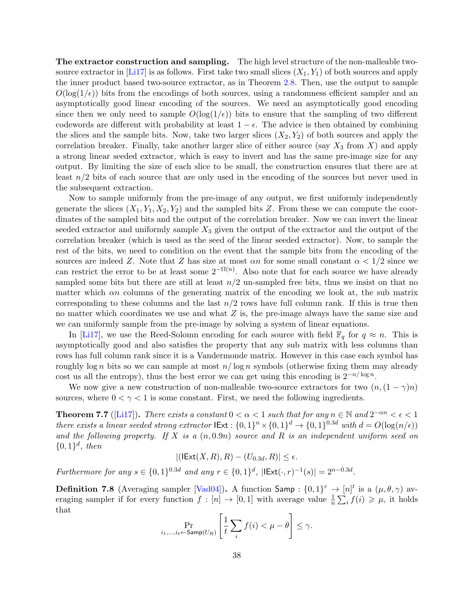The extractor construction and sampling. The high level structure of the non-malleable two-source extractor in [\[Li17\]](#page-51-0) is as follows. First take two small slices  $(X_1, Y_1)$  of both sources and apply the inner product based two-source extractor, as in Theorem [2.8.](#page-12-1) Then, use the output to sample  $O(\log(1/\epsilon))$  bits from the encodings of both sources, using a randomness efficient sampler and an asymptotically good linear encoding of the sources. We need an asymptotically good encoding since then we only need to sample  $O(\log(1/\epsilon))$  bits to ensure that the sampling of two different codewords are different with probability at least  $1 - \epsilon$ . The advice is then obtained by combining the slices and the sample bits. Now, take two larger slices  $(X_2, Y_2)$  of both sources and apply the correlation breaker. Finally, take another larger slice of either source (say  $X_3$  from X) and apply a strong linear seeded extractor, which is easy to invert and has the same pre-image size for any output. By limiting the size of each slice to be small, the construction ensures that there are at least  $n/2$  bits of each source that are only used in the encoding of the sources but never used in the subsequent extraction.

Now to sample uniformly from the pre-image of any output, we first uniformly independently generate the slices  $(X_1, Y_1, X_2, Y_2)$  and the sampled bits Z. From these we can compute the coordinates of the sampled bits and the output of the correlation breaker. Now we can invert the linear seeded extractor and uniformly sample  $X_3$  given the output of the extractor and the output of the correlation breaker (which is used as the seed of the linear seeded extractor). Now, to sample the rest of the bits, we need to condition on the event that the sample bits from the encoding of the sources are indeed Z. Note that Z has size at most  $\alpha n$  for some small constant  $\alpha < 1/2$  since we can restrict the error to be at least some  $2^{-\Omega(n)}$ . Also note that for each source we have already sampled some bits but there are still at least  $n/2$  un-sampled free bits, thus we insist on that no matter which  $\alpha n$  columns of the generating matrix of the encoding we look at, the sub matrix corresponding to these columns and the last  $n/2$  rows have full column rank. If this is true then no matter which coordinates we use and what  $Z$  is, the pre-image always have the same size and we can uniformly sample from the pre-image by solving a system of linear equations.

In [\[Li17\]](#page-51-0), we use the Reed-Solomn encoding for each source with field  $\mathbb{F}_q$  for  $q \approx n$ . This is asymptotically good and also satisfies the property that any sub matrix with less columns than rows has full column rank since it is a Vandermonde matrix. However in this case each symbol has roughly log n bits so we can sample at most  $n/\log n$  symbols (otherwise fixing them may already cost us all the entropy), thus the best error we can get using this encoding is  $2^{-n/\log n}$ .

We now give a new construction of non-malleable two-source extractors for two  $(n,(1-\gamma)n)$ sources, where  $0 < \gamma < 1$  is some constant. First, we need the following ingredients.

<span id="page-38-0"></span>**Theorem 7.7** ([\[Li17\]](#page-51-0)). There exists a constant  $0 < \alpha < 1$  such that for any  $n \in \mathbb{N}$  and  $2^{-\alpha n} < \epsilon < 1$ there exists a linear seeded strong extractor  $\text{Ext} : \{0,1\}^n \times \{0,1\}^d \to \{0,1\}^{0.3d}$  with  $d = O(\log(n/\epsilon))$ and the following property. If X is a  $(n, 0.9n)$  source and R is an independent uniform seed on  $\{0,1\}^d$ , then

$$
|(\text{IExt}(X,R),R)-(U_{0.3d},R)|\leq\epsilon.
$$

Furthermore for any  $s \in \{0,1\}^{0.3d}$  and any  $r \in \{0,1\}^d$ ,  $|\text{Ext}(\cdot,r)^{-1}(s)| = 2^{n-0.3d}$ .

**Definition 7.8** (Averaging sampler [\[Vad04\]](#page-52-9)). A function  $\mathsf{Samp}: \{0,1\}^r \to [n]^t$  is a  $(\mu,\theta,\gamma)$  averaging sampler if for every function  $f: [n] \to [0,1]$  with average value  $\frac{1}{n} \sum_i f(i) \geq \mu$ , it holds that

$$
\Pr_{i_1,\dots,i_t \leftarrow \mathsf{Samp}(U_R)} \left[ \frac{1}{t} \sum_i f(i) < \mu - \theta \right] \le \gamma.
$$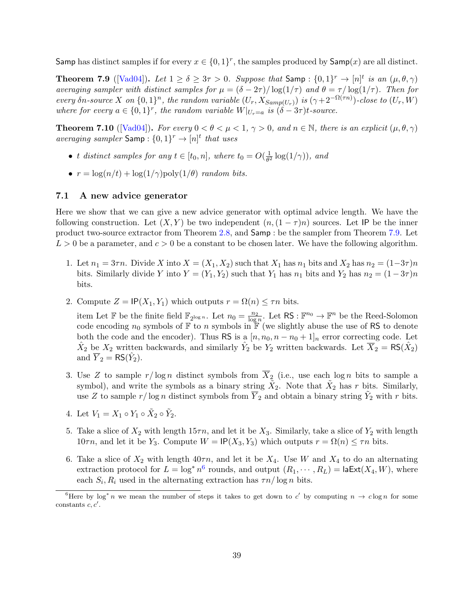Samp has distinct samples if for every  $x \in \{0,1\}^r$ , the samples produced by Samp $(x)$  are all distinct.

<span id="page-39-0"></span>**Theorem 7.9** ([\[Vad04\]](#page-52-9)). Let  $1 \ge \delta \ge 3\tau > 0$ . Suppose that Samp:  $\{0,1\}^r \to [n]^t$  is an  $(\mu,\theta,\gamma)$ averaging sampler with distinct samples for  $\mu = (\delta - 2\tau)/\log(1/\tau)$  and  $\theta = \tau/\log(1/\tau)$ . Then for every  $\delta n$ -source X on  $\{0,1\}^n$ , the random variable  $(U_r, X_{Samp(U_r)})$  is  $(\gamma + 2^{-\Omega(\tau n)})$ -close to  $(U_r, W)$ where for every  $a \in \{0,1\}^r$ , the random variable  $W|_{U_r=a}$  is  $(\delta - 3\tau)t$ -source.

<span id="page-39-2"></span>**Theorem 7.10** ([\[Vad04\]](#page-52-9)). For every  $0 < \theta < \mu < 1$ ,  $\gamma > 0$ , and  $n \in \mathbb{N}$ , there is an explicit  $(\mu, \theta, \gamma)$ averaging sampler  $\mathsf{Samp}: \{0,1\}^r \to [n]^t$  that uses

- t distinct samples for any  $t \in [t_0, n]$ , where  $t_0 = O(\frac{1}{\theta^2})$  $\frac{1}{\theta^2} \log(1/\gamma)$ ), and
- $r = \log(n/t) + \log(1/\gamma) \text{poly}(1/\theta)$  random bits.

#### 7.1 A new advice generator

Here we show that we can give a new advice generator with optimal advice length. We have the following construction. Let  $(X, Y)$  be two independent  $(n, (1 - \tau)n)$  sources. Let IP be the inner product two-source extractor from Theorem [2.8,](#page-12-1) and Samp : be the sampler from Theorem [7.9.](#page-39-0) Let  $L > 0$  be a parameter, and  $c > 0$  be a constant to be chosen later. We have the following algorithm.

- 1. Let  $n_1 = 3\tau n$ . Divide X into  $X = (X_1, X_2)$  such that  $X_1$  has  $n_1$  bits and  $X_2$  has  $n_2 = (1-3\tau)n$ bits. Similarly divide Y into  $Y = (Y_1, Y_2)$  such that  $Y_1$  has  $n_1$  bits and  $Y_2$  has  $n_2 = (1 - 3\tau)n$ bits.
- 2. Compute  $Z = \text{IP}(X_1, Y_1)$  which outputs  $r = \Omega(n) \leq \tau n$  bits.

item Let F be the finite field  $\mathbb{F}_{2^{\log n}}$ . Let  $n_0 = \frac{n_2}{\log n}$ . Let RS :  $\mathbb{F}^{n_0} \to \mathbb{F}^n$  be the Reed-Solomon code encoding  $n_0$  symbols of  $\mathbb F$  to n symbols in  $\mathbb F$  (we slightly abuse the use of RS to denote both the code and the encoder). Thus RS is a  $[n, n_0, n - n_0 + 1]_n$  error correcting code. Let  $\hat{X}_2$  be  $X_2$  written backwards, and similarly  $\hat{Y}_2$  be  $Y_2$  written backwards. Let  $\overline{X}_2 = \text{RS}(\hat{X}_2)$ and  $\overline{Y}_2 = \text{RS}(\hat{Y}_2)$ .

- 3. Use Z to sample  $r/\log n$  distinct symbols from  $\overline{X}_2$  (i.e., use each log n bits to sample a symbol), and write the symbols as a binary string  $\tilde{X}_2$ . Note that  $\tilde{X}_2$  has r bits. Similarly, use Z to sample  $r/\log n$  distinct symbols from  $\overline{Y}_2$  and obtain a binary string  $\tilde{Y}_2$  with r bits.
- 4. Let  $V_1 = X_1 \circ Y_1 \circ \tilde{X}_2 \circ \tilde{Y}_2$ .
- 5. Take a slice of  $X_2$  with length  $15\tau n$ , and let it be  $X_3$ . Similarly, take a slice of  $Y_2$  with length 10 $\tau n$ , and let it be Y<sub>3</sub>. Compute  $W = \mathsf{IP}(X_3, Y_3)$  which outputs  $r = \Omega(n) \leq \tau n$  bits.
- 6. Take a slice of  $X_2$  with length  $40\tau n$ , and let it be  $X_4$ . Use W and  $X_4$  to do an alternating extraction protocol for  $L = \log^* n^6$  $L = \log^* n^6$  rounds, and output  $(R_1, \dots, R_L) = \textsf{laExt}(X_4, W)$ , where each  $S_i, R_i$  used in the alternating extraction has  $\tau n / \log n$  bits.

<span id="page-39-1"></span><sup>&</sup>lt;sup>6</sup>Here by log<sup>\*</sup> n we mean the number of steps it takes to get down to c' by computing  $n \to c \log n$  for some constants  $c, c'$ .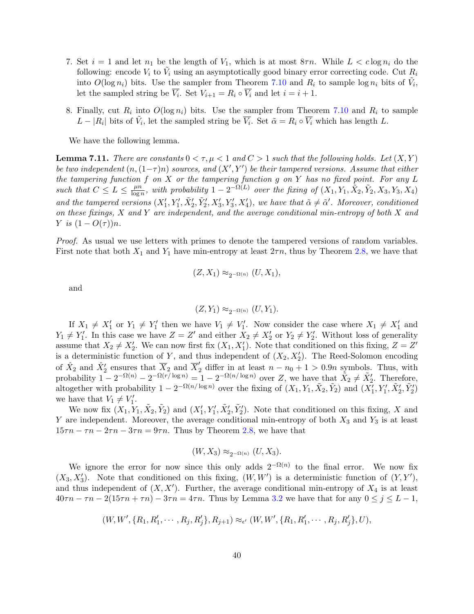- 7. Set  $i = 1$  and let  $n_1$  be the length of  $V_1$ , which is at most  $8\tau n$ . While  $L < c \log n_i$  do the following: encode  $V_i$  to  $\tilde{V}_i$  using an asymptotically good binary error correcting code. Cut  $R_i$ into  $O(\log n_i)$  bits. Use the sampler from Theorem [7.10](#page-39-2) and  $R_i$  to sample  $\log n_i$  bits of  $\tilde{V}_i$ , let the sampled string be  $\overline{V_i}$ . Set  $V_{i+1} = R_i \circ \overline{V_i}$  and let  $i = i + 1$ .
- 8. Finally, cut  $R_i$  into  $O(\log n_i)$  bits. Use the sampler from Theorem [7.10](#page-39-2) and  $R_i$  to sample  $L - |R_i|$  bits of  $\tilde{V}_i$ , let the sampled string be  $\overline{V}_i$ . Set  $\tilde{\alpha} = R_i \circ \overline{V}_i$  which has length L.

We have the following lemma.

<span id="page-40-0"></span>**Lemma 7.11.** There are constants  $0 < \tau, \mu < 1$  and  $C > 1$  such that the following holds. Let  $(X, Y)$ be two independent  $(n,(1-\tau)n)$  sources, and  $(X',Y')$  be their tampered versions. Assume that either the tampering function  $f$  on  $X$  or the tampering function  $g$  on  $Y$  has no fixed point. For any  $L$ such that  $C \leq L \leq \frac{\mu n}{\log n}$  $\frac{\mu n}{\log n}$ , with probability  $1-2^{-\Omega(L)}$  over the fixing of  $(X_1, Y_1, \tilde{X}_2, \tilde{Y}_2, X_3, Y_3, X_4)$ and the tampered versions  $(X'_1, Y'_1, \tilde{X}'_2, \tilde{Y}'_2, X'_3, Y'_3, X'_4)$ , we have that  $\tilde{\alpha} \neq \tilde{\alpha}'$ . Moreover, conditioned on these fixings,  $X$  and  $Y$  are independent, and the average conditional min-entropy of both  $X$  and Y is  $(1 - O(\tau))n$ .

Proof. As usual we use letters with primes to denote the tampered versions of random variables. First note that both  $X_1$  and  $Y_1$  have min-entropy at least  $2\tau n$ , thus by Theorem [2.8,](#page-12-1) we have that

$$
(Z, X_1) \approx_{2^{-\Omega(n)}} (U, X_1),
$$

and

$$
(Z,Y_1) \approx_{2^{-\Omega(n)}} (U,Y_1).
$$

If  $X_1 \neq X'_1$  or  $Y_1 \neq Y'_1$  then we have  $V_1 \neq V'_1$ . Now consider the case where  $X_1 \neq X'_1$  and  $Y_1 \neq Y_1'$ . In this case we have  $Z = Z'$  and either  $X_2 \neq X_2'$  or  $Y_2 \neq Y_2'$ . Without loss of generality assume that  $X_2 \neq X'_2$ . We can now first fix  $(X_1, X'_1)$ . Note that conditioned on this fixing,  $Z = Z'$ is a deterministic function of Y, and thus independent of  $(X_2, X_2')$ . The Reed-Solomon encoding of  $\hat{X}_2$  and  $\hat{X}_2'$  ensures that  $\overline{X}_2$  and  $\overline{X}_2'$  differ in at least  $n - n_0 + 1 > 0.9n$  symbols. Thus, with probability  $1 - 2^{-\Omega(n)} - 2^{-\Omega(r/\log n)} = 1 - 2^{-\Omega(n/\log n)}$  over Z, we have that  $\tilde{X}_2 \neq \tilde{X}_2'$ . Therefore, altogether with probability  $1 - 2^{-\Omega(n/\log n)}$  over the fixing of  $(X_1, Y_1, \tilde{X}_2, \tilde{Y}_2)$  and  $(X'_1, Y'_1, \tilde{X}'_2, \tilde{Y}'_2)$ we have that  $V_1 \neq V'_1$ .

We now fix  $(X_1, Y_1, \tilde{X}_2, \tilde{Y}_2)$  and  $(X'_1, Y'_1, \tilde{X}'_2, \tilde{Y}'_2)$ . Note that conditioned on this fixing, X and Y are independent. Moreover, the average conditional min-entropy of both  $X_3$  and  $Y_3$  is at least  $15\tau n - \tau n - 2\tau n - 3\tau n = 9\tau n$ . Thus by Theorem [2.8,](#page-12-1) we have that

$$
(W, X_3) \approx_{2^{-\Omega(n)}} (U, X_3).
$$

We ignore the error for now since this only adds  $2^{-\Omega(n)}$  to the final error. We now fix  $(X_3, X_3')$ . Note that conditioned on this fixing,  $(W, W')$  is a deterministic function of  $(Y, Y')$ , and thus independent of  $(X, X')$ . Further, the average conditional min-entropy of  $X_4$  is at least  $40\tau n - \tau n - 2(15\tau n + \tau n) - 3\tau n = 4\tau n$ . Thus by Lemma [3.2](#page-14-1) we have that for any  $0 \le j \le L - 1$ ,

$$
(W, W', \{R_1, R'_1, \cdots, R_j, R'_j\}, R_{j+1}) \approx_{\epsilon'} (W, W', \{R_1, R'_1, \cdots, R_j, R'_j\}, U),
$$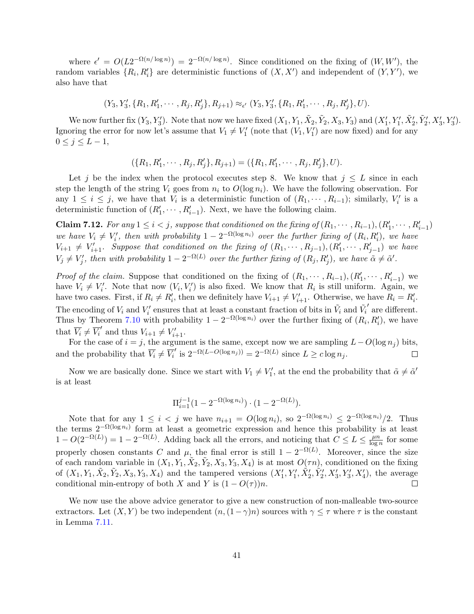where  $\epsilon' = O(L2^{-\Omega(n/\log n)}) = 2^{-\Omega(n/\log n)}$ . Since conditioned on the fixing of  $(W, W')$ , the random variables  $\{R_i, R'_i\}$  are deterministic functions of  $(X, X')$  and independent of  $(Y, Y')$ , we also have that

$$
(Y_3, Y'_3, \{R_1, R'_1, \cdots, R_j, R'_j\}, R_{j+1}) \approx_{\epsilon'} (Y_3, Y'_3, \{R_1, R'_1, \cdots, R_j, R'_j\}, U).
$$

We now further fix  $(Y_3, Y'_3)$ . Note that now we have fixed  $(X_1, Y_1, \tilde{X}_2, \tilde{Y}_2, X_3, Y_3)$  and  $(X'_1, Y'_1, \tilde{X}'_2, \tilde{Y}'_2, X'_3, Y'_3)$ . Ignoring the error for now let's assume that  $V_1 \neq V'_1$  (note that  $(V_1, V'_1)$ ) are now fixed) and for any  $0 \leq j \leq L-1$ ,

$$
(\{R_1, R'_1, \cdots, R_j, R'_j\}, R_{j+1}) = (\{R_1, R'_1, \cdots, R_j, R'_j\}, U).
$$

Let j be the index when the protocol executes step 8. We know that  $j \leq L$  since in each step the length of the string  $V_i$  goes from  $n_i$  to  $O(\log n_i)$ . We have the following observation. For any  $1 \leq i \leq j$ , we have that  $V_i$  is a deterministic function of  $(R_1, \dots, R_{i-1})$ ; similarly,  $V'_i$  is a deterministic function of  $(R'_1, \dots, R'_{i-1})$ . Next, we have the following claim.

**Claim 7.12.** For any  $1 \leq i < j$ , suppose that conditioned on the fixing of  $(R_1, \dots, R_{i-1}), (R'_1, \dots, R'_{i-1})$ we have  $V_i \neq V'_i$ , then with probability  $1 - 2^{-\Omega(\log n_i)}$  over the further fixing of  $(R_i, R'_i)$ , we have  $V_{i+1} \neq V'_{i+1}$ . Suppose that conditioned on the fixing of  $(R_1, \dots, R_{j-1}), (R'_1, \dots, R'_{j-1})$  we have  $V_j \neq V'_j$ , then with probability  $1 - 2^{-\Omega(L)}$  over the further fixing of  $(R_j, R'_j)$ , we have  $\tilde{\alpha} \neq \tilde{\alpha}'$ .

*Proof of the claim.* Suppose that conditioned on the fixing of  $(R_1, \dots, R_{i-1}), (R'_1, \dots, R'_{i-1})$  we have  $V_i \neq V'_i$ . Note that now  $(V_i, V'_i)$  is also fixed. We know that  $R_i$  is still uniform. Again, we have two cases. First, if  $R_i \neq R'_i$ , then we definitely have  $V_{i+1} \neq V'_{i+1}$ . Otherwise, we have  $R_i = R'_i$ . The encoding of  $V_i$  and  $V'_i$  ensures that at least a constant fraction of bits in  $\tilde{V}_i$  and  $\tilde{V}_i$  $'$  are different. Thus by Theorem [7.10](#page-39-2) with probability  $1 - 2^{-\Omega(\log n_i)}$  over the further fixing of  $(R_i, R'_i)$ , we have that  $\overline{V_i} \neq \overline{V_i}'$  and thus  $V_{i+1} \neq V'_{i+1}$ .

For the case of  $i = j$ , the argument is the same, except now we are sampling  $L - O(\log n_i)$  bits, and the probability that  $\overline{V}_i \neq \overline{V}_i'$  is  $2^{-\Omega(L-O(\log n_j))} = 2^{-\Omega(L)}$  since  $L \geq c \log n_j$ .  $\Box$ 

Now we are basically done. Since we start with  $V_1 \neq V'_1$ , at the end the probability that  $\tilde{\alpha} \neq \tilde{\alpha}'$ is at least

$$
\Pi_{i=1}^{j-1} (1 - 2^{-\Omega(\log n_i)}) \cdot (1 - 2^{-\Omega(L)}).
$$

Note that for any  $1 \leq i < j$  we have  $n_{i+1} = O(\log n_i)$ , so  $2^{-\Omega(\log n_i)} \leq 2^{-\Omega(\log n_i)}/2$ . Thus the terms  $2^{-\Omega(\log n_i)}$  form at least a geometric expression and hence this probability is at least  $1 - O(2^{-\Omega(L)}) = 1 - 2^{-\Omega(L)}$ . Adding back all the errors, and noticing that  $C \le L \le \frac{\mu n}{\log n}$  $\frac{\mu n}{\log n}$  for some properly chosen constants C and  $\mu$ , the final error is still  $1 - 2^{-\Omega(L)}$ . Moreover, since the size of each random variable in  $(X_1, Y_1, \tilde{X}_2, \tilde{Y}_2, X_3, Y_3, X_4)$  is at most  $O(\tau n)$ , conditioned on the fixing of  $(X_1, Y_1, \tilde{X}_2, \tilde{Y}_2, X_3, Y_3, X_4)$  and the tampered versions  $(X'_1, Y'_1, \tilde{X}'_2, \tilde{Y}'_2, X'_3, Y'_3, X'_4)$ , the average conditional min-entropy of both X and Y is  $(1 - O(τ))n$ .  $\Box$ 

We now use the above advice generator to give a new construction of non-malleable two-source extractors. Let  $(X, Y)$  be two independent  $(n, (1 - \gamma)n)$  sources with  $\gamma \leq \tau$  where  $\tau$  is the constant in Lemma [7.11.](#page-40-0)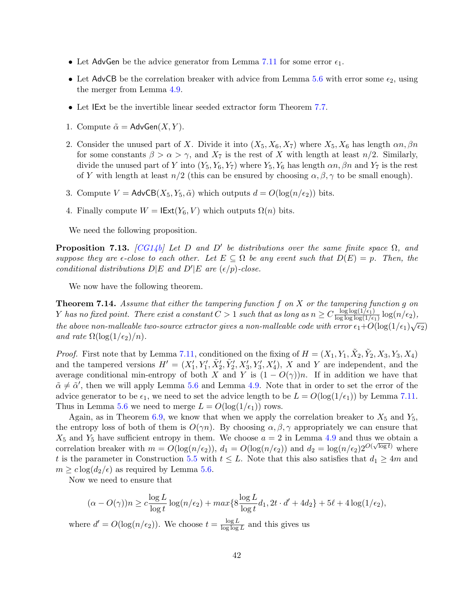- Let AdvGen be the advice generator from Lemma [7.11](#page-40-0) for some error  $\epsilon_1$ .
- Let AdvCB be the correlation breaker with advice from Lemma [5.6](#page-28-0) with error some  $\epsilon_2$ , using the merger from Lemma [4.9.](#page-19-1)
- Let IExt be the invertible linear seeded extractor form Theorem [7.7.](#page-38-0)
- 1. Compute  $\tilde{\alpha} = \mathsf{AdvGen}(X, Y)$ .
- 2. Consider the unused part of X. Divide it into  $(X_5, X_6, X_7)$  where  $X_5, X_6$  has length  $\alpha n, \beta n$ for some constants  $\beta > \alpha > \gamma$ , and  $X_7$  is the rest of X with length at least  $n/2$ . Similarly, divide the unused part of Y into  $(Y_5, Y_6, Y_7)$  where  $Y_5, Y_6$  has length  $\alpha n, \beta n$  and  $Y_7$  is the rest of Y with length at least  $n/2$  (this can be ensured by choosing  $\alpha, \beta, \gamma$  to be small enough).
- 3. Compute  $V = \mathsf{AdvCB}(X_5, Y_5, \tilde{\alpha})$  which outputs  $d = O(\log(n/\epsilon_2))$  bits.
- 4. Finally compute  $W = \text{IExt}(Y_6, V)$  which outputs  $\Omega(n)$  bits.

We need the following proposition.

**Proposition 7.13.** [\[CG14b\]](#page-49-5) Let D and D' be distributions over the same finite space  $\Omega$ , and suppose they are  $\epsilon$ -close to each other. Let  $E \subseteq \Omega$  be any event such that  $D(E) = p$ . Then, the conditional distributions  $D|E$  and  $D'|E$  are  $(\epsilon/p)$ -close.

We now have the following theorem.

<span id="page-42-0"></span>**Theorem 7.14.** Assume that either the tampering function f on X or the tampering function g on Y has no fixed point. There exist a constant  $C > 1$  such that as long as  $n \geq C \frac{\log \log(1/\epsilon_1)}{\log \log \log(1/\epsilon_1)}$  $\frac{\log \log (1/\epsilon_1)}{\log \log \log (1/\epsilon_1)} \log (n/\epsilon_2),$ the above non-malleable two-source extractor gives a non-malleable code with error  $\epsilon_1+O(\log(1/\epsilon_1)\sqrt{\epsilon_2})$ and rate  $\Omega(\log(1/\epsilon_2)/n)$ .

*Proof.* First note that by Lemma [7.11,](#page-40-0) conditioned on the fixing of  $H = (X_1, Y_1, \tilde{X}_2, \tilde{Y}_2, X_3, Y_3, X_4)$ and the tampered versions  $H' = (X'_1, Y'_1, \tilde{X}'_2, \tilde{Y}'_2, X'_3, Y'_3, X'_4),$  X and Y are independent, and the average conditional min-entropy of both X and Y is  $(1 - O(\gamma))n$ . If in addition we have that  $\tilde{\alpha} \neq \tilde{\alpha}'$ , then we will apply Lemma [5.6](#page-28-0) and Lemma [4.9.](#page-19-1) Note that in order to set the error of the advice generator to be  $\epsilon_1$ , we need to set the advice length to be  $L = O(\log(1/\epsilon_1))$  by Lemma [7.11.](#page-40-0) Thus in Lemma [5.6](#page-28-0) we need to merge  $L = O(\log(1/\epsilon_1))$  rows.

Again, as in Theorem [6.9,](#page-35-0) we know that when we apply the correlation breaker to  $X_5$  and  $Y_5$ , the entropy loss of both of them is  $O(\gamma n)$ . By choosing  $\alpha, \beta, \gamma$  appropriately we can ensure that  $X_5$  and  $Y_5$  have sufficient entropy in them. We choose  $a = 2$  in Lemma [4.9](#page-19-1) and thus we obtain a correlation breaker with  $m = O(\log(n/\epsilon_2))$ ,  $d_1 = O(\log(n/\epsilon_2))$  and  $d_2 = \log(n/\epsilon_2)2^{O(\sqrt{\log t})}$  where t is the parameter in Construction [5.5](#page-27-0) with  $t \leq L$ . Note that this also satisfies that  $d_1 \geq 4m$  and  $m \geq c \log(d_2/\epsilon)$  as required by Lemma [5.6.](#page-28-0)

Now we need to ensure that

$$
(\alpha - O(\gamma))n \geq c \frac{\log L}{\log t} \log(n/\epsilon_2) + \max\{8 \frac{\log L}{\log t} d_1, 2t \cdot d' + 4d_2\} + 5\ell + 4\log(1/\epsilon_2),
$$

where  $d' = O(\log(n/\epsilon_2))$ . We choose  $t = \frac{\log L}{\log \log n}$  $\frac{\log L}{\log \log L}$  and this gives us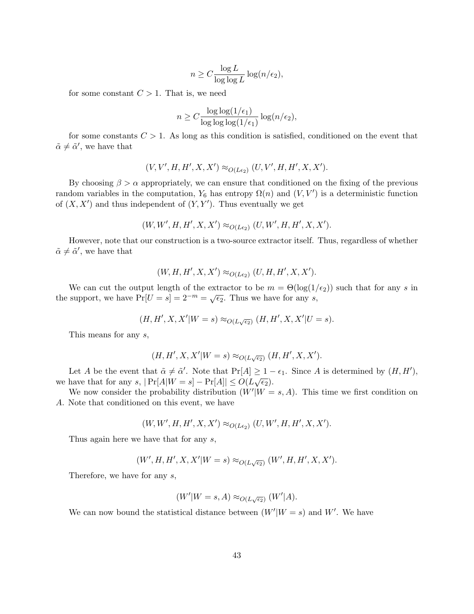$$
n \ge C \frac{\log L}{\log \log L} \log (n/\epsilon_2),
$$

for some constant  $C > 1$ . That is, we need

$$
n \ge C \frac{\log \log(1/\epsilon_1)}{\log \log \log(1/\epsilon_1)} \log(n/\epsilon_2),
$$

for some constants  $C > 1$ . As long as this condition is satisfied, conditioned on the event that  $\tilde{\alpha} \neq \tilde{\alpha}'$ , we have that

$$
(V, V', H, H', X, X') \approx_{O(L\epsilon_2)} (U, V', H, H', X, X').
$$

By choosing  $\beta > \alpha$  appropriately, we can ensure that conditioned on the fixing of the previous random variables in the computation,  $Y_6$  has entropy  $\Omega(n)$  and  $(V, V')$  is a deterministic function of  $(X, X')$  and thus independent of  $(Y, Y')$ . Thus eventually we get

$$
(W, W', H, H', X, X') \approx_{O(L\epsilon_2)} (U, W', H, H', X, X').
$$

However, note that our construction is a two-source extractor itself. Thus, regardless of whether  $\tilde{\alpha} \neq \tilde{\alpha}'$ , we have that

$$
(W, H, H', X, X') \approx_{O(L\epsilon_2)} (U, H, H', X, X').
$$

We can cut the output length of the extractor to be  $m = \Theta(\log(1/\epsilon_2))$  such that for any s in We can cut the output length of the extractor to be  $m = O(\log(1))$ <br>the support, we have  $Pr[U = s] = 2^{-m} = \sqrt{\epsilon_2}$ . Thus we have for any s,

$$
(H,H',X,X'|W=s) \approx_{O(L\sqrt{\epsilon_2})} (H,H',X,X'|U=s).
$$

This means for any s,

$$
(H, H', X, X'|W = s) \approx_{O(L\sqrt{\epsilon_2})} (H, H', X, X').
$$

Let A be the event that  $\tilde{\alpha} \neq \tilde{\alpha}'$ . Note that  $Pr[A] \geq 1 - \epsilon_1$ . Since A is determined by  $(H, H')$ , we have that for any s,  $|\Pr[A|W = s] - \Pr[A]| \le O(L\sqrt{\epsilon_2}).$ 

We now consider the probability distribution  $(W'|W = s, A)$ . This time we first condition on A. Note that conditioned on this event, we have

$$
(W, W', H, H', X, X') \approx_{O(L\epsilon_2)} (U, W', H, H', X, X').
$$

Thus again here we have that for any s,

$$
(W', H, H', X, X'|W = s) \approx_{O(L\sqrt{\epsilon_2})} (W', H, H', X, X').
$$

Therefore, we have for any s,

$$
(W'|W = s, A) \approx_{O(L\sqrt{\epsilon_2})} (W'|A).
$$

We can now bound the statistical distance between  $(W'|W = s)$  and W'. We have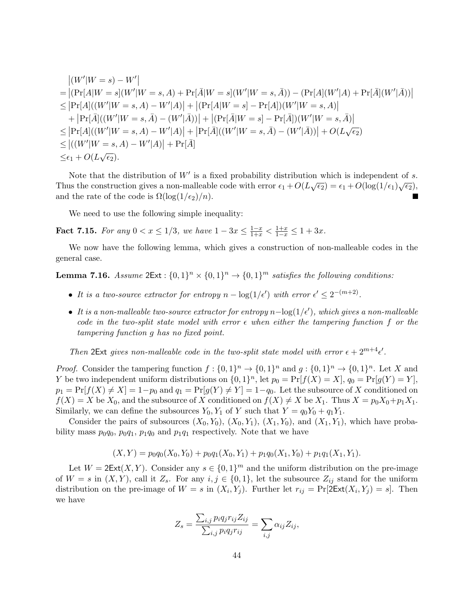$$
| (W'|W = s) - W' |
$$
  
\n
$$
= | (\Pr[A|W = s] (W'|W = s, A) + \Pr[\bar{A}|W = s] (W'|W = s, \bar{A}) ) - (\Pr[A](W'|A) + \Pr[\bar{A}](W'|\bar{A}) )|
$$
  
\n
$$
\leq |\Pr[A] ((W'|W = s, A) - W'|A) | + | (\Pr[A|W = s] - \Pr[A])(W'|W = s, A) |
$$
  
\n
$$
+ |\Pr[\bar{A}] ((W'|W = s, \bar{A}) - (W'|\bar{A})) | + | (\Pr[\bar{A}|W = s] - \Pr[\bar{A}] )(W'|W = s, \bar{A}) |
$$
  
\n
$$
\leq |\Pr[A] ((W'|W = s, A) - W'|A) | + |\Pr[\bar{A}] ((W'|W = s, \bar{A}) - (W'|\bar{A})) | + O(L\sqrt{\epsilon_2})
$$
  
\n
$$
\leq | ((W'|W = s, A) - W'|A) | + \Pr[\bar{A}]
$$
  
\n
$$
\leq \epsilon_1 + O(L\sqrt{\epsilon_2}).
$$

Note that the distribution of  $W'$  is a fixed probability distribution which is independent of s. Thus the construction gives a non-malleable code with error  $\epsilon_1 + O(L\sqrt{\epsilon_2}) = \epsilon_1 + O(\log(1/\epsilon_1)\sqrt{\epsilon_2})$ , and the rate of the code is  $\Omega(\log(1/\epsilon_2)/n)$ . П

We need to use the following simple inequality:

<span id="page-44-0"></span>Fact 7.15. For any  $0 < x \leq 1/3$ , we have  $1 - 3x \leq \frac{1-x}{1+x} < \frac{1+x}{1-x} \leq 1 + 3x$ .

We now have the following lemma, which gives a construction of non-malleable codes in the general case.

<span id="page-44-1"></span>**Lemma 7.16.** Assume  $2Ext : \{0,1\}^n \times \{0,1\}^n \rightarrow \{0,1\}^m$  satisfies the following conditions:

- It is a two-source extractor for entropy  $n \log(1/\epsilon')$  with error  $\epsilon' \leq 2^{-(m+2)}$ .
- It is a non-malleable two-source extractor for entropy  $n \log(1/\epsilon')$ , which gives a non-malleable code in the two-split state model with error  $\epsilon$  when either the tampering function f or the tampering function g has no fixed point.

Then 2Ext gives non-malleable code in the two-split state model with error  $\epsilon + 2^{m+4} \epsilon'$ .

*Proof.* Consider the tampering function  $f: \{0,1\}^n \to \{0,1\}^n$  and  $g: \{0,1\}^n \to \{0,1\}^n$ . Let X and Y be two independent uniform distributions on  $\{0,1\}^n$ , let  $p_0 = \Pr[f(X) = X]$ ,  $q_0 = \Pr[g(Y) = Y]$ ,  $p_1 = Pr[f(X) \neq X] = 1-p_0$  and  $q_1 = Pr[g(Y) \neq Y] = 1-q_0$ . Let the subsource of X conditioned on  $f(X) = X$  be  $X_0$ , and the subsource of X conditioned on  $f(X) \neq X$  be  $X_1$ . Thus  $X = p_0X_0 + p_1X_1$ . Similarly, we can define the subsources  $Y_0, Y_1$  of Y such that  $Y = q_0 Y_0 + q_1 Y_1$ .

Consider the pairs of subsources  $(X_0, Y_0)$ ,  $(X_0, Y_1)$ ,  $(X_1, Y_0)$ , and  $(X_1, Y_1)$ , which have probability mass  $p_0q_0$ ,  $p_0q_1$ ,  $p_1q_0$  and  $p_1q_1$  respectively. Note that we have

$$
(X,Y) = p_0 q_0(X_0,Y_0) + p_0 q_1(X_0,Y_1) + p_1 q_0(X_1,Y_0) + p_1 q_1(X_1,Y_1).
$$

Let  $W = 2\text{Ext}(X, Y)$ . Consider any  $s \in \{0, 1\}^m$  and the uniform distribution on the pre-image of  $W = s$  in  $(X, Y)$ , call it  $Z_s$ . For any  $i, j \in \{0, 1\}$ , let the subsource  $Z_{ij}$  stand for the uniform distribution on the pre-image of  $W = s$  in  $(X_i, Y_j)$ . Further let  $r_{ij} = Pr[2\text{Ext}(X_i, Y_j) = s]$ . Then we have

$$
Z_s = \frac{\sum_{i,j} p_i q_j r_{ij} Z_{ij}}{\sum_{i,j} p_i q_j r_{ij}} = \sum_{i,j} \alpha_{ij} Z_{ij},
$$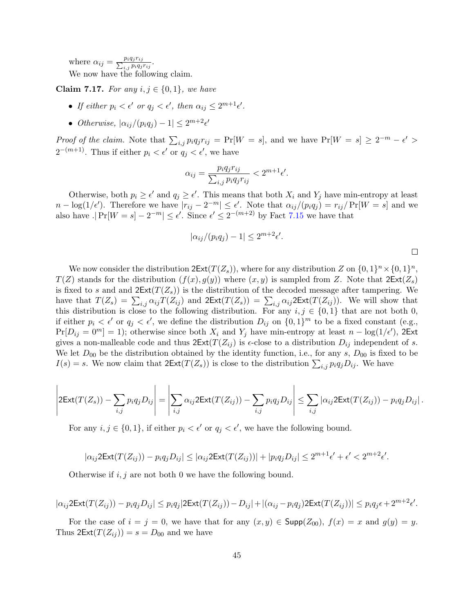where  $\alpha_{ij} = \frac{p_i q_j r_{ij}}{\sum_{i} p_i q_i}$  $\frac{p_i q_j r_{ij}}{i,j\ p_i q_j r_{ij}}.$ We now have the following claim.

**Claim 7.17.** For any  $i, j \in \{0, 1\}$ , we have

- If either  $p_i < \epsilon'$  or  $q_j < \epsilon'$ , then  $\alpha_{ij} \leq 2^{m+1}\epsilon'$ .
- Otherwise,  $|\alpha_{ij}/(p_iq_j) 1| \leq 2^{m+2} \epsilon'$

Proof of the claim. Note that  $\sum_{i,j} p_i q_j r_{ij} = \Pr[W = s]$ , and we have  $\Pr[W = s] \ge 2^{-m} - \epsilon' >$  $2^{-(m+1)}$ . Thus if either  $p_i < \epsilon'$  or  $q_j < \epsilon'$ , we have

$$
\alpha_{ij} = \frac{p_i q_j r_{ij}}{\sum_{i,j} p_i q_j r_{ij}} < 2^{m+1} \epsilon'.
$$

Otherwise, both  $p_i \ge \epsilon'$  and  $q_j \ge \epsilon'$ . This means that both  $X_i$  and  $Y_j$  have min-entropy at least  $n - \log(1/\epsilon')$ . Therefore we have  $|r_{ij} - 2^{-m}| \leq \epsilon'$ . Note that  $\alpha_{ij}/(p_i q_j) = r_{ij}/\Pr[W = s]$  and we also have  $|\Pr[W = s] - 2^{-m}| \leq \epsilon'$ . Since  $\epsilon' \leq 2^{-(m+2)}$  by Fact [7.15](#page-44-0) we have that

$$
|\alpha_{ij}/(p_i q_j) - 1| \le 2^{m+2} \epsilon'.
$$

We now consider the distribution  $2\text{Ext}(T(Z_s))$ , where for any distribution Z on  $\{0,1\}^n\times\{0,1\}^n$ ,  $T(Z)$  stands for the distribution  $(f(x), g(y))$  where  $(x, y)$  is sampled from Z. Note that  $2\text{Ext}(Z_s)$ is fixed to s and and  $2\text{Ext}(T(Z_s))$  is the distribution of the decoded message after tampering. We have that  $T(Z_s) = \sum_{i,j} \alpha_{ij} T(Z_{ij})$  and  $2Ext(T(Z_s)) = \sum_{i,j} \alpha_{ij} 2Ext(T(Z_{ij}))$ . We will show that this distribution is close to the following distribution. For any  $i, j \in \{0, 1\}$  that are not both 0, if either  $p_i < \epsilon'$  or  $q_j < \epsilon'$ , we define the distribution  $D_{ij}$  on  $\{0,1\}^m$  to be a fixed constant (e.g.,  $Pr[D_{ij} = 0^m] = 1$ ; otherwise since both  $X_i$  and  $Y_j$  have min-entropy at least  $n - log(1/\epsilon')$ , 2Ext gives a non-malleable code and thus  $2\text{Ext}(T(Z_{ij}))$  is  $\epsilon$ -close to a distribution  $D_{ij}$  independent of s. We let  $D_{00}$  be the distribution obtained by the identity function, i.e., for any s,  $D_{00}$  is fixed to be  $I(s) = s$ . We now claim that  $2\text{Ext}(T(Z_s))$  is close to the distribution  $\sum_{i,j} p_i q_j D_{ij}$ . We have

$$
\left| 2\mathrm{Ext}(T(Z_s)) - \sum_{i,j} p_i q_j D_{ij} \right| = \left| \sum_{i,j} \alpha_{ij} 2\mathrm{Ext}(T(Z_{ij})) - \sum_{i,j} p_i q_j D_{ij} \right| \leq \sum_{i,j} |\alpha_{ij} 2\mathrm{Ext}(T(Z_{ij})) - p_i q_j D_{ij}|.
$$

For any  $i, j \in \{0, 1\}$ , if either  $p_i < \epsilon'$  or  $q_j < \epsilon'$ , we have the following bound.

$$
|\alpha_{ij}\textnormal{2Ext}(T(Z_{ij})) - p_iq_jD_{ij}| \leq |\alpha_{ij}\textnormal{2Ext}(T(Z_{ij}))| + |p_iq_jD_{ij}| \leq 2^{m+1}\epsilon' + \epsilon' < 2^{m+2}\epsilon'.
$$

Otherwise if  $i, j$  are not both 0 we have the following bound.

$$
|\alpha_{ij}2\text{Ext}(T(Z_{ij})) - p_iq_jD_{ij}| \leq p_iq_j|2\text{Ext}(T(Z_{ij})) - D_{ij}| + |(\alpha_{ij} - p_iq_j)2\text{Ext}(T(Z_{ij}))| \leq p_iq_j\epsilon + 2^{m+2}\epsilon'.
$$

For the case of  $i = j = 0$ , we have that for any  $(x, y) \in \text{Supp}(Z_{00}), f(x) = x$  and  $g(y) = y$ . Thus  $2\text{Ext}(T(Z_{ij})) = s = D_{00}$  and we have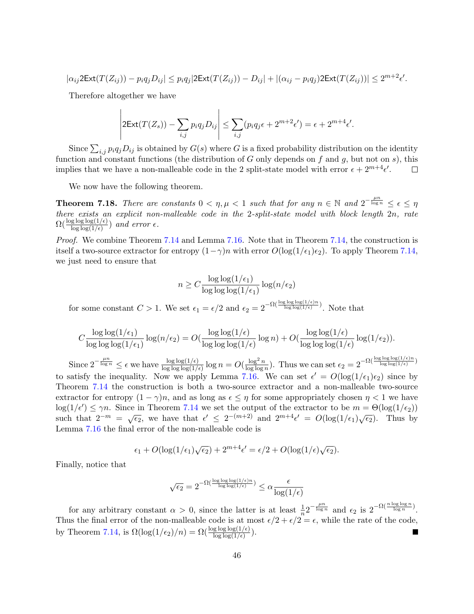$$
|\alpha_{ij} 2\text{Ext}(T(Z_{ij})) - p_i q_j D_{ij}| \leq p_i q_j |2\text{Ext}(T(Z_{ij})) - D_{ij}| + |(\alpha_{ij} - p_i q_j) 2\text{Ext}(T(Z_{ij}))| \leq 2^{m+2} \epsilon'.
$$

Therefore altogether we have

$$
\left| 2\mathrm{Ext}(T(Z_s)) - \sum_{i,j} p_i q_j D_{ij} \right| \leq \sum_{i,j} (p_i q_j \epsilon + 2^{m+2} \epsilon') = \epsilon + 2^{m+4} \epsilon'.
$$

Since  $\sum_{i,j} p_i q_j D_{ij}$  is obtained by  $G(s)$  where G is a fixed probability distribution on the identity function and constant functions (the distribution of  $G$  only depends on  $f$  and  $g$ , but not on  $s$ ), this implies that we have a non-malleable code in the 2 split-state model with error  $\epsilon + 2^{m+4} \epsilon'$ .  $\Box$ 

We now have the following theorem.

**Theorem 7.18.** There are constants  $0 < \eta, \mu < 1$  such that for any  $n \in \mathbb{N}$  and  $2^{-\frac{\mu n}{\log n}} \leq \epsilon \leq \eta$ there exists an explicit non-malleable code in the 2-split-state model with block length 2n, rate  $\Omega(\frac{\log \log \log(1/\epsilon)}{\log \log(1/\epsilon)})$  and error  $\epsilon$ .

Proof. We combine Theorem [7.14](#page-42-0) and Lemma [7.16.](#page-44-1) Note that in Theorem [7.14,](#page-42-0) the construction is itself a two-source extractor for entropy  $(1-\gamma)n$  with error  $O(\log(1/\epsilon_1)\epsilon_2)$ . To apply Theorem [7.14,](#page-42-0) we just need to ensure that

$$
n \ge C \frac{\log \log(1/\epsilon_1)}{\log \log \log(1/\epsilon_1)} \log(n/\epsilon_2)
$$

for some constant  $C > 1$ . We set  $\epsilon_1 = \epsilon/2$  and  $\epsilon_2 = 2^{-\Omega(\frac{\log \log \log(1/\epsilon)n}{\log \log(1/\epsilon)})}$ . Note that

$$
C \frac{\log \log(1/\epsilon_1)}{\log \log \log(1/\epsilon_1)} \log(n/\epsilon_2) = O(\frac{\log \log(1/\epsilon)}{\log \log \log(1/\epsilon)} \log n) + O(\frac{\log \log(1/\epsilon)}{\log \log \log(1/\epsilon)} \log(1/\epsilon_2)).
$$

Since  $2^{-\frac{\mu n}{\log n}} \leq \epsilon$  we have  $\frac{\log \log(1/\epsilon)}{\log \log \log(1/\epsilon)} \log n = O(\frac{\log^2 n}{\log \log n})$  $\frac{\log^2 n}{\log \log n}$ ). Thus we can set  $\epsilon_2 = 2^{-\Omega(\frac{\log \log \log(1/\epsilon)n}{\log \log(1/\epsilon)})}$ to satisfy the inequality. Now we apply Lemma [7.16.](#page-44-1) We can set  $\epsilon' = O(\log(1/\epsilon_1)\epsilon_2)$  since by Theorem [7.14](#page-42-0) the construction is both a two-source extractor and a non-malleable two-source extractor for entropy  $(1 - \gamma)n$ , and as long as  $\epsilon \leq \eta$  for some appropriately chosen  $\eta < 1$  we have  $\log(1/\epsilon') \leq \gamma n$ . Since in Theorem [7.14](#page-42-0) we set the output of the extractor to be  $m = \Theta(\log(1/\epsilon_2))$ such that  $2^{-m} = \sqrt{\epsilon_2}$ , we have that  $\epsilon' \leq 2^{-(m+2)}$  and  $2^{m+4}\epsilon' = O(\log(1/\epsilon_1)\sqrt{\epsilon_2})$ . Thus by Lemma [7.16](#page-44-1) the final error of the non-malleable code is

$$
\epsilon_1 + O(\log(1/\epsilon_1)\sqrt{\epsilon_2}) + 2^{m+4}\epsilon' = \epsilon/2 + O(\log(1/\epsilon)\sqrt{\epsilon_2}).
$$

Finally, notice that

$$
\sqrt{\epsilon_2} = 2^{-\Omega(\frac{\log\log\log(1/\epsilon)n}{\log\log(1/\epsilon)})} \leq \alpha \frac{\epsilon}{\log(1/\epsilon)}
$$

for any arbitrary constant  $\alpha > 0$ , since the latter is at least  $\frac{1}{n} 2^{-\frac{\mu n}{\log n}}$  and  $\epsilon_2$  is  $2^{-\Omega(\frac{n \log \log n}{\log n})}$ . Thus the final error of the non-malleable code is at most  $\epsilon/2 + \epsilon/2 = \epsilon$ , while the rate of the code, by Theorem [7.14,](#page-42-0) is  $\Omega(\log(1/\epsilon_2)/n) = \Omega(\frac{\log \log \log(1/\epsilon)}{\log \log(1/\epsilon)})$ . ×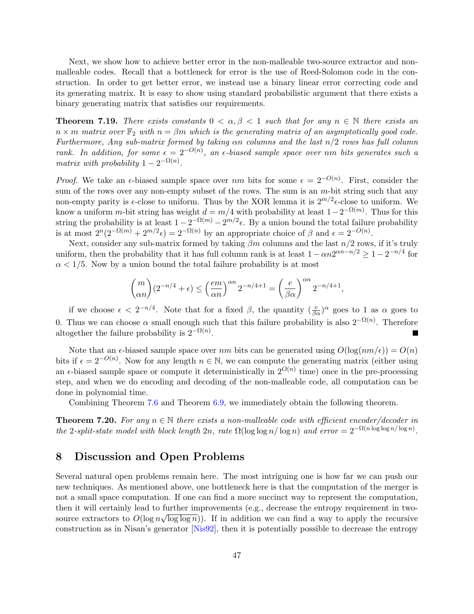Next, we show how to achieve better error in the non-malleable two-source extractor and nonmalleable codes. Recall that a bottleneck for error is the use of Reed-Solomon code in the construction. In order to get better error, we instead use a binary linear error correcting code and its generating matrix. It is easy to show using standard probabilistic argument that there exists a binary generating matrix that satisfies our requirements.

**Theorem 7.19.** There exists constants  $0 < \alpha, \beta < 1$  such that for any  $n \in \mathbb{N}$  there exists an  $n \times m$  matrix over  $\mathbb{F}_2$  with  $n = \beta m$  which is the generating matrix of an asymptotically good code. Furthermore, Any sub-matrix formed by taking  $\alpha n$  columns and the last  $n/2$  rows has full column rank. In addition, for some  $\epsilon = 2^{-O(n)}$ , an  $\epsilon$ -biased sample space over nm bits generates such a matrix with probability  $1 - 2^{-\Omega(n)}$ .

*Proof.* We take an  $\epsilon$ -biased sample space over nm bits for some  $\epsilon = 2^{-O(n)}$ . First, consider the sum of the rows over any non-empty subset of the rows. The sum is an  $m$ -bit string such that any non-empty parity is  $\epsilon$ -close to uniform. Thus by the XOR lemma it is  $2^{m/2}\epsilon$ -close to uniform. We know a uniform m-bit string has weight  $d = m/4$  with probability at least  $1 - 2^{-\Omega(m)}$ . Thus for this string the probability is at least  $1 - 2^{-\Omega(m)} - 2^{m/2} \epsilon$ . By a union bound the total failure probability is at most  $2^{n}(2^{-\Omega(m)} + 2^{m/2} \epsilon) = 2^{-\Omega(n)}$  by an appropriate choice of  $\beta$  and  $\epsilon = 2^{-O(n)}$ .

Next, consider any sub-matrix formed by taking  $\beta m$  columns and the last  $n/2$  rows, if it's truly uniform, then the probability that it has full column rank is at least  $1 - \alpha n 2^{\alpha n - n/2} \geq 1 - 2^{-n/4}$  for  $\alpha$  < 1/5. Now by a union bound the total failure probability is at most

$$
\binom{m}{\alpha n}(2^{-n/4}+\epsilon)\leq \left(\frac{em}{\alpha n}\right)^{\alpha n}2^{-n/4+1}=\left(\frac{e}{\beta\alpha}\right)^{\alpha n}2^{-n/4+1},
$$

if we choose  $\epsilon < 2^{-n/4}$ . Note that for a fixed  $\beta$ , the quantity  $(\frac{e}{\beta \alpha})^{\alpha}$  goes to 1 as  $\alpha$  goes to 0. Thus we can choose  $\alpha$  small enough such that this failure probability is also  $2^{-\Omega(n)}$ . Therefore altogether the failure probability is  $2^{-\Omega(n)}$ .

Note that an  $\epsilon$ -biased sample space over nm bits can be generated using  $O(\log(n m/\epsilon)) = O(n)$ bits if  $\epsilon = 2^{-O(n)}$ . Now for any length  $n \in \mathbb{N}$ , we can compute the generating matrix (either using an  $\epsilon$ -biased sample space or compute it deterministically in  $2^{O(n)}$  time) once in the pre-processing step, and when we do encoding and decoding of the non-malleable code, all computation can be done in polynomial time.

Combining Theorem [7.6](#page-37-1) and Theorem [6.9,](#page-35-0) we immediately obtain the following theorem.

**Theorem 7.20.** For any  $n \in \mathbb{N}$  there exists a non-malleable code with efficient encoder/decoder in the 2-split-state model with block length  $2n$ , rate  $\Omega(\log \log n / \log n)$  and error  $= 2^{-\Omega(n \log \log n / \log n)}$ .

## <span id="page-47-0"></span>8 Discussion and Open Problems

Several natural open problems remain here. The most intriguing one is how far we can push our new techniques. As mentioned above, one bottleneck here is that the computation of the merger is not a small space computation. If one can find a more succinct way to represent the computation, then it will certainly lead to further improvements (e.g., decrease the entropy requirement in twosource extractors to  $O(\log n \sqrt{\log \log n})$ . If in addition we can find a way to apply the recursive construction as in Nisan's generator [\[Nis92\]](#page-52-8), then it is potentially possible to decrease the entropy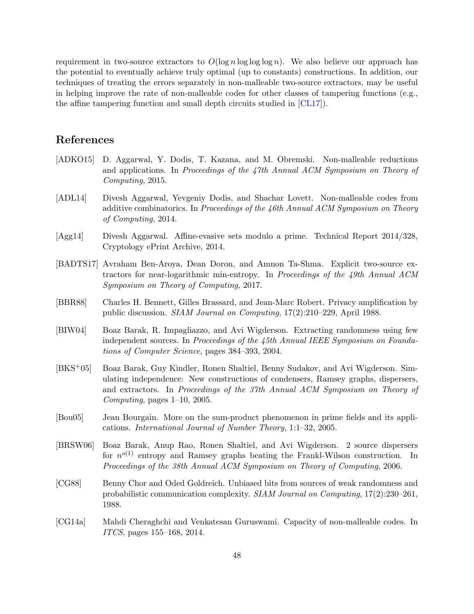requirement in two-source extractors to  $O(\log n \log \log \log n)$ . We also believe our approach has the potential to eventually achieve truly optimal (up to constants) constructions. In addition, our techniques of treating the errors separately in non-malleable two-source extractors, may be useful in helping improve the rate of non-malleable codes for other classes of tampering functions (e.g., the affine tampering function and small depth circuits studied in [\[CL17\]](#page-49-12)).

# References

- <span id="page-48-10"></span>[ADKO15] D. Aggarwal, Y. Dodis, T. Kazana, and M. Obremski. Non-malleable reductions and applications. In Proceedings of the 47th Annual ACM Symposium on Theory of Computing, 2015.
- <span id="page-48-8"></span>[ADL14] Divesh Aggarwal, Yevgeniy Dodis, and Shachar Lovett. Non-malleable codes from additive combinatorics. In Proceedings of the 46th Annual ACM Symposium on Theory of Computing, 2014.
- <span id="page-48-9"></span>[Agg14] Divesh Aggarwal. Affine-evasive sets modulo a prime. Technical Report 2014/328, Cryptology ePrint Archive, 2014.
- <span id="page-48-5"></span>[BADTS17] Avraham Ben-Aroya, Dean Doron, and Amnon Ta-Shma. Explicit two-source extractors for near-logarithmic min-entropy. In Proceedings of the 49th Annual ACM Symposium on Theory of Computing, 2017.
- <span id="page-48-6"></span>[BBR88] Charles H. Bennett, Gilles Brassard, and Jean-Marc Robert. Privacy amplification by public discussion. SIAM Journal on Computing, 17(2):210–229, April 1988.
- <span id="page-48-1"></span>[BIW04] Boaz Barak, R. Impagliazzo, and Avi Wigderson. Extracting randomness using few independent sources. In Proceedings of the 45th Annual IEEE Symposium on Foundations of Computer Science, pages 384–393, 2004.
- <span id="page-48-2"></span>[BKS+05] Boaz Barak, Guy Kindler, Ronen Shaltiel, Benny Sudakov, and Avi Wigderson. Simulating independence: New constructions of condensers, Ramsey graphs, dispersers, and extractors. In Proceedings of the 37th Annual ACM Symposium on Theory of Computing, pages 1–10, 2005.
- <span id="page-48-3"></span>[Bou05] Jean Bourgain. More on the sum-product phenomenon in prime fields and its applications. International Journal of Number Theory, 1:1–32, 2005.
- <span id="page-48-4"></span>[BRSW06] Boaz Barak, Anup Rao, Ronen Shaltiel, and Avi Wigderson. 2 source dispersers for  $n^{o(1)}$  entropy and Ramsey graphs beating the Frankl-Wilson construction. In Proceedings of the 38th Annual ACM Symposium on Theory of Computing, 2006.
- <span id="page-48-0"></span>[CG88] Benny Chor and Oded Goldreich. Unbiased bits from sources of weak randomness and probabilistic communication complexity. SIAM Journal on Computing, 17(2):230–261, 1988.
- <span id="page-48-7"></span>[CG14a] Mahdi Cheraghchi and Venkatesan Guruswami. Capacity of non-malleable codes. In ITCS, pages 155–168, 2014.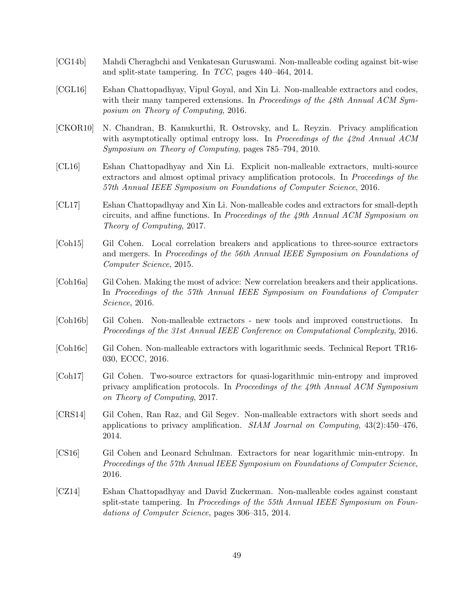- <span id="page-49-5"></span>[CG14b] Mahdi Cheraghchi and Venkatesan Guruswami. Non-malleable coding against bit-wise and split-state tampering. In TCC, pages 440–464, 2014.
- <span id="page-49-8"></span>[CGL16] Eshan Chattopadhyay, Vipul Goyal, and Xin Li. Non-malleable extractors and codes, with their many tampered extensions. In Proceedings of the  $48th$  Annual ACM Symposium on Theory of Computing, 2016.
- <span id="page-49-6"></span>[CKOR10] N. Chandran, B. Kanukurthi, R. Ostrovsky, and L. Reyzin. Privacy amplification with asymptotically optimal entropy loss. In Proceedings of the 42nd Annual ACM Symposium on Theory of Computing, pages 785–794, 2010.
- <span id="page-49-2"></span>[CL16] Eshan Chattopadhyay and Xin Li. Explicit non-malleable extractors, multi-source extractors and almost optimal privacy amplification protocols. In *Proceedings of the* 57th Annual IEEE Symposium on Foundations of Computer Science, 2016.
- <span id="page-49-12"></span>[CL17] Eshan Chattopadhyay and Xin Li. Non-malleable codes and extractors for small-depth circuits, and affine functions. In Proceedings of the  $49th$  Annual ACM Symposium on Theory of Computing, 2017.
- <span id="page-49-0"></span>[Coh15] Gil Cohen. Local correlation breakers and applications to three-source extractors and mergers. In Proceedings of the 56th Annual IEEE Symposium on Foundations of Computer Science, 2015.
- <span id="page-49-3"></span>[Coh16a] Gil Cohen. Making the most of advice: New correlation breakers and their applications. In Proceedings of the 57th Annual IEEE Symposium on Foundations of Computer Science, 2016.
- <span id="page-49-9"></span>[Coh16b] Gil Cohen. Non-malleable extractors - new tools and improved constructions. In Proceedings of the 31st Annual IEEE Conference on Computational Complexity, 2016.
- <span id="page-49-10"></span>[Coh16c] Gil Cohen. Non-malleable extractors with logarithmic seeds. Technical Report TR16- 030, ECCC, 2016.
- <span id="page-49-4"></span>[Coh17] Gil Cohen. Two-source extractors for quasi-logarithmic min-entropy and improved privacy amplification protocols. In Proceedings of the 49th Annual ACM Symposium on Theory of Computing, 2017.
- <span id="page-49-7"></span>[CRS14] Gil Cohen, Ran Raz, and Gil Segev. Non-malleable extractors with short seeds and applications to privacy amplification. *SIAM Journal on Computing*,  $43(2):450-476$ , 2014.
- <span id="page-49-1"></span>[CS16] Gil Cohen and Leonard Schulman. Extractors for near logarithmic min-entropy. In Proceedings of the 57th Annual IEEE Symposium on Foundations of Computer Science, 2016.
- <span id="page-49-11"></span>[CZ14] Eshan Chattopadhyay and David Zuckerman. Non-malleable codes against constant split-state tampering. In Proceedings of the 55th Annual IEEE Symposium on Foundations of Computer Science, pages 306–315, 2014.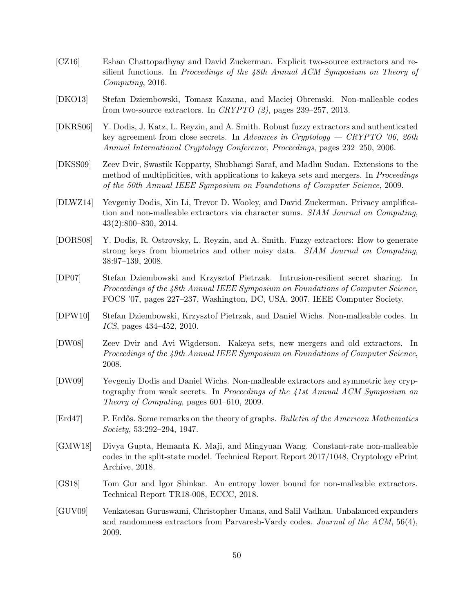- <span id="page-50-5"></span>[CZ16] Eshan Chattopadhyay and David Zuckerman. Explicit two-source extractors and resilient functions. In Proceedings of the 48th Annual ACM Symposium on Theory of Computing, 2016.
- <span id="page-50-10"></span>[DKO13] Stefan Dziembowski, Tomasz Kazana, and Maciej Obremski. Non-malleable codes from two-source extractors. In CRYPTO  $(2)$ , pages 239–257, 2013.
- <span id="page-50-8"></span>[DKRS06] Y. Dodis, J. Katz, L. Reyzin, and A. Smith. Robust fuzzy extractors and authenticated key agreement from close secrets. In Advances in Cryptology — CRYPTO '06, 26th Annual International Cryptology Conference, Proceedings, pages 232–250, 2006.
- <span id="page-50-3"></span>[DKSS09] Zeev Dvir, Swastik Kopparty, Shubhangi Saraf, and Madhu Sudan. Extensions to the method of multiplicities, with applications to kakeya sets and mergers. In *Proceedings* of the 50th Annual IEEE Symposium on Foundations of Computer Science, 2009.
- <span id="page-50-7"></span>[DLWZ14] Yevgeniy Dodis, Xin Li, Trevor D. Wooley, and David Zuckerman. Privacy amplification and non-malleable extractors via character sums. SIAM Journal on Computing, 43(2):800–830, 2014.
- <span id="page-50-12"></span>[DORS08] Y. Dodis, R. Ostrovsky, L. Reyzin, and A. Smith. Fuzzy extractors: How to generate strong keys from biometrics and other noisy data. SIAM Journal on Computing, 38:97–139, 2008.
- <span id="page-50-13"></span>[DP07] Stefan Dziembowski and Krzysztof Pietrzak. Intrusion-resilient secret sharing. In Proceedings of the 48th Annual IEEE Symposium on Foundations of Computer Science, FOCS '07, pages 227–237, Washington, DC, USA, 2007. IEEE Computer Society.
- <span id="page-50-9"></span>[DPW10] Stefan Dziembowski, Krzysztof Pietrzak, and Daniel Wichs. Non-malleable codes. In ICS, pages 434–452, 2010.
- <span id="page-50-2"></span>[DW08] Zeev Dvir and Avi Wigderson. Kakeya sets, new mergers and old extractors. In Proceedings of the 49th Annual IEEE Symposium on Foundations of Computer Science, 2008.
- <span id="page-50-6"></span>[DW09] Yevgeniy Dodis and Daniel Wichs. Non-malleable extractors and symmetric key cryptography from weak secrets. In Proceedings of the 41st Annual ACM Symposium on Theory of Computing, pages 601–610, 2009.
- <span id="page-50-4"></span>[Erd47] P. Erdős. Some remarks on the theory of graphs. Bulletin of the American Mathematics Society, 53:292–294, 1947.
- <span id="page-50-11"></span>[GMW18] Divya Gupta, Hemanta K. Maji, and Mingyuan Wang. Constant-rate non-malleable codes in the split-state model. Technical Report Report 2017/1048, Cryptology ePrint Archive, 2018.
- <span id="page-50-0"></span>[GS18] Tom Gur and Igor Shinkar. An entropy lower bound for non-malleable extractors. Technical Report TR18-008, ECCC, 2018.
- <span id="page-50-1"></span>[GUV09] Venkatesan Guruswami, Christopher Umans, and Salil Vadhan. Unbalanced expanders and randomness extractors from Parvaresh-Vardy codes. Journal of the  $ACM$ , 56(4), 2009.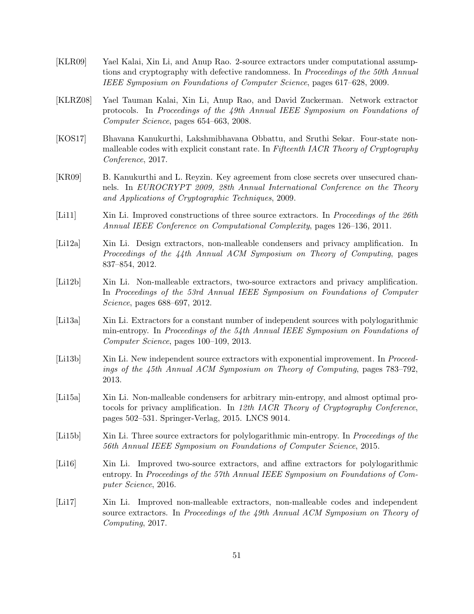- <span id="page-51-2"></span>[KLR09] Yael Kalai, Xin Li, and Anup Rao. 2-source extractors under computational assumptions and cryptography with defective randomness. In Proceedings of the 50th Annual IEEE Symposium on Foundations of Computer Science, pages 617–628, 2009.
- <span id="page-51-1"></span>[KLRZ08] Yael Tauman Kalai, Xin Li, Anup Rao, and David Zuckerman. Network extractor protocols. In Proceedings of the 49th Annual IEEE Symposium on Foundations of Computer Science, pages 654–663, 2008.
- <span id="page-51-12"></span>[KOS17] Bhavana Kanukurthi, Lakshmibhavana Obbattu, and Sruthi Sekar. Four-state nonmalleable codes with explicit constant rate. In Fifteenth IACR Theory of Cryptography Conference, 2017.
- <span id="page-51-9"></span>[KR09] B. Kanukurthi and L. Reyzin. Key agreement from close secrets over unsecured channels. In EUROCRYPT 2009, 28th Annual International Conference on the Theory and Applications of Cryptographic Techniques, 2009.
- <span id="page-51-3"></span>[Li11] Xin Li. Improved constructions of three source extractors. In Proceedings of the 26th Annual IEEE Conference on Computational Complexity, pages 126–136, 2011.
- <span id="page-51-10"></span>[Li12a] Xin Li. Design extractors, non-malleable condensers and privacy amplification. In Proceedings of the 44th Annual ACM Symposium on Theory of Computing, pages 837–854, 2012.
- <span id="page-51-4"></span>[Li12b] Xin Li. Non-malleable extractors, two-source extractors and privacy amplification. In Proceedings of the 53rd Annual IEEE Symposium on Foundations of Computer Science, pages 688–697, 2012.
- <span id="page-51-6"></span>[Li13a] Xin Li. Extractors for a constant number of independent sources with polylogarithmic min-entropy. In Proceedings of the 54th Annual IEEE Symposium on Foundations of Computer Science, pages 100–109, 2013.
- <span id="page-51-5"></span>[Li13b] Xin Li. New independent source extractors with exponential improvement. In Proceedings of the 45th Annual ACM Symposium on Theory of Computing, pages 783–792, 2013.
- <span id="page-51-11"></span>[Li15a] Xin Li. Non-malleable condensers for arbitrary min-entropy, and almost optimal protocols for privacy amplification. In 12th IACR Theory of Cryptography Conference, pages 502–531. Springer-Verlag, 2015. LNCS 9014.
- <span id="page-51-7"></span>[Li15b] Xin Li. Three source extractors for polylogarithmic min-entropy. In Proceedings of the 56th Annual IEEE Symposium on Foundations of Computer Science, 2015.
- <span id="page-51-8"></span>[Li16] Xin Li. Improved two-source extractors, and affine extractors for polylogarithmic entropy. In Proceedings of the 57th Annual IEEE Symposium on Foundations of Computer Science, 2016.
- <span id="page-51-0"></span>[Li17] Xin Li. Improved non-malleable extractors, non-malleable codes and independent source extractors. In Proceedings of the 49th Annual ACM Symposium on Theory of Computing, 2017.